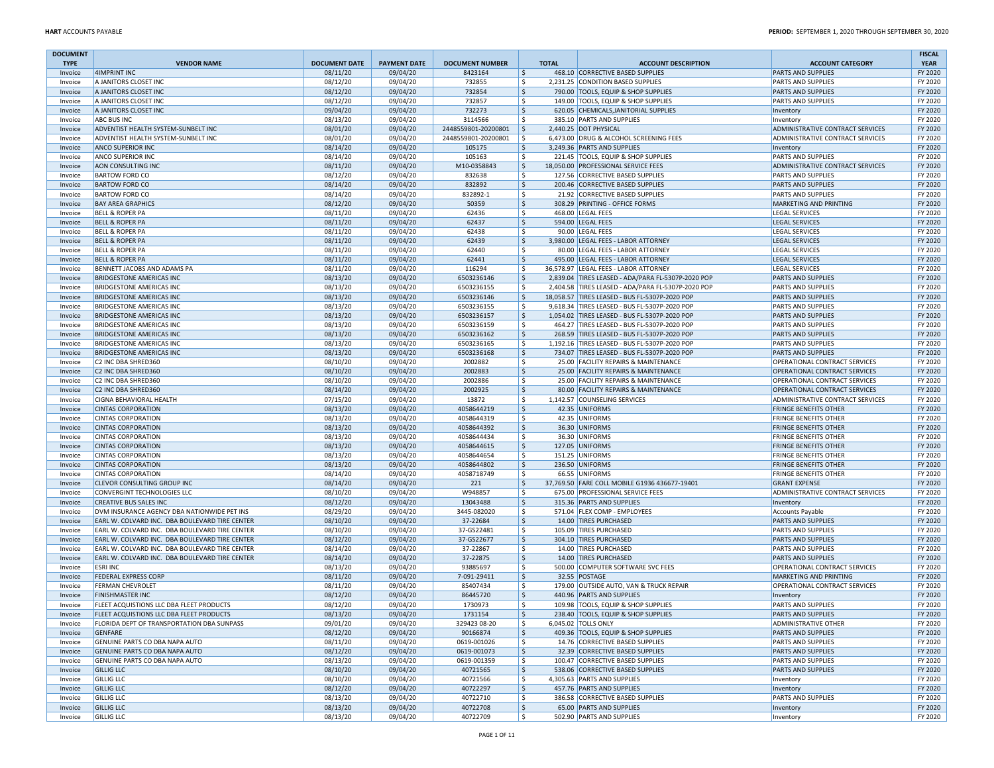| <b>DOCUMENT</b><br><b>TYPE</b> | <b>VENDOR NAME</b>                                               | <b>DOCUMENT DATE</b> | <b>PAYMENT DATE</b>  | <b>DOCUMENT NUMBER</b>   | <b>TOTAL</b>             | <b>ACCOUNT DESCRIPTION</b>                                         | <b>ACCOUNT CATEGORY</b>                                      | <b>FISCAL</b><br><b>YEAR</b> |
|--------------------------------|------------------------------------------------------------------|----------------------|----------------------|--------------------------|--------------------------|--------------------------------------------------------------------|--------------------------------------------------------------|------------------------------|
| Invoice                        | 4IMPRINT INC                                                     | 08/11/20             | 09/04/20             | 8423164                  | \$                       | 468.10 CORRECTIVE BASED SUPPLIES                                   | <b>PARTS AND SUPPLIES</b>                                    | FY 2020                      |
| Invoice                        | A JANITORS CLOSET INC                                            | 08/12/20             | 09/04/20             | 732855                   | \$                       | 2,231.25 CONDITION BASED SUPPLIES                                  | <b>PARTS AND SUPPLIES</b>                                    | FY 2020                      |
| Invoice                        | A JANITORS CLOSET INC                                            | 08/12/20             | 09/04/20             | 732854                   | \$                       | 790.00 TOOLS, EQUIP & SHOP SUPPLIES                                | <b>PARTS AND SUPPLIES</b>                                    | FY 2020                      |
| Invoice                        | A JANITORS CLOSET INC                                            | 08/12/20             | 09/04/20             | 732857                   | \$                       | 149.00 TOOLS, EQUIP & SHOP SUPPLIES                                | <b>PARTS AND SUPPLIES</b>                                    | FY 2020                      |
| Invoice                        | A JANITORS CLOSET INC                                            | 09/04/20             | 09/04/20             | 732273                   | \$                       | 620.05 CHEMICALS, JANITORIAL SUPPLIES                              | Inventory                                                    | FY 2020                      |
| Invoice                        | <b>ABC BUS INC</b>                                               | 08/13/20             | 09/04/20             | 3114566                  | \$                       | 385.10 PARTS AND SUPPLIES                                          | Inventory                                                    | FY 2020                      |
| Invoice                        | ADVENTIST HEALTH SYSTEM-SUNBELT INC                              | 08/01/20             | 09/04/20             | 2448559801-20200801      | l \$                     | 2,440.25 DOT PHYSICAL                                              | ADMINISTRATIVE CONTRACT SERVICES                             | FY 2020                      |
| Invoice                        | <b>ADVENTIST HEALTH SYSTEM-SUNBELT INC</b>                       | 08/01/20             | 09/04/20             | 2448559801-20200801      | -Ś                       | 6,473.00 DRUG & ALCOHOL SCREENING FEES                             | ADMINISTRATIVE CONTRACT SERVICES                             | FY 2020                      |
| Invoice                        | <b>ANCO SUPERIOR INC</b>                                         | 08/14/20             | 09/04/20             | 105175                   | \$                       | 3,249.36 PARTS AND SUPPLIES                                        | Inventory                                                    | FY 2020                      |
| Invoice                        | <b>ANCO SUPERIOR INC</b>                                         | 08/14/20             | 09/04/20             | 105163                   | Ŝ.                       | 221.45 TOOLS, EQUIP & SHOP SUPPLIES                                | <b>PARTS AND SUPPLIES</b>                                    | FY 2020                      |
| Invoice                        | AON CONSULTING INC                                               | 08/11/20             | 09/04/20             | M10-0358843              | \$                       | 18,050.00 PROFESSIONAL SERVICE FEES                                | ADMINISTRATIVE CONTRACT SERVICES                             | FY 2020                      |
| Invoice                        | <b>BARTOW FORD CO</b>                                            | 08/12/20             | 09/04/20             | 832638                   | \$                       | 127.56 CORRECTIVE BASED SUPPLIES                                   | <b>PARTS AND SUPPLIES</b>                                    | FY 2020                      |
| Invoice                        | <b>BARTOW FORD CO</b>                                            | 08/14/20             | 09/04/20             | 832892                   | \$                       | 200.46 CORRECTIVE BASED SUPPLIES                                   | <b>PARTS AND SUPPLIES</b>                                    | FY 2020                      |
| Invoice                        | <b>BARTOW FORD CO</b>                                            | 08/14/20             | 09/04/20             | 832892-1                 | \$                       | 21.92 CORRECTIVE BASED SUPPLIES                                    | <b>PARTS AND SUPPLIES</b>                                    | FY 2020                      |
| Invoice                        | <b>BAY AREA GRAPHICS</b><br><b>BELL &amp; ROPER PA</b>           | 08/12/20             | 09/04/20             | 50359<br>62436           | \$<br>\$                 | 308.29 PRINTING - OFFICE FORMS                                     | MARKETING AND PRINTING                                       | FY 2020<br>FY 2020           |
| Invoice<br>Invoice             | <b>BELL &amp; ROPER PA</b>                                       | 08/11/20<br>08/11/20 | 09/04/20<br>09/04/20 | 62437                    | \$                       | 468.00 LEGAL FEES<br>594.00 LEGAL FEES                             | <b>LEGAL SERVICES</b><br>LEGAL SERVICES                      | FY 2020                      |
| Invoice                        | <b>BELL &amp; ROPER PA</b>                                       | 08/11/20             | 09/04/20             | 62438                    | \$                       | 90.00 LEGAL FEES                                                   | <b>LEGAL SERVICES</b>                                        | FY 2020                      |
| Invoice                        | <b>BELL &amp; ROPER PA</b>                                       | 08/11/20             | 09/04/20             | 62439                    | \$                       | 3,980.00 LEGAL FEES - LABOR ATTORNEY                               | LEGAL SERVICES                                               | FY 2020                      |
| Invoice                        | <b>BELL &amp; ROPER PA</b>                                       | 08/11/20             | 09/04/20             | 62440                    | Ŝ.                       | 80.00 LEGAL FEES - LABOR ATTORNEY                                  | <b>LEGAL SERVICES</b>                                        | FY 2020                      |
| Invoice                        | <b>BELL &amp; ROPER PA</b>                                       | 08/11/20             | 09/04/20             | 62441                    | $\ddot{\varsigma}$       | 495.00 LEGAL FEES - LABOR ATTORNEY                                 | LEGAL SERVICES                                               | FY 2020                      |
| Invoice                        | BENNETT JACOBS AND ADAMS PA                                      | 08/11/20             | 09/04/20             | 116294                   | \$                       | 36,578.97 LEGAL FEES - LABOR ATTORNEY                              | LEGAL SERVICES                                               | FY 2020                      |
| Invoice                        | <b>BRIDGESTONE AMERICAS INC</b>                                  | 08/13/20             | 09/04/20             | 6503236146               | $\ddot{\varsigma}$       | 2,839.04 TIRES LEASED - ADA/PARA FL-5307P-2020 POP                 | <b>PARTS AND SUPPLIES</b>                                    | FY 2020                      |
| Invoice                        | <b>BRIDGESTONE AMERICAS INC</b>                                  | 08/13/20             | 09/04/20             | 6503236155               | \$                       | 2,404.58 TIRES LEASED - ADA/PARA FL-5307P-2020 POP                 | <b>PARTS AND SUPPLIES</b>                                    | FY 2020                      |
| Invoice                        | <b>BRIDGESTONE AMERICAS INC</b>                                  | 08/13/20             | 09/04/20             | 6503236146               | \$                       | 18,058.57 TIRES LEASED - BUS FL-5307P-2020 POP                     | <b>PARTS AND SUPPLIES</b>                                    | FY 2020                      |
| Invoice                        | <b>BRIDGESTONE AMERICAS INC</b>                                  | 08/13/20             | 09/04/20             | 6503236155               | \$                       | 9,618.34 TIRES LEASED - BUS FL-5307P-2020 POP                      | <b>PARTS AND SUPPLIES</b>                                    | FY 2020                      |
| Invoice                        | <b>BRIDGESTONE AMERICAS INC</b>                                  | 08/13/20             | 09/04/20             | 6503236157               | \$                       | 1.054.02 TIRES LEASED - BUS FL-5307P-2020 POP                      | <b>PARTS AND SUPPLIES</b>                                    | FY 2020                      |
| Invoice                        | <b>BRIDGESTONE AMERICAS INC</b>                                  | 08/13/20             | 09/04/20             | 6503236159               | \$                       | 464.27 TIRES LEASED - BUS FL-5307P-2020 POP                        | <b>PARTS AND SUPPLIES</b>                                    | FY 2020                      |
| Invoice                        | <b>BRIDGESTONE AMERICAS INC</b>                                  | 08/13/20             | 09/04/20             | 6503236162               | \$                       | 268.59 TIRES LEASED - BUS FL-5307P-2020 POP                        | <b>PARTS AND SUPPLIES</b>                                    | FY 2020                      |
| Invoice                        | <b>BRIDGESTONE AMERICAS INC</b>                                  | 08/13/20             | 09/04/20             | 6503236165               | \$                       | 1,192.16 TIRES LEASED - BUS FL-5307P-2020 POP                      | <b>PARTS AND SUPPLIES</b>                                    | FY 2020                      |
| Invoice                        | <b>BRIDGESTONE AMERICAS INC</b>                                  | 08/13/20             | 09/04/20             | 6503236168               | \$                       | 734.07 TIRES LEASED - BUS FL-5307P-2020 POP                        | <b>PARTS AND SUPPLIES</b>                                    | FY 2020                      |
| Invoice                        | C2 INC DBA SHRED360                                              | 08/10/20             | 09/04/20             | 2002882                  | -\$                      | 25.00 FACILITY REPAIRS & MAINTENANCE                               | <b>OPERATIONAL CONTRACT SERVICES</b>                         | FY 2020                      |
| Invoice                        | C2 INC DBA SHRED360                                              | 08/10/20             | 09/04/20             | 2002883                  | \$                       | 25.00 FACILITY REPAIRS & MAINTENANCE                               | OPERATIONAL CONTRACT SERVICES                                | FY 2020                      |
| Invoice                        | C2 INC DBA SHRED360                                              | 08/10/20             | 09/04/20             | 2002886                  | Ŝ.                       | 25.00 FACILITY REPAIRS & MAINTENANCE                               | <b>OPERATIONAL CONTRACT SERVICES</b>                         | FY 2020                      |
| Invoice                        | C2 INC DBA SHRED360                                              | 08/14/20             | 09/04/20             | 2002925                  | $\ddot{\varsigma}$       | 80.00 FACILITY REPAIRS & MAINTENANCE                               | <b>OPERATIONAL CONTRACT SERVICES</b>                         | FY 2020                      |
| Invoice                        | <b>CIGNA BEHAVIORAL HEALTH</b>                                   | 07/15/20             | 09/04/20             | 13872                    | Ŝ.                       | 1,142.57 COUNSELING SERVICES                                       | ADMINISTRATIVE CONTRACT SERVICES                             | FY 2020                      |
| Invoice                        | <b>CINTAS CORPORATION</b>                                        | 08/13/20             | 09/04/20             | 4058644219               | \$                       | 42.35 UNIFORMS                                                     | <b>FRINGE BENEFITS OTHER</b>                                 | FY 2020                      |
| Invoice                        | <b>CINTAS CORPORATION</b>                                        | 08/13/20             | 09/04/20             | 4058644319               | \$                       | 42.35 UNIFORMS                                                     | <b>FRINGE BENEFITS OTHER</b>                                 | FY 2020                      |
| Invoice                        | <b>CINTAS CORPORATION</b><br><b>CINTAS CORPORATION</b>           | 08/13/20             | 09/04/20             | 4058644392               | $\ddot{\varsigma}$<br>\$ | 36.30 UNIFORMS                                                     | <b>FRINGE BENEFITS OTHER</b>                                 | FY 2020<br>FY 2020           |
| Invoice<br>Invoice             | <b>CINTAS CORPORATION</b>                                        | 08/13/20<br>08/13/20 | 09/04/20<br>09/04/20 | 4058644434<br>4058644615 | \$                       | 36.30 UNIFORMS<br>127.05 UNIFORMS                                  | <b>FRINGE BENEFITS OTHER</b><br><b>FRINGE BENEFITS OTHER</b> | FY 2020                      |
| Invoice                        | <b>CINTAS CORPORATION</b>                                        | 08/13/20             | 09/04/20             | 4058644654               | \$                       | 151.25 UNIFORMS                                                    | <b>FRINGE BENEFITS OTHER</b>                                 | FY 2020                      |
| Invoice                        | <b>CINTAS CORPORATION</b>                                        | 08/13/20             | 09/04/20             | 4058644802               | $\ddot{\varsigma}$       | 236.50 UNIFORMS                                                    | <b>FRINGE BENEFITS OTHER</b>                                 | FY 2020                      |
| Invoice                        | <b>CINTAS CORPORATION</b>                                        | 08/14/20             | 09/04/20             | 4058718749               | \$                       | 66.55 UNIFORMS                                                     | <b>FRINGE BENEFITS OTHER</b>                                 | FY 2020                      |
| Invoice                        | <b>CLEVOR CONSULTING GROUP INC</b>                               | 08/14/20             | 09/04/20             | 221                      | \$                       | 37,769.50 FARE COLL MOBILE G1936 436677-19401                      | <b>GRANT EXPENSE</b>                                         | FY 2020                      |
| Invoice                        | CONVERGINT TECHNOLOGIES LLC                                      | 08/10/20             | 09/04/20             | W948857                  | \$                       | 675.00 PROFESSIONAL SERVICE FEES                                   | ADMINISTRATIVE CONTRACT SERVICES                             | FY 2020                      |
| Invoice                        | <b>CREATIVE BUS SALES INC</b>                                    | 08/12/20             | 09/04/20             | 13043488                 | \$                       | 315.36 PARTS AND SUPPLIES                                          | Inventory                                                    | FY 2020                      |
| Invoice                        | DVM INSURANCE AGENCY DBA NATIONWIDE PET INS                      | 08/29/20             | 09/04/20             | 3445-082020              | \$                       | 571.04 FLEX COMP - EMPLOYEES                                       | Accounts Payable                                             | FY 2020                      |
| Invoice                        | EARL W. COLVARD INC. DBA BOULEVARD TIRE CENTER                   | 08/10/20             | 09/04/20             | 37-22684                 | $\mathsf{S}$             | 14.00 TIRES PURCHASED                                              | <b>PARTS AND SUPPLIES</b>                                    | FY 2020                      |
| Invoice                        | EARL W. COLVARD INC. DBA BOULEVARD TIRE CENTER                   | 08/10/20             | 09/04/20             | 37-GS22481               | \$                       | 105.09 TIRES PURCHASED                                             | <b>PARTS AND SUPPLIES</b>                                    | FY 2020                      |
| Invoice                        | EARL W. COLVARD INC. DBA BOULEVARD TIRE CENTER                   | 08/12/20             | 09/04/20             | 37-GS22677               | $\ddot{\varsigma}$       | 304.10 TIRES PURCHASED                                             | <b>PARTS AND SUPPLIES</b>                                    | FY 2020                      |
| Invoice                        | EARL W. COLVARD INC. DBA BOULEVARD TIRE CENTER                   | 08/14/20             | 09/04/20             | 37-22867                 | \$                       | 14.00 TIRES PURCHASED                                              | <b>PARTS AND SUPPLIES</b>                                    | FY 2020                      |
| Invoice                        | EARL W. COLVARD INC. DBA BOULEVARD TIRE CENTER                   | 08/14/20             | 09/04/20             | 37-22875                 | \$                       | 14.00 TIRES PURCHASED                                              | <b>PARTS AND SUPPLIES</b>                                    | FY 2020                      |
| Invoice                        | <b>ESRI INC</b>                                                  | 08/13/20             | 09/04/20             | 93885697                 | \$                       | 500.00 COMPUTER SOFTWARE SVC FEES                                  | <b>OPERATIONAL CONTRACT SERVICES</b>                         | FY 2020                      |
| Invoice                        | <b>FEDERAL EXPRESS CORP</b>                                      | 08/11/20             | 09/04/20             | 7-091-29411              | $\ddot{\varsigma}$       | 32.55 POSTAGE                                                      | MARKETING AND PRINTING                                       | FY 2020                      |
| Invoice                        | <b>FERMAN CHEVROLET</b>                                          | 08/11/20             | 09/04/20             | 85407434                 | \$                       | 179.00 OUTSIDE AUTO, VAN & TRUCK REPAIR                            | OPERATIONAL CONTRACT SERVICES                                | FY 2020                      |
| Invoice                        | <b>FINISHMASTER INC</b>                                          | 08/12/20             | 09/04/20             | 86445720                 | S.                       | 440.96 PARTS AND SUPPLIES                                          | Inventory                                                    | FY 2020                      |
| Invoice                        | <b>FLEET ACQUISTIONS LLC DBA FLEET PRODUCTS</b>                  | 08/12/20             | 09/04/20             | 1730973                  | Ŝ.                       | 109.98 TOOLS. EQUIP & SHOP SUPPLIES                                | <b>PARTS AND SUPPLIES</b>                                    | FY 2020                      |
| Invoice                        | <b>FLEET ACQUISTIONS LLC DBA FLEET PRODUCTS</b>                  | 08/13/20             | 09/04/20             | 1731154                  | \$                       | 238.40 TOOLS, EQUIP & SHOP SUPPLIES                                | <b>PARTS AND SUPPLIES</b>                                    | FY 2020                      |
| Invoice                        | FLORIDA DEPT OF TRANSPORTATION DBA SUNPASS                       | 09/01/20             | 09/04/20             | 329423 08-20             | \$                       | 6.045.02 TOLLS ONLY                                                | <b>ADMINISTRATIVE OTHER</b><br><b>PARTS AND SUPPLIES</b>     | FY 2020                      |
| Invoice                        | GENFARE                                                          | 08/12/20             | 09/04/20             | 90166874<br>0619-001026  | \$                       | 409.36 TOOLS, EQUIP & SHOP SUPPLIES                                |                                                              | FY 2020                      |
| Invoice                        | GENUINE PARTS CO DBA NAPA AUTO<br>GENUINE PARTS CO DBA NAPA AUTO | 08/11/20<br>08/12/20 | 09/04/20<br>09/04/20 | 0619-001073              | \$<br>\$                 | 14.76 CORRECTIVE BASED SUPPLIES<br>32.39 CORRECTIVE BASED SUPPLIES | <b>PARTS AND SUPPLIES</b><br><b>PARTS AND SUPPLIES</b>       | FY 2020<br>FY 2020           |
| Invoice<br>Invoice             | GENUINE PARTS CO DBA NAPA AUTO                                   | 08/13/20             | 09/04/20             | 0619-001359              | \$                       | 100.47 CORRECTIVE BASED SUPPLIES                                   | <b>PARTS AND SUPPLIES</b>                                    | FY 2020                      |
| Invoice                        | <b>GILLIG LLC</b>                                                | 08/10/20             | 09/04/20             | 40721565                 | $\ddot{\varsigma}$       | 538.06 CORRECTIVE BASED SUPPLIES                                   | <b>PARTS AND SUPPLIES</b>                                    | FY 2020                      |
| Invoice                        | <b>GILLIG LLC</b>                                                | 08/10/20             | 09/04/20             | 40721566                 | \$                       | 4,305.63 PARTS AND SUPPLIES                                        | Inventory                                                    | FY 2020                      |
| Invoice                        | <b>GILLIG LLC</b>                                                | 08/12/20             | 09/04/20             | 40722297                 | $\ddot{\varsigma}$       | 457.76 PARTS AND SUPPLIES                                          | Inventory                                                    | FY 2020                      |
| Invoice                        | <b>GILLIG LLC</b>                                                | 08/13/20             | 09/04/20             | 40722710                 | \$                       | 386.58 CORRECTIVE BASED SUPPLIES                                   | PARTS AND SUPPLIES                                           | FY 2020                      |
| Invoice                        | <b>GILLIG LLC</b>                                                | 08/13/20             | 09/04/20             | 40722708                 | \$                       | 65.00 PARTS AND SUPPLIES                                           | Inventory                                                    | FY 2020                      |
| Invoice                        | <b>GILLIG LLC</b>                                                | 08/13/20             | 09/04/20             | 40722709                 | Ŝ.                       | 502.90 PARTS AND SUPPLIES                                          | Inventory                                                    | FY 2020                      |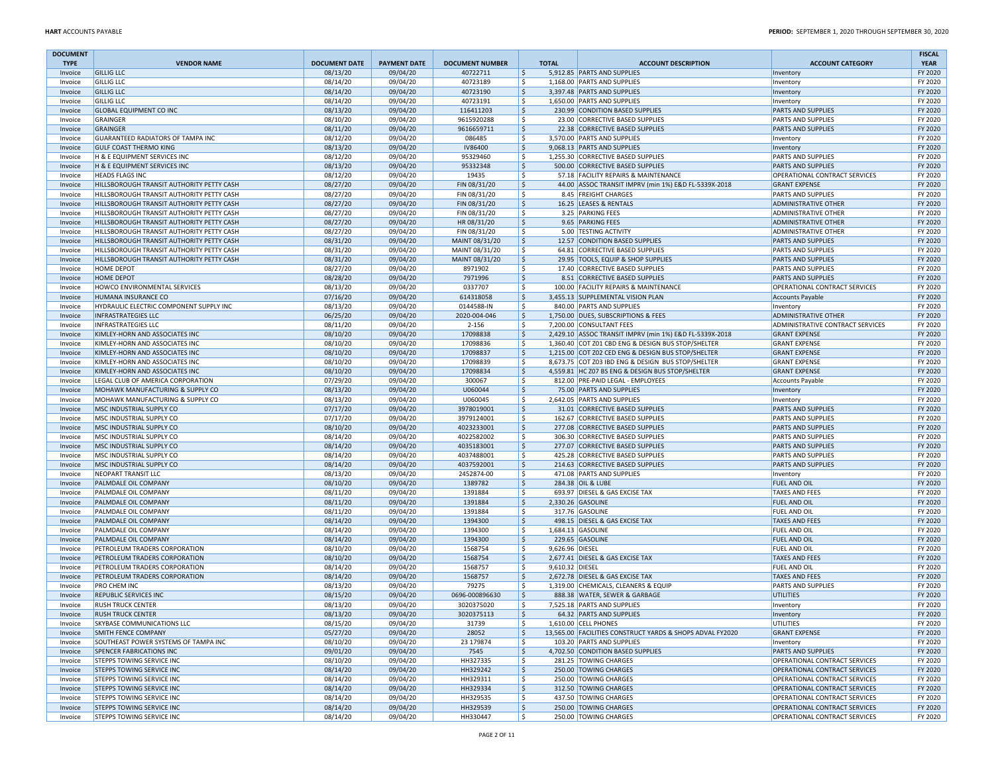| <b>DOCUMENT</b>    |                                                                                        |                      |                      |                                  |                              |                                                                   |                                                        | <b>FISCAL</b>      |
|--------------------|----------------------------------------------------------------------------------------|----------------------|----------------------|----------------------------------|------------------------------|-------------------------------------------------------------------|--------------------------------------------------------|--------------------|
| <b>TYPE</b>        | <b>VENDOR NAME</b>                                                                     | <b>DOCUMENT DATE</b> | <b>PAYMENT DATE</b>  | <b>DOCUMENT NUMBER</b>           | <b>TOTAL</b>                 | <b>ACCOUNT DESCRIPTION</b>                                        | <b>ACCOUNT CATEGORY</b>                                | <b>YEAR</b>        |
| Invoice            | <b>GILLIG LLC</b>                                                                      | 08/13/20             | 09/04/20             | 40722711                         | S,                           | 5,912.85 PARTS AND SUPPLIES                                       | Inventory                                              | FY 2020            |
| Invoice            | <b>GILLIG LLC</b>                                                                      | 08/14/20             | 09/04/20             | 40723189                         | \$                           | 1,168.00 PARTS AND SUPPLIES                                       | Inventory                                              | FY 2020            |
| Invoice            | <b>GILLIG LLC</b>                                                                      | 08/14/20             | 09/04/20             | 40723190                         | \$                           | 3,397.48 PARTS AND SUPPLIES                                       | Inventory                                              | FY 2020            |
| Invoice<br>Invoice | <b>GILLIG LLC</b><br><b>GLOBAL EQUIPMENT CO INC</b>                                    | 08/14/20<br>08/13/20 | 09/04/20<br>09/04/20 | 40723191<br>116411203            | \$<br> \$                    | 1,650.00 PARTS AND SUPPLIES<br>230.99 CONDITION BASED SUPPLIES    | Inventory<br><b>PARTS AND SUPPLIES</b>                 | FY 2020<br>FY 2020 |
| Invoice            | GRAINGER                                                                               | 08/10/20             | 09/04/20             | 9615920288                       | \$                           | 23.00 CORRECTIVE BASED SUPPLIES                                   | <b>PARTS AND SUPPLIES</b>                              | FY 2020            |
| Invoice            | GRAINGER                                                                               | 08/11/20             | 09/04/20             | 9616659711                       | ۱\$                          | 22.38 CORRECTIVE BASED SUPPLIES                                   | <b>PARTS AND SUPPLIES</b>                              | FY 2020            |
| Invoice            | <b>GUARANTEED RADIATORS OF TAMPA INC</b>                                               | 08/12/20             | 09/04/20             | 086485                           | -Ś                           | 3,570.00 PARTS AND SUPPLIES                                       | Inventory                                              | FY 2020            |
| Invoice            | <b>GULF COAST THERMO KING</b>                                                          | 08/13/20             | 09/04/20             | <b>IV86400</b>                   | ۱\$                          | 9,068.13 PARTS AND SUPPLIES                                       | Inventory                                              | FY 2020            |
| Invoice            | H & E EQUIPMENT SERVICES INC                                                           | 08/12/20             | 09/04/20             | 95329460                         | \$                           | 1,255.30 CORRECTIVE BASED SUPPLIES                                | <b>PARTS AND SUPPLIES</b>                              | FY 2020            |
| Invoice            | H & E EQUIPMENT SERVICES INC                                                           | 08/13/20             | 09/04/20             | 95332348                         | ۱\$                          | 500.00 CORRECTIVE BASED SUPPLIES                                  | <b>PARTS AND SUPPLIES</b>                              | FY 2020            |
| Invoice            | <b>HEADS FLAGS INC</b>                                                                 | 08/12/20             | 09/04/20             | 19435                            | \$                           | 57.18 FACILITY REPAIRS & MAINTENANCE                              | OPERATIONAL CONTRACT SERVICES                          | FY 2020            |
| Invoice            | HILLSBOROUGH TRANSIT AUTHORITY PETTY CASH                                              | 08/27/20             | 09/04/20             | FIN 08/31/20                     | ۱\$.                         | 44.00 ASSOC TRANSIT IMPRV (min 1%) E&D FL-5339X-2018              | <b>GRANT EXPENSE</b>                                   | FY 2020            |
| Invoice            | HILLSBOROUGH TRANSIT AUTHORITY PETTY CASH                                              | 08/27/20             | 09/04/20             | FIN 08/31/20                     | \$                           | 8.45 FREIGHT CHARGES                                              | <b>PARTS AND SUPPLIES</b>                              | FY 2020            |
| Invoice            | HILLSBOROUGH TRANSIT AUTHORITY PETTY CASH                                              | 08/27/20             | 09/04/20             | FIN 08/31/20                     | \$                           | 16.25 LEASES & RENTALS                                            | <b>ADMINISTRATIVE OTHER</b>                            | FY 2020            |
| Invoice            | HILLSBOROUGH TRANSIT AUTHORITY PETTY CASH                                              | 08/27/20             | 09/04/20             | FIN 08/31/20                     | \$                           | 3.25 PARKING FEES                                                 | <b>ADMINISTRATIVE OTHER</b>                            | FY 2020            |
| Invoice            | HILLSBOROUGH TRANSIT AUTHORITY PETTY CASH                                              | 08/27/20             | 09/04/20             | HR 08/31/20                      | \$                           | 9.65 PARKING FEES                                                 | <b>ADMINISTRATIVE OTHER</b>                            | FY 2020            |
| Invoice            | HILLSBOROUGH TRANSIT AUTHORITY PETTY CASH                                              | 08/27/20             | 09/04/20             | FIN 08/31/20                     | \$                           | 5.00 TESTING ACTIVITY                                             | <b>ADMINISTRATIVE OTHER</b>                            | FY 2020<br>FY 2020 |
| Invoice            | HILLSBOROUGH TRANSIT AUTHORITY PETTY CASH<br>HILLSBOROUGH TRANSIT AUTHORITY PETTY CASH | 08/31/20<br>08/31/20 | 09/04/20<br>09/04/20 | MAINT 08/31/20<br>MAINT 08/31/20 | \$<br>\$                     | 12.57 CONDITION BASED SUPPLIES<br>64.81 CORRECTIVE BASED SUPPLIES | <b>PARTS AND SUPPLIES</b><br><b>PARTS AND SUPPLIES</b> | FY 2020            |
| Invoice<br>Invoice | HILLSBOROUGH TRANSIT AUTHORITY PETTY CASH                                              | 08/31/20             | 09/04/20             | MAINT 08/31/20                   | \$                           | 29.95 TOOLS, EQUIP & SHOP SUPPLIES                                | <b>PARTS AND SUPPLIES</b>                              | FY 2020            |
| Invoice            | <b>HOME DEPOT</b>                                                                      | 08/27/20             | 09/04/20             | 8971902                          | \$                           | 17.40 CORRECTIVE BASED SUPPLIES                                   | <b>PARTS AND SUPPLIES</b>                              | FY 2020            |
| Invoice            | <b>HOME DEPOT</b>                                                                      | 08/28/20             | 09/04/20             | 7971996                          | \$                           | 8.51 CORRECTIVE BASED SUPPLIES                                    | <b>PARTS AND SUPPLIES</b>                              | FY 2020            |
| Invoice            | HOWCO ENVIRONMENTAL SERVICES                                                           | 08/13/20             | 09/04/20             | 0337707                          | <sub>S</sub>                 | 100.00 FACILITY REPAIRS & MAINTENANCE                             | OPERATIONAL CONTRACT SERVICES                          | FY 2020            |
| Invoice            | HUMANA INSURANCE CO                                                                    | 07/16/20             | 09/04/20             | 614318058                        | 5                            | 3,455.13 SUPPLEMENTAL VISION PLAN                                 | <b>Accounts Payable</b>                                | FY 2020            |
| Invoice            | HYDRAULIC ELECTRIC COMPONENT SUPPLY INC                                                | 08/13/20             | 09/04/20             | 0144588-IN                       | \$                           | 840.00 PARTS AND SUPPLIES                                         | Inventory                                              | FY 2020            |
| Invoice            | <b>INFRASTRATEGIES LLC</b>                                                             | 06/25/20             | 09/04/20             | 2020-004-046                     | 5                            | 1,750.00 DUES, SUBSCRIPTIONS & FEES                               | <b>ADMINISTRATIVE OTHER</b>                            | FY 2020            |
| Invoice            | <b>INFRASTRATEGIES LLC</b>                                                             | 08/11/20             | 09/04/20             | $2 - 156$                        | l \$                         | 7,200.00 CONSULTANT FEES                                          | ADMINISTRATIVE CONTRACT SERVICES                       | FY 2020            |
| Invoice            | KIMLEY-HORN AND ASSOCIATES INC                                                         | 08/10/20             | 09/04/20             | 17098838                         | \$                           | 2,429.10 ASSOC TRANSIT IMPRV (min 1%) E&D FL-5339X-2018           | <b>GRANT EXPENSE</b>                                   | FY 2020            |
| Invoice            | KIMLEY-HORN AND ASSOCIATES INC                                                         | 08/10/20             | 09/04/20             | 17098836                         | \$                           | 1,360.40 COT Z01 CBD ENG & DESIGN BUS STOP/SHELTER                | <b>GRANT EXPENSE</b>                                   | FY 2020            |
| Invoice            | KIMLEY-HORN AND ASSOCIATES INC                                                         | 08/10/20             | 09/04/20             | 17098837                         | \$                           | 1,215.00 COT Z02 CED ENG & DESIGN BUS STOP/SHELTER                | <b>GRANT EXPENSE</b>                                   | FY 2020            |
| Invoice            | KIMLEY-HORN AND ASSOCIATES INC                                                         | 08/10/20             | 09/04/20             | 17098839                         | l \$                         | 8.673.75 COT Z03 IBD ENG & DESIGN BUS STOP/SHELTER                | <b>GRANT EXPENSE</b>                                   | FY 2020            |
| Invoice            | KIMLEY-HORN AND ASSOCIATES INC                                                         | 08/10/20             | 09/04/20             | 17098834                         | \$                           | 4,559.81 HC Z07 BS ENG & DESIGN BUS STOP/SHELTER                  | <b>GRANT EXPENSE</b>                                   | FY 2020            |
| Invoice            | LEGAL CLUB OF AMERICA CORPORATION                                                      | 07/29/20             | 09/04/20             | 300067                           | l \$                         | 812.00 PRE-PAID LEGAL - EMPLOYEES                                 | <b>Accounts Payable</b>                                | FY 2020            |
| Invoice            | MOHAWK MANUFACTURING & SUPPLY CO                                                       | 08/13/20             | 09/04/20             | U060044                          | \$                           | 75.00 PARTS AND SUPPLIES                                          | Inventory                                              | FY 2020            |
| Invoice            | MOHAWK MANUFACTURING & SUPPLY CO<br>MSC INDUSTRIAL SUPPLY CO                           | 08/13/20             | 09/04/20             | U060045<br>3978019001            | l \$                         | 2.642.05 PARTS AND SUPPLIES<br>31.01 CORRECTIVE BASED SUPPLIES    | Inventory<br><b>PARTS AND SUPPLIES</b>                 | FY 2020<br>FY 2020 |
| Invoice<br>Invoice | MSC INDUSTRIAL SUPPLY CO                                                               | 07/17/20<br>07/17/20 | 09/04/20<br>09/04/20 | 3979124001                       | \$<br>۱\$.                   | 162.67 CORRECTIVE BASED SUPPLIES                                  | <b>PARTS AND SUPPLIES</b>                              | FY 2020            |
| Invoice            | MSC INDUSTRIAL SUPPLY CO                                                               | 08/10/20             | 09/04/20             | 4023233001                       | $\ddot{\varsigma}$           | 277.08 CORRECTIVE BASED SUPPLIES                                  | <b>PARTS AND SUPPLIES</b>                              | FY 2020            |
| Invoice            | MSC INDUSTRIAL SUPPLY CO                                                               | 08/14/20             | 09/04/20             | 4022582002                       | \$                           | 306.30 CORRECTIVE BASED SUPPLIES                                  | <b>PARTS AND SUPPLIES</b>                              | FY 2020            |
| Invoice            | MSC INDUSTRIAL SUPPLY CO                                                               | 08/14/20             | 09/04/20             | 4035183001                       | \$                           | 277.07 CORRECTIVE BASED SUPPLIES                                  | <b>PARTS AND SUPPLIES</b>                              | FY 2020            |
| Invoice            | MSC INDUSTRIAL SUPPLY CO                                                               | 08/14/20             | 09/04/20             | 4037488001                       | \$                           | 425.28 CORRECTIVE BASED SUPPLIES                                  | <b>PARTS AND SUPPLIES</b>                              | FY 2020            |
| Invoice            | MSC INDUSTRIAL SUPPLY CO                                                               | 08/14/20             | 09/04/20             | 4037592001                       | $\ddot{\varsigma}$           | 214.63 CORRECTIVE BASED SUPPLIES                                  | <b>PARTS AND SUPPLIES</b>                              | FY 2020            |
| Invoice            | NEOPART TRANSIT LLC                                                                    | 08/13/20             | 09/04/20             | 2452874-00                       | \$                           | 471.08 PARTS AND SUPPLIES                                         | Inventory                                              | FY 2020            |
| Invoice            | PALMDALE OIL COMPANY                                                                   | 08/10/20             | 09/04/20             | 1389782                          | Ŝ.                           | 284.38 OIL & LUBE                                                 | <b>FUEL AND OIL</b>                                    | FY 2020            |
| Invoice            | PALMDALE OIL COMPANY                                                                   | 08/11/20             | 09/04/20             | 1391884                          | -\$                          | 693.97 DIESEL & GAS EXCISE TAX                                    | <b>TAXES AND FEES</b>                                  | FY 2020            |
| Invoice            | PALMDALE OIL COMPANY                                                                   | 08/11/20             | 09/04/20             | 1391884                          | \$                           | 2,330.26 GASOLINE                                                 | <b>FUEL AND OIL</b>                                    | FY 2020            |
| Invoice            | PALMDALE OIL COMPANY                                                                   | 08/11/20             | 09/04/20             | 1391884                          | \$                           | 317.76 GASOLINE                                                   | <b>FUEL AND OIL</b>                                    | FY 2020            |
| Invoice            | PALMDALE OIL COMPANY                                                                   | 08/14/20             | 09/04/20             | 1394300                          | $\mathsf{S}$                 | 498.15 DIESEL & GAS EXCISE TAX                                    | <b>TAXES AND FEES</b>                                  | FY 2020            |
| Invoice            | PALMDALE OIL COMPANY                                                                   | 08/14/20             | 09/04/20             | 1394300                          | \$                           | 1,684.13 GASOLINE                                                 | <b>FUEL AND OIL</b>                                    | FY 2020            |
| Invoice            | PALMDALE OIL COMPANY                                                                   | 08/14/20             | 09/04/20             | 1394300                          | \$                           | 229.65 GASOLINE                                                   | <b>FUEL AND OIL</b>                                    | FY 2020            |
| Invoice            | PETROLEUM TRADERS CORPORATION                                                          | 08/10/20             | 09/04/20             | 1568754                          | \$<br>9,626.96 DIESEL        |                                                                   | <b>FUEL AND OIL</b>                                    | FY 2020            |
| Invoice            | PETROLEUM TRADERS CORPORATION<br>PETROLEUM TRADERS CORPORATION                         | 08/10/20             | 09/04/20<br>09/04/20 | 1568754<br>1568757               | \$<br>-\$<br>9,610.32 DIESEL | 2,677.41 DIESEL & GAS EXCISE TAX                                  | <b>TAXES AND FEES</b><br><b>FUEL AND OIL</b>           | FY 2020<br>FY 2020 |
| Invoice<br>Invoice | PETROLEUM TRADERS CORPORATION                                                          | 08/14/20<br>08/14/20 | 09/04/20             | 1568757                          | \$                           | 2,672.78 DIESEL & GAS EXCISE TAX                                  | <b>TAXES AND FEES</b>                                  | FY 2020            |
| Invoice            | <b>PRO CHEM INC</b>                                                                    | 08/13/20             | 09/04/20             | 79275                            | \$                           | 1.319.00 CHEMICALS, CLEANERS & EQUIP                              | PARTS AND SUPPLIES                                     | FY 2020            |
| Invoice            | <b>REPUBLIC SERVICES INC</b>                                                           | 08/15/20             | 09/04/20             | 0696-000896630                   | l \$                         | 888.38 WATER, SEWER & GARBAGE                                     | UTILITIES                                              | FY 2020            |
| Invoice            | <b>RUSH TRUCK CENTER</b>                                                               | 08/13/20             | 09/04/20             | 3020375020                       | \$                           | 7,525.18 PARTS AND SUPPLIES                                       | Inventory                                              | FY 2020            |
| Invoice            | <b>RUSH TRUCK CENTER</b>                                                               | 08/13/20             | 09/04/20             | 3020375113                       | 1\$                          | 64.32 PARTS AND SUPPLIES                                          | Inventory                                              | FY 2020            |
| Invoice            | SKYBASE COMMUNICATIONS LLC                                                             | 08/15/20             | 09/04/20             | 31739                            | S,                           | 1,610.00 CELL PHONES                                              | UTILITIES                                              | FY 2020            |
| Invoice            | SMITH FENCE COMPANY                                                                    | 05/27/20             | 09/04/20             | 28052                            | ls.                          | 13,565.00 FACILITIES CONSTRUCT YARDS & SHOPS ADVAL FY2020         | <b>GRANT EXPENSE</b>                                   | FY 2020            |
| Invoice            | SOUTHEAST POWER SYSTEMS OF TAMPA INC                                                   | 08/10/20             | 09/04/20             | 23 179874                        | l \$                         | 103.20 PARTS AND SUPPLIES                                         | Inventory                                              | FY 2020            |
| Invoice            | <b>SPENCER FABRICATIONS INC</b>                                                        | 09/01/20             | 09/04/20             | 7545                             | I\$                          | 4,702.50 CONDITION BASED SUPPLIES                                 | <b>PARTS AND SUPPLIES</b>                              | FY 2020            |
| Invoice            | <b>STEPPS TOWING SERVICE INC</b>                                                       | 08/10/20             | 09/04/20             | HH327335                         | \$                           | 281.25 TOWING CHARGES                                             | OPERATIONAL CONTRACT SERVICES                          | FY 2020            |
| Invoice            | <b>STEPPS TOWING SERVICE INC</b>                                                       | 08/14/20             | 09/04/20             | HH329242                         | \$                           | 250.00 TOWING CHARGES                                             | OPERATIONAL CONTRACT SERVICES                          | FY 2020            |
| Invoice            | <b>STEPPS TOWING SERVICE INC</b>                                                       | 08/14/20             | 09/04/20             | HH329311                         | \$                           | 250.00 TOWING CHARGES                                             | OPERATIONAL CONTRACT SERVICES                          | FY 2020            |
| Invoice            | <b>STEPPS TOWING SERVICE INC</b>                                                       | 08/14/20             | 09/04/20             | HH329334                         | \$                           | 312.50 TOWING CHARGES                                             | OPERATIONAL CONTRACT SERVICES                          | FY 2020            |
| Invoice            | STEPPS TOWING SERVICE INC                                                              | 08/14/20             | 09/04/20             | HH329535                         | \$                           | 437.50 TOWING CHARGES                                             | OPERATIONAL CONTRACT SERVICES                          | FY 2020            |
| Invoice            | <b>STEPPS TOWING SERVICE INC</b><br><b>STEPPS TOWING SERVICE INC</b>                   | 08/14/20             | 09/04/20             | HH329539                         | S,                           | 250.00 TOWING CHARGES                                             | OPERATIONAL CONTRACT SERVICES                          | FY 2020            |
| Invoice            |                                                                                        | 08/14/20             | 09/04/20             | HH330447                         | \$                           | 250.00 TOWING CHARGES                                             | OPERATIONAL CONTRACT SERVICES                          | FY 2020            |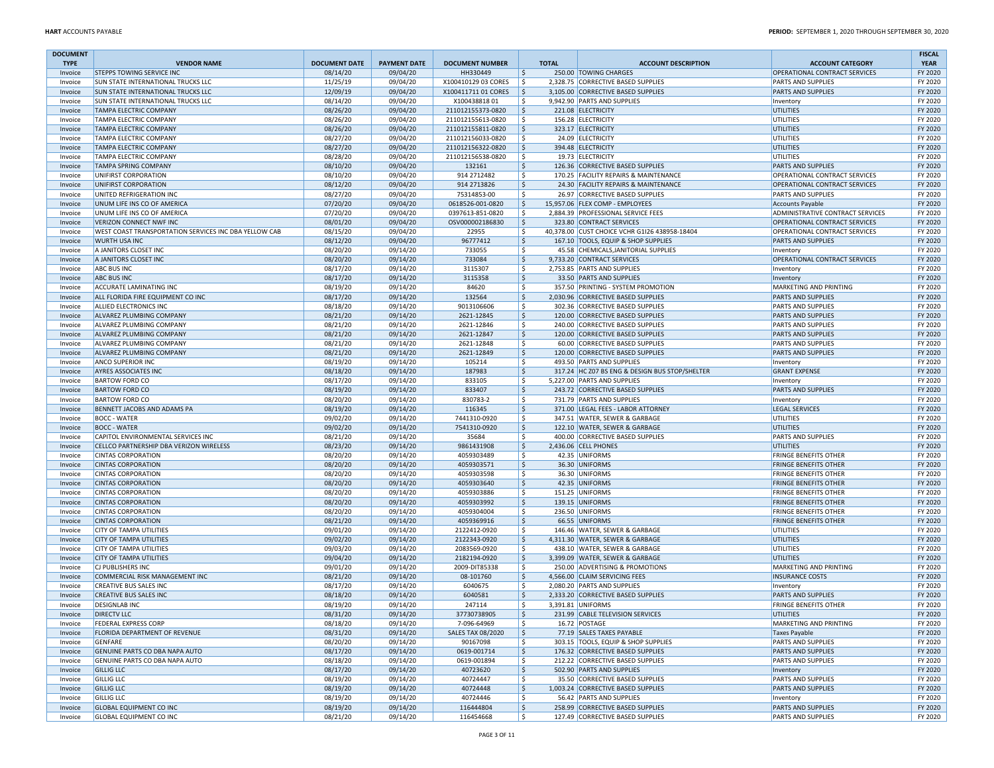| <b>DOCUMENT</b> |                                                             |                      |                     |                               |                    |                                                                    |                                           | <b>FISCAL</b>      |
|-----------------|-------------------------------------------------------------|----------------------|---------------------|-------------------------------|--------------------|--------------------------------------------------------------------|-------------------------------------------|--------------------|
| <b>TYPE</b>     | <b>VENDOR NAME</b>                                          | <b>DOCUMENT DATE</b> | <b>PAYMENT DATE</b> | <b>DOCUMENT NUMBER</b>        | <b>TOTAL</b>       | <b>ACCOUNT DESCRIPTION</b>                                         | <b>ACCOUNT CATEGORY</b>                   | <b>YEAR</b>        |
| Invoice         | STEPPS TOWING SERVICE INC                                   | 08/14/20             | 09/04/20            | HH330449                      | \$                 | 250.00 TOWING CHARGES                                              | OPERATIONAL CONTRACT SERVICES             | FY 2020            |
| Invoice         | SUN STATE INTERNATIONAL TRUCKS LLC                          | 11/25/19             | 09/04/20            | X100410129 03 CORES           | $\vert$ \$         | 2,328.75 CORRECTIVE BASED SUPPLIES                                 | <b>PARTS AND SUPPLIES</b>                 | FY 2020            |
| Invoice         | SUN STATE INTERNATIONAL TRUCKS LLC                          | 12/09/19             | 09/04/20            | X100411711 01 CORES           | ۱\$.               | 3,105.00 CORRECTIVE BASED SUPPLIES                                 | <b>PARTS AND SUPPLIES</b>                 | FY 2020            |
| Invoice         | SUN STATE INTERNATIONAL TRUCKS LLC                          | 08/14/20             | 09/04/20            | X10043881801                  | \$                 | 9,942.90 PARTS AND SUPPLIES                                        | Inventory                                 | FY 2020            |
| Invoice         | TAMPA ELECTRIC COMPANY                                      | 08/26/20             | 09/04/20            | 211012155373-0820             | ۱\$                | 221.08 ELECTRICITY                                                 | UTILITIES                                 | FY 2020            |
| Invoice         | <b>TAMPA ELECTRIC COMPANY</b>                               | 08/26/20             | 09/04/20            | 211012155613-0820             | \$                 | 156.28 ELECTRICITY                                                 | UTILITIES                                 | FY 2020            |
| Invoice         | <b>TAMPA ELECTRIC COMPANY</b>                               | 08/26/20             | 09/04/20            | 211012155811-0820             | ۱\$                | 323.17 ELECTRICITY                                                 | UTILITIES                                 | FY 2020            |
| Invoice         | <b>TAMPA ELECTRIC COMPANY</b>                               | 08/27/20             | 09/04/20            | 211012156033-0820             | \$                 | 24.09 ELECTRICITY                                                  | UTILITIES                                 | FY 2020            |
| Invoice         | <b>TAMPA ELECTRIC COMPANY</b>                               | 08/27/20             | 09/04/20            | 211012156322-0820             | ۱\$                | 394.48 ELECTRICITY                                                 | UTILITIES                                 | FY 2020            |
| Invoice         | TAMPA ELECTRIC COMPANY                                      | 08/28/20             | 09/04/20            | 211012156538-0820             | \$                 | 19.73 ELECTRICITY                                                  | UTILITIES                                 | FY 2020            |
| Invoice         | <b>TAMPA SPRING COMPANY</b>                                 | 08/10/20             | 09/04/20            | 132161                        | l\$                | 126.36 CORRECTIVE BASED SUPPLIES                                   | <b>PARTS AND SUPPLIES</b>                 | FY 2020            |
| Invoice         | UNIFIRST CORPORATION                                        | 08/10/20             | 09/04/20            | 914 2712482                   | \$                 | 170.25 FACILITY REPAIRS & MAINTENANCE                              | OPERATIONAL CONTRACT SERVICES             | FY 2020            |
| Invoice         | UNIFIRST CORPORATION                                        | 08/12/20             | 09/04/20            | 914 2713826                   | \$                 | 24.30 FACILITY REPAIRS & MAINTENANCE                               | OPERATIONAL CONTRACT SERVICES             | FY 2020            |
| Invoice         | UNITED REFRIGERATION INC                                    | 08/27/20             | 09/04/20            | 75314853-00                   | l\$                | 26.97 CORRECTIVE BASED SUPPLIES                                    | <b>PARTS AND SUPPLIES</b>                 | FY 2020            |
| Invoice         | UNUM LIFE INS CO OF AMERICA                                 | 07/20/20             | 09/04/20            | 0618526-001-0820              | \$                 | 15,957.06 FLEX COMP - EMPLOYEES                                    | Accounts Payable                          | FY 2020            |
| Invoice         | UNUM LIFE INS CO OF AMERICA                                 | 07/20/20             | 09/04/20            | 0397613-851-0820              | l \$               | 2,884.39 PROFESSIONAL SERVICE FEES                                 | <b>ADMINISTRATIVE CONTRACT SERVICES</b>   | FY 2020            |
| Invoice         | <b>VERIZON CONNECT NWF INC</b>                              | 08/01/20             | 09/04/20            | OSV000002186830               | ۱\$                | 323.80 CONTRACT SERVICES                                           | <b>OPERATIONAL CONTRACT SERVICES</b>      | FY 2020            |
| Invoice         | WEST COAST TRANSPORTATION SERVICES INC DBA YELLOW CAB       | 08/15/20             | 09/04/20            | 22955                         | l \$               | 40,378.00 CUST CHOICE VCHR G1I26 438958-18404                      | <b>OPERATIONAL CONTRACT SERVICES</b>      | FY 2020            |
| Invoice         | <b>WURTH USA INC</b>                                        | 08/12/20             | 09/04/20            | 96777412                      | \$                 | 167.10 TOOLS, EQUIP & SHOP SUPPLIES                                | <b>PARTS AND SUPPLIES</b>                 | FY 2020            |
| Invoice         | A JANITORS CLOSET INC                                       | 08/20/20             | 09/14/20            | 733055                        | \$                 | 45.58 CHEMICALS, JANITORIAL SUPPLIES                               | Inventory                                 | FY 2020            |
| Invoice         | A JANITORS CLOSET INC                                       | 08/20/20             | 09/14/20            | 733084                        | \$                 | 9,733.20 CONTRACT SERVICES                                         | OPERATIONAL CONTRACT SERVICES             | FY 2020            |
| Invoice         | ABC BUS INC                                                 | 08/17/20             | 09/14/20            | 3115307                       | \$                 | 2,753.85 PARTS AND SUPPLIES                                        | Inventory                                 | FY 2020            |
| Invoice         | <b>ABC BUS INC</b>                                          | 08/17/20             | 09/14/20            | 3115358                       | $\ddot{\varsigma}$ | 33.50 PARTS AND SUPPLIES                                           | Inventory                                 | FY 2020            |
| Invoice         | ACCURATE LAMINATING INC                                     | 08/19/20             | 09/14/20            | 84620                         | \$                 | 357.50 PRINTING - SYSTEM PROMOTION                                 | MARKETING AND PRINTING                    | FY 2020            |
| Invoice         | ALL FLORIDA FIRE EQUIPMENT CO INC                           | 08/17/20             | 09/14/20            | 132564                        | \$                 | 2,030.96 CORRECTIVE BASED SUPPLIES                                 | PARTS AND SUPPLIES                        | FY 2020            |
| Invoice         | ALLIED ELECTRONICS INC                                      | 08/18/20             | 09/14/20            | 9013106606                    | \$                 | 302.36 CORRECTIVE BASED SUPPLIES                                   | <b>PARTS AND SUPPLIES</b>                 | FY 2020            |
| Invoice         | ALVAREZ PLUMBING COMPANY                                    | 08/21/20             | 09/14/20            | 2621-12845                    | \$                 | 120.00 CORRECTIVE BASED SUPPLIES                                   | <b>PARTS AND SUPPLIES</b>                 | FY 2020            |
| Invoice         | ALVAREZ PLUMBING COMPANY                                    | 08/21/20             | 09/14/20            | 2621-12846                    | \$                 | 240.00 CORRECTIVE BASED SUPPLIES                                   | <b>PARTS AND SUPPLIES</b>                 | FY 2020            |
| Invoice         | ALVAREZ PLUMBING COMPANY                                    | 08/21/20             | 09/14/20            | 2621-12847                    | 5                  | 120.00 CORRECTIVE BASED SUPPLIES                                   | <b>PARTS AND SUPPLIES</b>                 | FY 2020            |
| Invoice         | ALVAREZ PLUMBING COMPANY                                    | 08/21/20             | 09/14/20            | 2621-12848                    | \$                 | 60.00 CORRECTIVE BASED SUPPLIES                                    | <b>PARTS AND SUPPLIES</b>                 | FY 2020            |
| Invoice         | ALVAREZ PLUMBING COMPANY                                    | 08/21/20             | 09/14/20            | 2621-12849                    | \$                 | 120.00 CORRECTIVE BASED SUPPLIES                                   | <b>PARTS AND SUPPLIES</b>                 | FY 2020            |
| Invoice         | ANCO SUPERIOR INC                                           | 08/19/20             | 09/14/20            | 105214                        | \$                 | 493.50 PARTS AND SUPPLIES                                          | Inventory                                 | FY 2020            |
| Invoice         | <b>AYRES ASSOCIATES INC</b>                                 | 08/18/20             | 09/14/20            | 187983                        | \$                 | 317.24 HC Z07 BS ENG & DESIGN BUS STOP/SHELTER                     | <b>GRANT EXPENSE</b>                      | FY 2020            |
| Invoice         | <b>BARTOW FORD CO</b>                                       | 08/17/20             | 09/14/20            | 833105                        | \$                 | 5.227.00 PARTS AND SUPPLIES                                        | Inventory                                 | FY 2020            |
| Invoice         | <b>BARTOW FORD CO</b>                                       | 08/19/20             | 09/14/20            | 833407                        | l \$               | 243.72 CORRECTIVE BASED SUPPLIES                                   | <b>PARTS AND SUPPLIES</b>                 | FY 2020            |
| Invoice         | <b>BARTOW FORD CO</b>                                       | 08/20/20             | 09/14/20            | 830783-2                      | \$                 | 731.79 PARTS AND SUPPLIES                                          | Inventory                                 | FY 2020            |
| Invoice         | BENNETT JACOBS AND ADAMS PA                                 | 08/19/20             | 09/14/20            | 116345                        | \$                 | 371.00 LEGAL FEES - LABOR ATTORNEY                                 | LEGAL SERVICES                            | FY 2020            |
| Invoice         | <b>BOCC - WATER</b>                                         | 09/02/20             | 09/14/20            | 7441310-0920                  | ۱\$.               | 347.51 WATER, SEWER & GARBAGE                                      | UTILITIES                                 | FY 2020            |
| Invoice         | <b>BOCC - WATER</b>                                         | 09/02/20             | 09/14/20            | 7541310-0920                  | l\$                | 122.10 WATER, SEWER & GARBAGE                                      | UTILITIES                                 | FY 2020            |
| Invoice         | CAPITOL ENVIRONMENTAL SERVICES INC                          | 08/21/20             | 09/14/20            | 35684                         | \$                 | 400.00 CORRECTIVE BASED SUPPLIES                                   | <b>PARTS AND SUPPLIES</b>                 | FY 2020            |
| Invoice         | CELLCO PARTNERSHIP DBA VERIZON WIRELESS                     | 08/23/20             | 09/14/20            | 9861431908                    | l\$                | 2,436.06 CELL PHONES                                               | UTILITIES                                 | FY 2020            |
| Invoice         | <b>CINTAS CORPORATION</b>                                   | 08/20/20             | 09/14/20            | 4059303489                    | \$                 | 42.35 UNIFORMS                                                     | <b>FRINGE BENEFITS OTHER</b>              | FY 2020            |
| Invoice         | <b>CINTAS CORPORATION</b>                                   | 08/20/20             | 09/14/20            | 4059303571                    | l\$                | 36.30 UNIFORMS                                                     | <b>FRINGE BENEFITS OTHER</b>              | FY 2020            |
| Invoice         | <b>CINTAS CORPORATION</b>                                   | 08/20/20             | 09/14/20            | 4059303598                    | \$                 | 36.30 UNIFORMS                                                     | <b>FRINGE BENEFITS OTHER</b>              | FY 2020            |
| Invoice         | <b>CINTAS CORPORATION</b>                                   | 08/20/20             | 09/14/20            | 4059303640                    | \$                 | 42.35 UNIFORMS                                                     | <b>FRINGE BENEFITS OTHER</b>              | FY 2020            |
| Invoice         | <b>CINTAS CORPORATION</b>                                   | 08/20/20             | 09/14/20            | 4059303886                    | \$                 | 151.25 UNIFORMS                                                    | <b>FRINGE BENEFITS OTHER</b>              | FY 2020            |
| Invoice         | <b>CINTAS CORPORATION</b>                                   | 08/20/20             | 09/14/20            | 4059303992                    | \$                 | 139.15 UNIFORMS                                                    | <b>FRINGE BENEFITS OTHER</b>              | FY 2020            |
| Invoice         | <b>CINTAS CORPORATION</b>                                   | 08/20/20             | 09/14/20            | 4059304004                    | \$                 | 236.50 UNIFORMS                                                    | <b>FRINGE BENEFITS OTHER</b>              | FY 2020            |
| Invoice         |                                                             | 08/21/20             | 09/14/20            |                               | \$                 |                                                                    |                                           | FY 2020            |
| Invoice         | <b>CINTAS CORPORATION</b><br><b>CITY OF TAMPA UTILITIES</b> | 09/01/20             | 09/14/20            | 4059369916<br>2122412-0920    | \$                 | 66.55 UNIFORMS<br>146.46 WATER, SEWER & GARBAGE                    | <b>FRINGE BENEFITS OTHER</b><br>UTILITIES | FY 2020            |
| Invoice         | <b>CITY OF TAMPA UTILITIES</b>                              | 09/02/20             | 09/14/20            | 2122343-0920                  | ۱\$                | 4,311.30 WATER, SEWER & GARBAGE                                    | UTILITIES                                 | FY 2020            |
| Invoice         | <b>CITY OF TAMPA UTILITIES</b>                              | 09/03/20             | 09/14/20            | 2083569-0920                  | \$                 | 438.10 WATER, SEWER & GARBAGE                                      | UTILITIES                                 | FY 2020            |
|                 |                                                             |                      | 09/14/20            |                               | \$                 |                                                                    | UTILITIES                                 | FY 2020            |
| Invoice         | <b>CITY OF TAMPA UTILITIES</b><br>CJ PUBLISHERS INC         | 09/04/20<br>09/01/20 | 09/14/20            | 2182194-0920<br>2009-DIT85338 | l\$                | 3,399.09 WATER, SEWER & GARBAGE<br>250.00 ADVERTISING & PROMOTIONS | MARKETING AND PRINTING                    | FY 2020            |
| Invoice         |                                                             |                      |                     |                               |                    |                                                                    |                                           |                    |
| Invoice         | COMMERCIAL RISK MANAGEMENT INC                              | 08/21/20             | 09/14/20            | 08-101760                     | \$                 | 4,566.00 CLAIM SERVICING FEES                                      | <b>INSURANCE COSTS</b>                    | FY 2020            |
| Invoice         | <b>CREATIVE BUS SALES INC</b>                               | 08/17/20             | 09/14/20            | 6040675                       | ۱\$                | 2,080.20 PARTS AND SUPPLIES                                        | Inventory                                 | FY 2020            |
| Invoice         | <b>CREATIVE BUS SALES INC</b><br><b>DESIGNLAB INC</b>       | 08/18/20             | 09/14/20            | 6040581<br>247114             | \$<br>l \$         | 2,333.20 CORRECTIVE BASED SUPPLIES                                 | <b>PARTS AND SUPPLIES</b>                 | FY 2020<br>FY 2020 |
| Invoice         |                                                             | 08/19/20             | 09/14/20            |                               |                    | 3,391.81 UNIFORMS                                                  | <b>FRINGE BENEFITS OTHER</b>              |                    |
| Invoice         | <b>DIRECTV LLC</b>                                          | 08/31/20             | 09/14/20            | 37730738905                   | I Ş.               | 231.99 CABLE TELEVISION SERVICES                                   | IUTILITIES                                | FY 2020            |
| Invoice         | <b>FEDERAL EXPRESS CORP</b>                                 | 08/18/20             | 09/14/20            | 7-096-64969                   | ۱\$.               | 16.72 POSTAGE                                                      | MARKETING AND PRINTING                    | FY 2020            |
| Invoice         | FLORIDA DEPARTMENT OF REVENUE                               | 08/31/20             | 09/14/20            | <b>SALES TAX 08/2020</b>      | \$                 | 77.19 SALES TAXES PAYABLE                                          | Taxes Payable                             | FY 2020            |
| Invoice         | GENFARE                                                     | 08/20/20             | 09/14/20            | 90167098                      | \$                 | 303.15 TOOLS, EQUIP & SHOP SUPPLIES                                | PARTS AND SUPPLIES                        | FY 2020            |
| Invoice         | GENUINE PARTS CO DBA NAPA AUTO                              | 08/17/20             | 09/14/20            | 0619-001714                   | ۱\$                | 176.32 CORRECTIVE BASED SUPPLIES                                   | <b>PARTS AND SUPPLIES</b>                 | FY 2020            |
| Invoice         | GENUINE PARTS CO DBA NAPA AUTO                              | 08/18/20             | 09/14/20            | 0619-001894                   | l\$                | 212.22 CORRECTIVE BASED SUPPLIES                                   | <b>PARTS AND SUPPLIES</b>                 | FY 2020            |
| Invoice         | <b>GILLIG LLC</b>                                           | 08/17/20             | 09/14/20            | 40723620                      | 5                  | 502.90 PARTS AND SUPPLIES                                          | Inventory                                 | FY 2020            |
| Invoice         | <b>GILLIG LLC</b>                                           | 08/19/20             | 09/14/20            | 40724447                      | l \$               | 35.50 CORRECTIVE BASED SUPPLIES                                    | <b>PARTS AND SUPPLIES</b>                 | FY 2020            |
| Invoice         | <b>GILLIG LLC</b>                                           | 08/19/20             | 09/14/20            | 40724448                      | 5                  | 1,003.24 CORRECTIVE BASED SUPPLIES                                 | <b>PARTS AND SUPPLIES</b>                 | FY 2020            |
| Invoice         | <b>GILLIG LLC</b>                                           | 08/19/20             | 09/14/20            | 40724446                      | l \$               | 56.42 PARTS AND SUPPLIES                                           | Inventory                                 | FY 2020            |
| Invoice         | <b>GLOBAL EQUIPMENT CO INC</b>                              | 08/19/20             | 09/14/20            | 116444804                     | \$                 | 258.99 CORRECTIVE BASED SUPPLIES                                   | <b>PARTS AND SUPPLIES</b>                 | FY 2020            |
| Invoice         | <b>GLOBAL EQUIPMENT CO INC</b>                              | 08/21/20             | 09/14/20            | 116454668                     | l\$                | 127.49 CORRECTIVE BASED SUPPLIES                                   | PARTS AND SUPPLIES                        | FY 2020            |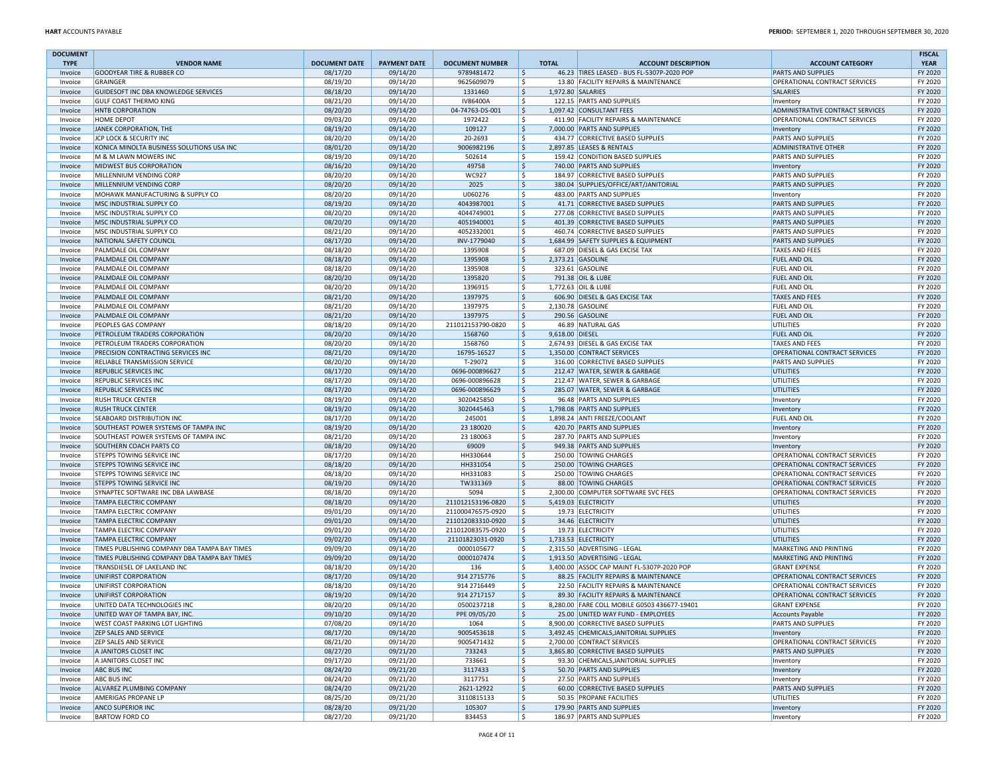| <b>DOCUMENT</b>        |                                                                       |                                  |                                 |                                      |             |                 |                                                                              |                                                                       | <b>FISCAL</b>          |
|------------------------|-----------------------------------------------------------------------|----------------------------------|---------------------------------|--------------------------------------|-------------|-----------------|------------------------------------------------------------------------------|-----------------------------------------------------------------------|------------------------|
| <b>TYPE</b><br>Invoice | <b>VENDOR NAME</b><br><b>GOODYEAR TIRE &amp; RUBBER CO</b>            | <b>DOCUMENT DATE</b><br>08/17/20 | <b>PAYMENT DATE</b><br>09/14/20 | <b>DOCUMENT NUMBER</b><br>9789481472 | ۱\$         | <b>TOTAL</b>    | <b>ACCOUNT DESCRIPTION</b><br>46.23 TIRES LEASED - BUS FL-5307P-2020 POP     | <b>ACCOUNT CATEGORY</b><br><b>PARTS AND SUPPLIES</b>                  | <b>YEAR</b><br>FY 2020 |
| Invoice                | <b>GRAINGER</b>                                                       | 08/19/20                         | 09/14/20                        | 9625609079                           | ۱\$         |                 | 13.80 FACILITY REPAIRS & MAINTENANCE                                         | OPERATIONAL CONTRACT SERVICES                                         | FY 2020                |
| Invoice                | GUIDESOFT INC DBA KNOWLEDGE SERVICES                                  | 08/18/20                         | 09/14/20                        | 1331460                              | ۱\$         |                 | 1,972.80 SALARIES                                                            | SALARIES                                                              | FY 2020                |
| Invoice                | GULF COAST THERMO KING                                                | 08/21/20                         | 09/14/20                        | IV86400A                             | ۱\$         |                 | 122.15 PARTS AND SUPPLIES                                                    | Inventory                                                             | FY 2020                |
| Invoice                | HNTB CORPORATION                                                      | 08/20/20                         | 09/14/20                        | 04-74763-DS-001                      | ۱\$         |                 | 1,097.42 CONSULTANT FEES                                                     | ADMINISTRATIVE CONTRACT SERVICES                                      | FY 2020                |
| Invoice                | HOME DEPOT                                                            | 09/03/20                         | 09/14/20                        | 1972422                              | ۱\$         |                 | 411.90 FACILITY REPAIRS & MAINTENANCE                                        | OPERATIONAL CONTRACT SERVICES                                         | FY 2020                |
| Invoice                | JANEK CORPORATION, THE                                                | 08/19/20                         | 09/14/20                        | 109127                               | ۱\$         |                 | 7,000.00 PARTS AND SUPPLIES                                                  | Inventory                                                             | FY 2020                |
| Invoice                | <b>JCP LOCK &amp; SECURITY INC</b>                                    | 08/20/20                         | 09/14/20                        | 20-2693                              | l \$        |                 | 434.77 CORRECTIVE BASED SUPPLIES                                             | <b>PARTS AND SUPPLIES</b>                                             | FY 2020                |
| Invoice                | KONICA MINOLTA BUSINESS SOLUTIONS USA INC                             | 08/01/20                         | 09/14/20                        | 9006982196                           | ۱\$         |                 | 2,897.85 LEASES & RENTALS                                                    | <b>ADMINISTRATIVE OTHER</b>                                           | FY 2020                |
| Invoice                | M & M LAWN MOWERS INC                                                 | 08/19/20                         | 09/14/20                        | 502614                               | ۱\$         |                 | 159.42 CONDITION BASED SUPPLIES                                              | <b>PARTS AND SUPPLIES</b>                                             | FY 2020                |
| Invoice<br>Invoice     | <b>MIDWEST BUS CORPORATION</b><br>MILLENNIUM VENDING CORP             | 08/16/20<br>08/20/20             | 09/14/20<br>09/14/20            | 49758<br>WC927                       | ۱\$<br>۱\$  |                 | 740.00 PARTS AND SUPPLIES<br>184.97 CORRECTIVE BASED SUPPLIES                | Inventory<br>PARTS AND SUPPLIES                                       | FY 2020<br>FY 2020     |
| Invoice                | MILLENNIUM VENDING CORP                                               | 08/20/20                         | 09/14/20                        | 2025                                 | ۱\$         |                 | 380.04 SUPPLIES/OFFICE/ART/JANITORIAL                                        | <b>PARTS AND SUPPLIES</b>                                             | FY 2020                |
| Invoice                | MOHAWK MANUFACTURING & SUPPLY CO                                      | 08/20/20                         | 09/14/20                        | U060276                              | ۱\$         |                 | 483.00 PARTS AND SUPPLIES                                                    | Inventory                                                             | FY 2020                |
| Invoice                | MSC INDUSTRIAL SUPPLY CO                                              | 08/19/20                         | 09/14/20                        | 4043987001                           | ۱\$         |                 | 41.71 CORRECTIVE BASED SUPPLIES                                              | <b>PARTS AND SUPPLIES</b>                                             | FY 2020                |
| Invoice                | MSC INDUSTRIAL SUPPLY CO                                              | 08/20/20                         | 09/14/20                        | 4044749001                           | ۱\$         |                 | 277.08 CORRECTIVE BASED SUPPLIES                                             | <b>PARTS AND SUPPLIES</b>                                             | FY 2020                |
| Invoice                | MSC INDUSTRIAL SUPPLY CO                                              | 08/20/20                         | 09/14/20                        | 4051940001                           | ۱\$         |                 | 401.39 CORRECTIVE BASED SUPPLIES                                             | <b>PARTS AND SUPPLIES</b>                                             | FY 2020                |
| Invoice                | MSC INDUSTRIAL SUPPLY CO                                              | 08/21/20                         | 09/14/20                        | 4052332001                           | ۱\$         |                 | 460.74 CORRECTIVE BASED SUPPLIES                                             | <b>PARTS AND SUPPLIES</b>                                             | FY 2020                |
| Invoice                | NATIONAL SAFETY COUNCIL                                               | 08/17/20                         | 09/14/20                        | INV-1779040                          | ۱\$         |                 | 1,684.99 SAFETY SUPPLIES & EQUIPMENT                                         | <b>PARTS AND SUPPLIES</b>                                             | FY 2020                |
| Invoice                | PALMDALE OIL COMPANY                                                  | 08/18/20                         | 09/14/20                        | 1395908                              | l \$        |                 | 687.09 DIESEL & GAS EXCISE TAX                                               | <b>TAXES AND FEES</b>                                                 | FY 2020                |
| Invoice                | PALMDALE OIL COMPANY                                                  | 08/18/20                         | 09/14/20                        | 1395908                              | ۱\$         |                 | 2,373.21 GASOLINE                                                            | <b>FUEL AND OIL</b>                                                   | FY 2020                |
| Invoice                | PALMDALE OIL COMPANY                                                  | 08/18/20                         | 09/14/20                        | 1395908                              | ۱\$<br>۱\$  |                 | 323.61 GASOLINE                                                              | <b>FUEL AND OII</b>                                                   | FY 2020<br>FY 2020     |
| Invoice<br>Invoice     | PALMDALE OIL COMPANY<br>PALMDALE OIL COMPANY                          | 08/20/20<br>08/20/20             | 09/14/20<br>09/14/20            | 1395820<br>1396915                   | ۱\$         |                 | 791.38 OIL & LUBE<br>1,772.63 OIL & LUBE                                     | <b>FUEL AND OIL</b><br><b>FUEL AND OII</b>                            | FY 2020                |
| Invoice                | PALMDALE OIL COMPANY                                                  | 08/21/20                         | 09/14/20                        | 1397975                              | \$          |                 | 606.90 DIESEL & GAS EXCISE TAX                                               | <b>TAXES AND FEES</b>                                                 | FY 2020                |
| Invoice                | PALMDALE OIL COMPANY                                                  | 08/21/20                         | 09/14/20                        | 1397975                              | ۱\$         |                 | 2,130.78 GASOLINE                                                            | <b>FUEL AND OIL</b>                                                   | FY 2020                |
| Invoice                | PALMDALE OIL COMPANY                                                  | 08/21/20                         | 09/14/20                        | 1397975                              | \$          |                 | 290.56 GASOLINE                                                              | <b>FUEL AND OIL</b>                                                   | FY 2020                |
| Invoice                | PEOPLES GAS COMPANY                                                   | 08/18/20                         | 09/14/20                        | 211012153790-0820                    | ۱\$         |                 | 46.89 NATURAL GAS                                                            | UTILITIES                                                             | FY 2020                |
| Invoice                | PETROLEUM TRADERS CORPORATION                                         | 08/20/20                         | 09/14/20                        | 1568760                              | ۱\$         | 9,618.00 DIESEL |                                                                              | <b>FUEL AND OIL</b>                                                   | FY 2020                |
| Invoice                | PETROLEUM TRADERS CORPORATION                                         | 08/20/20                         | 09/14/20                        | 1568760                              | ۱\$         |                 | 2,674.93 DIESEL & GAS EXCISE TAX                                             | <b>TAXES AND FEES</b>                                                 | FY 2020                |
| Invoice                | PRECISION CONTRACTING SERVICES INC                                    | 08/21/20                         | 09/14/20                        | 16795-16527                          | ۱\$         |                 | 1,350.00 CONTRACT SERVICES                                                   | OPERATIONAL CONTRACT SERVICES                                         | FY 2020                |
| Invoice                | RELIABLE TRANSMISSION SERVICE                                         | 08/20/20                         | 09/14/20                        | T-29072                              | ۱\$         |                 | 316.00 CORRECTIVE BASED SUPPLIES                                             | <b>PARTS AND SUPPLIES</b>                                             | FY 2020                |
| Invoice                | REPUBLIC SERVICES INC                                                 | 08/17/20                         | 09/14/20                        | 0696-000896627                       | \$          |                 | 212.47 WATER, SEWER & GARBAGE<br>212.47 WATER, SEWER & GARBAGE               | UTILITIES                                                             | FY 2020                |
| Invoice<br>Invoice     | REPUBLIC SERVICES INC<br>REPUBLIC SERVICES INC                        | 08/17/20<br>08/17/20             | 09/14/20<br>09/14/20            | 0696-000896628<br>0696-000896629     | ۱\$<br>۱\$  |                 | 285.07 WATER, SEWER & GARBAGE                                                | <b>UTILITIES</b><br><b>UTILITIES</b>                                  | FY 2020<br>FY 2020     |
| Invoice                | <b>RUSH TRUCK CENTER</b>                                              | 08/19/20                         | 09/14/20                        | 3020425850                           | ۱\$         |                 | 96.48 PARTS AND SUPPLIES                                                     | Inventory                                                             | FY 2020                |
| Invoice                | <b>RUSH TRUCK CENTER</b>                                              | 08/19/20                         | 09/14/20                        | 3020445463                           | ۱\$         |                 | 1.798.08 PARTS AND SUPPLIES                                                  | Inventory                                                             | FY 2020                |
| Invoice                | <b>SEABOARD DISTRIBUTION INC</b>                                      | 08/17/20                         | 09/14/20                        | 245001                               | ۱\$         |                 | 1,898.24 ANTI FREEZE/COOLAN                                                  | FUEL AND OI                                                           | FY 2020                |
| Invoice                | SOUTHEAST POWER SYSTEMS OF TAMPA INC                                  | 08/19/20                         | 09/14/20                        | 23 180020                            | ۱\$         |                 | 420.70 PARTS AND SUPPLIES                                                    | Inventory                                                             | FY 2020                |
| Invoice                | SOUTHEAST POWER SYSTEMS OF TAMPA INC                                  | 08/21/20                         | 09/14/20                        | 23 180063                            | ۱\$         |                 | 287.70 PARTS AND SUPPLIES                                                    | Inventory                                                             | FY 2020                |
| Invoice                | <b>SOUTHERN COACH PARTS CO</b>                                        | 08/18/20                         | 09/14/20                        | 69009                                | ۱\$         |                 | 949.38 PARTS AND SUPPLIES                                                    | Inventory                                                             | FY 2020                |
| Invoice                | STEPPS TOWING SERVICE INC                                             | 08/17/20                         | 09/14/20                        | HH330644                             | ۱\$         |                 | 250.00 TOWING CHARGES                                                        | OPERATIONAL CONTRACT SERVICES                                         | FY 2020                |
| Invoice                | STEPPS TOWING SERVICE INC                                             | 08/18/20                         | 09/14/20                        | HH331054                             | ۱\$         |                 | 250.00 TOWING CHARGES                                                        | <b>OPERATIONAL CONTRACT SERVICES</b>                                  | FY 2020                |
| Invoice                | STEPPS TOWING SERVICE INC                                             | 08/18/20                         | 09/14/20                        | HH331083                             | ۱\$         |                 | 250.00 TOWING CHARGES                                                        | OPERATIONAL CONTRACT SERVICES                                         | FY 2020                |
| Invoice                | <b>STEPPS TOWING SERVICE INC</b><br>SYNAPTEC SOFTWARE INC DBA LAWBASE | 08/19/20<br>08/18/20             | 09/14/20<br>09/14/20            | TW331369<br>5094                     | ۱\$<br>۱\$  |                 | 88.00 TOWING CHARGES<br>2,300.00 COMPUTER SOFTWARE SVC FEES                  | <b>OPERATIONAL CONTRACT SERVICES</b><br>OPERATIONAL CONTRACT SERVICES | FY 2020<br>FY 2020     |
| Invoice<br>Invoice     | TAMPA ELECTRIC COMPANY                                                | 08/18/20                         | 09/14/20                        | 211012153196-0820                    | ۱\$         |                 | 5,419.03 ELECTRICITY                                                         | <b>UTILITIES</b>                                                      | FY 2020                |
| Invoice                | TAMPA ELECTRIC COMPANY                                                | 09/01/20                         | 09/14/20                        | 211000476575-0920                    | ۱\$         |                 | 19.73 ELECTRICITY                                                            | UTILITIES                                                             | FY 2020                |
| Invoice                | TAMPA ELECTRIC COMPANY                                                | 09/01/20                         | 09/14/20                        | 211012083310-0920                    | ۱\$         |                 | 34.46 ELECTRICITY                                                            | <b>UTILITIES</b>                                                      | FY 2020                |
| Invoice                | TAMPA ELECTRIC COMPANY                                                | 09/01/20                         | 09/14/20                        | 211012083575-0920                    | ۱\$         |                 | 19.73 ELECTRICITY                                                            | <b>UTILITIES</b>                                                      | FY 2020                |
| Invoice                | TAMPA ELECTRIC COMPANY                                                | 09/02/20                         | 09/14/20                        | 21101823031-0920                     | \$          |                 | 1,733.53 ELECTRICITY                                                         | <b>UTILITIES</b>                                                      | FY 2020                |
| Invoice                | TIMES PUBLISHING COMPANY DBA TAMPA BAY TIMES                          | 09/09/20                         | 09/14/20                        | 0000105677                           | ۱\$         |                 | 2,315.50 ADVERTISING - LEGAL                                                 | MARKETING AND PRINTING                                                | FY 2020                |
| Invoice                | TIMES PUBLISHING COMPANY DBA TAMPA BAY TIMES                          | 09/09/20                         | 09/14/20                        | 0000107474                           | \$          |                 | 1,913.50 ADVERTISING - LEGAL                                                 | MARKETING AND PRINTING                                                | FY 2020                |
| Invoice                | TRANSDIESEL OF LAKELAND INC                                           | 08/18/20                         | 09/14/20                        | 136                                  | ۱\$         |                 | 3,400.00 ASSOC CAP MAINT FL-5307P-2020 POP                                   | <b>GRANT EXPENSE</b>                                                  | FY 2020                |
| Invoice                | UNIFIRST CORPORATION                                                  | 08/17/20                         | 09/14/20                        | 914 2715776                          | \$          |                 | 88.25 FACILITY REPAIRS & MAINTENANCE                                         | OPERATIONAL CONTRACT SERVICES                                         | FY 2020                |
| Invoice<br>Invoice     | UNIFIRST CORPORATION                                                  | 08/18/20<br>08/19/20             | 09/14/20<br>09/14/20            | 914 2716449<br>914 2717157           | ۱\$<br>l \$ |                 | 22.50 FACILITY REPAIRS & MAINTENANCE<br>89.30 FACILITY REPAIRS & MAINTENANCE | OPERATIONAL CONTRACT SERVICES<br><b>OPERATIONAL CONTRACT SERVICES</b> | FY 2020<br>FY 2020     |
| Invoice                | UNIFIRST CORPORATION<br>UNITED DATA TECHNOLOGIES INC                  | 08/20/20                         | 09/14/20                        | 0500237218                           | -Ś          |                 | 8.280.00 FARE COLL MOBILE G0S03 436677-19401                                 | <b>GRANT EXPENSE</b>                                                  | FY 2020                |
| Invoice                | UNITED WAY OF TAMPA BAY, INC.                                         | 09/10/20                         | 09/14/20                        | PPE 09/05/20                         | 1\$         |                 | 25.00 UNITED WAY FUND - EMPLOYEES                                            | <b>Accounts Payable</b>                                               | FY 2020                |
| Invoice                | WEST COAST PARKING LOT LIGHTING                                       | 07/08/20                         | 09/14/20                        | 1064                                 | l \$        |                 | 8,900.00 CORRECTIVE BASED SUPPLIES                                           | <b>PARTS AND SUPPLIES</b>                                             | FY 2020                |
| Invoice                | <b>ZEP SALES AND SERVICE</b>                                          | 08/17/20                         | 09/14/20                        | 9005453618                           | l\$         |                 | 3.492.45 CHEMICALS JANITORIAL SUPPLIES                                       | Inventory                                                             | FY 2020                |
| Invoice                | <b>ZEP SALES AND SERVICE</b>                                          | 08/21/20                         | 09/14/20                        | 9005471432                           | l \$        |                 | 2.700.00 CONTRACT SERVICES                                                   | OPERATIONAL CONTRACT SERVICES                                         | FY 2020                |
| Invoice                | A JANITORS CLOSET INC                                                 | 08/27/20                         | 09/21/20                        | 733243                               | ۱\$         |                 | 3,865.80 CORRECTIVE BASED SUPPLIES                                           | <b>PARTS AND SUPPLIES</b>                                             | FY 2020                |
| Invoice                | A JANITORS CLOSET INC                                                 | 09/17/20                         | 09/21/20                        | 733661                               | ۱\$         |                 | 93.30 CHEMICALS, JANITORIAL SUPPLIES                                         | Inventory                                                             | FY 2020                |
| Invoice                | <b>ABC BUS INC</b>                                                    | 08/24/20                         | 09/21/20                        | 3117433                              | ۱\$         |                 | 50.70 PARTS AND SUPPLIES                                                     | Inventory                                                             | FY 2020                |
| Invoice                | ABC BUS INC                                                           | 08/24/20                         | 09/21/20                        | 3117751                              | ۱\$         |                 | 27.50 PARTS AND SUPPLIES                                                     | Inventory                                                             | FY 2020                |
| Invoice                | ALVAREZ PLUMBING COMPANY<br><b>AMERIGAS PROPANE LP</b>                | 08/24/20<br>08/25/20             | 09/21/20                        | 2621-12922                           | ۱\$<br>۱\$  |                 | 60.00 CORRECTIVE BASED SUPPLIES                                              | <b>PARTS AND SUPPLIES</b>                                             | FY 2020<br>FY 2020     |
| Invoice<br>Invoice     | <b>ANCO SUPERIOR INC</b>                                              | 08/28/20                         | 09/21/20<br>09/21/20            | 3110815133<br>105307                 | \$          |                 | 50.35 PROPANE FACILITIES<br>179.90 PARTS AND SUPPLIES                        | UTILITIES<br>Inventory                                                | FY 2020                |
| Invoice                | <b>BARTOW FORD CO</b>                                                 | 08/27/20                         | 09/21/20                        | 834453                               | ۱\$         |                 | 186.97 PARTS AND SUPPLIES                                                    | Inventory                                                             | FY 2020                |
|                        |                                                                       |                                  |                                 |                                      |             |                 |                                                                              |                                                                       |                        |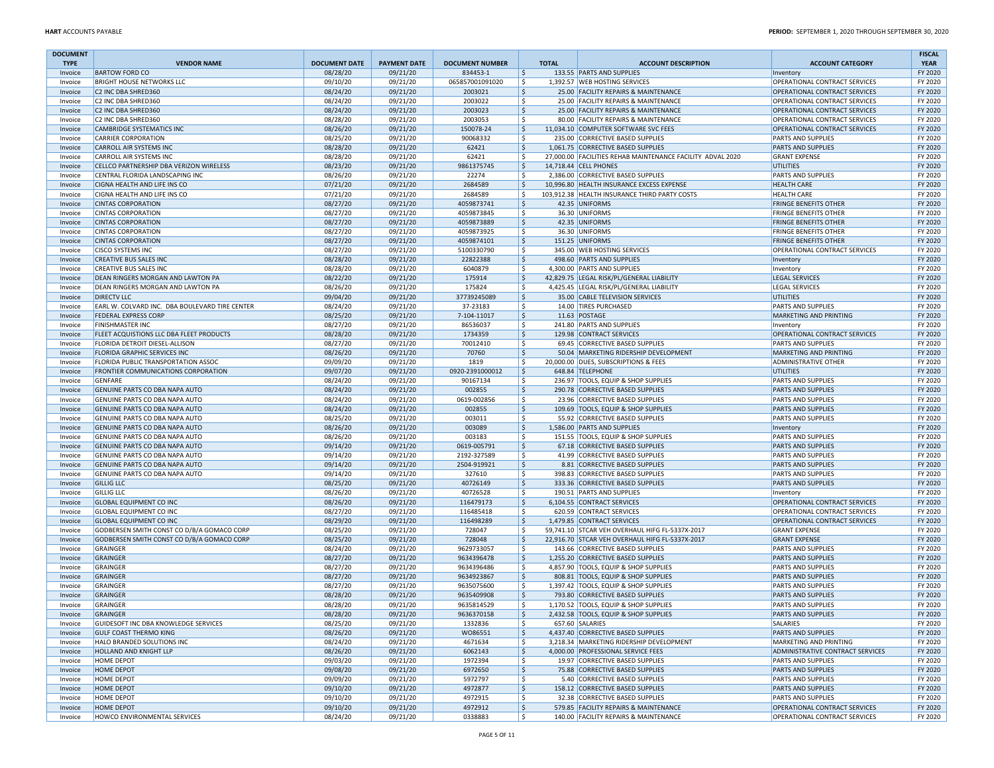| <b>DOCUMENT</b>    |                                                                            |                      |                      |                          |              |                                                                               |                                                       | <b>FISCAL</b>      |
|--------------------|----------------------------------------------------------------------------|----------------------|----------------------|--------------------------|--------------|-------------------------------------------------------------------------------|-------------------------------------------------------|--------------------|
| <b>TYPE</b>        | <b>VENDOR NAME</b>                                                         | <b>DOCUMENT DATE</b> | <b>PAYMENT DATE</b>  | <b>DOCUMENT NUMBER</b>   | <b>TOTAL</b> | <b>ACCOUNT DESCRIPTION</b>                                                    | <b>ACCOUNT CATEGORY</b>                               | <b>YEAR</b>        |
| Invoice            | <b>BARTOW FORD CO</b>                                                      | 08/28/20             | 09/21/20             | 834453-1                 | \$           | 133.55 PARTS AND SUPPLIES                                                     | Inventory                                             | FY 2020            |
| Invoice            | <b>BRIGHT HOUSE NETWORKS LLC</b>                                           | 09/10/20             | 09/21/20             | 065857001091020          | \$           | 1,392.57 WEB HOSTING SERVICES                                                 | OPERATIONAL CONTRACT SERVICES                         | FY 2020            |
| Invoice            | C2 INC DBA SHRED360                                                        | 08/24/20             | 09/21/20             | 2003021                  | \$           | 25.00 FACILITY REPAIRS & MAINTENANCE                                          | OPERATIONAL CONTRACT SERVICES                         | FY 2020            |
| Invoice            | C2 INC DBA SHRED360                                                        | 08/24/20             | 09/21/20             | 2003022                  | l \$         | 25.00 FACILITY REPAIRS & MAINTENANCE                                          | OPERATIONAL CONTRACT SERVICES                         | FY 2020            |
| Invoice            | C2 INC DBA SHRED360                                                        | 08/24/20             | 09/21/20             | 2003023                  | \$           | 25.00 FACILITY REPAIRS & MAINTENANCE                                          | OPERATIONAL CONTRACT SERVICES                         | FY 2020            |
| Invoice            | C2 INC DBA SHRED360                                                        | 08/28/20             | 09/21/20             | 2003053                  | \$           | 80.00 FACILITY REPAIRS & MAINTENANCE                                          | OPERATIONAL CONTRACT SERVICES                         | FY 2020            |
| Invoice            | <b>CAMBRIDGE SYSTEMATICS INC</b>                                           | 08/26/20             | 09/21/20             | 150078-24                | \$           | 11,034.10 COMPUTER SOFTWARE SVC FEES                                          | OPERATIONAL CONTRACT SERVICES                         | FY 2020            |
| Invoice            | <b>CARRIER CORPORATION</b>                                                 | 08/25/20             | 09/21/20             | 90068332                 | l \$         | 235.00 CORRECTIVE BASED SUPPLIES                                              | <b>PARTS AND SUPPLIES</b>                             | FY 2020            |
| Invoice            | CARROLL AIR SYSTEMS INC                                                    | 08/28/20             | 09/21/20             | 62421                    | 5            | 1,061.75 CORRECTIVE BASED SUPPLIES                                            | <b>PARTS AND SUPPLIES</b>                             | FY 2020            |
| Invoice            | CARROLL AIR SYSTEMS INC                                                    | 08/28/20             | 09/21/20             | 62421                    | l \$         | 27,000.00 FACILITIES REHAB MAINTENANCE FACILITY ADVAL 2020                    | <b>GRANT EXPENSE</b>                                  | FY 2020            |
| Invoice            | CELLCO PARTNERSHIP DBA VERIZON WIRELESS                                    | 08/23/20             | 09/21/20             | 9861375745               | 5            | 14,718.44 CELL PHONES                                                         | UTILITIES                                             | FY 2020            |
| Invoice            | CENTRAL FLORIDA LANDSCAPING INC                                            | 08/26/20             | 09/21/20             | 22274                    | l \$         | 2,386.00 CORRECTIVE BASED SUPPLIES                                            | PARTS AND SUPPLIES                                    | FY 2020            |
| Invoice            | CIGNA HEALTH AND LIFE INS CO                                               | 07/21/20             | 09/21/20             | 2684589                  | \$           | 10,996.80 HEALTH INSURANCE EXCESS EXPENSE                                     | <b>HEALTH CARE</b><br><b>HEALTH CARE</b>              | FY 2020            |
| Invoice            | CIGNA HEALTH AND LIFE INS CO                                               | 07/21/20             | 09/21/20             | 2684589                  | l \$         | 103,912.38 HEALTH INSURANCE THIRD PARTY COSTS<br>42.35 UNIFORMS               |                                                       | FY 2020            |
| Invoice            | <b>CINTAS CORPORATION</b>                                                  | 08/27/20             | 09/21/20             | 4059873741               | \$           | 36.30 UNIFORMS                                                                | <b>FRINGE BENEFITS OTHER</b>                          | FY 2020            |
| Invoice            | <b>CINTAS CORPORATION</b>                                                  | 08/27/20             | 09/21/20             | 4059873845               | S.           |                                                                               | <b>FRINGE BENEFITS OTHER</b>                          | FY 2020            |
| Invoice            | <b>CINTAS CORPORATION</b>                                                  | 08/27/20             | 09/21/20             | 4059873889               | \$           | 42.35 UNIFORMS                                                                | <b>FRINGE BENEFITS OTHER</b>                          | FY 2020            |
| Invoice            | <b>CINTAS CORPORATION</b><br><b>CINTAS CORPORATION</b>                     | 08/27/20             | 09/21/20<br>09/21/20 | 4059873925<br>4059874101 | \$<br> \$    | 36.30 UNIFORMS<br>151.25 UNIFORMS                                             | <b>FRINGE BENEFITS OTHER</b>                          | FY 2020<br>FY 2020 |
| Invoice            | <b>CISCO SYSTEMS INC</b>                                                   | 08/27/20             | 09/21/20             |                          | \$           |                                                                               | <b>FRINGE BENEFITS OTHER</b>                          | FY 2020            |
| Invoice            |                                                                            | 08/27/20<br>08/28/20 | 09/21/20             | 5100330790<br>22822388   | Ŝ.           | 345.00 WEB HOSTING SERVICES<br>498.60 PARTS AND SUPPLIES                      | OPERATIONAL CONTRACT SERVICES                         | FY 2020            |
| Invoice            | CREATIVE BUS SALES INC<br><b>CREATIVE BUS SALES INC</b>                    |                      | 09/21/20             | 6040879                  | S.           | 4,300.00 PARTS AND SUPPLIES                                                   | Inventory                                             | FY 2020            |
| Invoice            |                                                                            | 08/28/20             |                      |                          | $\zeta$      |                                                                               | Inventory                                             |                    |
| Invoice            | DEAN RINGERS MORGAN AND LAWTON PA                                          | 08/22/20             | 09/21/20             | 175914                   | \$           | 42,829.75 LEGAL RISK/PL/GENERAL LIABILITY                                     | <b>LEGAL SERVICES</b>                                 | FY 2020            |
| Invoice            | DEAN RINGERS MORGAN AND LAWTON PA<br><b>DIRECTV LLC</b>                    | 08/26/20             | 09/21/20             | 175824                   | l \$         | 4,425.45 LEGAL RISK/PL/GENERAL LIABILITY                                      | <b>LEGAL SERVICES</b>                                 | FY 2020<br>FY 2020 |
| Invoice            |                                                                            | 09/04/20             | 09/21/20             | 37739245089              | S.           | 35.00 CABLE TELEVISION SERVICES<br>14.00 TIRES PURCHASED                      | <b>UTILITIES</b>                                      | FY 2020            |
| Invoice            | EARL W. COLVARD INC. DBA BOULEVARD TIRE CENTER                             | 08/24/20             | 09/21/20             | 37-23183                 |              |                                                                               | PARTS AND SUPPLIES<br>MARKETING AND PRINTING          | FY 2020            |
| Invoice            | <b>FEDERAL EXPRESS CORP</b>                                                | 08/25/20             | 09/21/20             | 7-104-11017              | \$<br>S.     | 11.63 POSTAGE                                                                 |                                                       | FY 2020            |
| Invoice            | <b>FINISHMASTER INC</b>                                                    | 08/27/20             | 09/21/20             | 86536037                 |              | 241.80 PARTS AND SUPPLIES<br>129.98 CONTRACT SERVICES                         | Inventory                                             | FY 2020            |
| Invoice            | FLEET ACQUISTIONS LLC DBA FLEET PRODUCTS                                   | 08/28/20             | 09/21/20             | 1734359                  | \$<br>S.     | 69.45 CORRECTIVE BASED SUPPLIES                                               | OPERATIONAL CONTRACT SERVICES<br>PARTS AND SUPPLIES   | FY 2020            |
| Invoice            | FLORIDA DETROIT DIESEL-ALLISON                                             | 08/27/20             | 09/21/20<br>09/21/20 | 70012410<br>70760        |              |                                                                               |                                                       | FY 2020            |
| Invoice<br>Invoice | <b>FLORIDA GRAPHIC SERVICES INC</b><br>FLORIDA PUBLIC TRANSPORTATION ASSOC | 08/26/20<br>09/09/20 | 09/21/20             | 1819                     | \$<br>\$     | 50.04 MARKETING RIDERSHIP DEVELOPMENT<br>20,000.00 DUES, SUBSCRIPTIONS & FEES | MARKETING AND PRINTING<br><b>ADMINISTRATIVE OTHER</b> | FY 2020            |
| Invoice            | <b>FRONTIER COMMUNICATIONS CORPORATION</b>                                 | 09/07/20             | 09/21/20             | 0920-2391000012          | I\$          | 648.84 TELEPHONE                                                              | UTILITIES                                             | FY 2020            |
| Invoice            | <b>GENFARE</b>                                                             | 08/24/20             | 09/21/20             | 90167134                 | Ŝ.           | 236.97 TOOLS, EQUIP & SHOP SUPPLIES                                           | <b>PARTS AND SUPPLIES</b>                             | FY 2020            |
| Invoice            | GENUINE PARTS CO DBA NAPA AUTO                                             | 08/24/20             | 09/21/20             | 002855                   | \$           | 290.78 CORRECTIVE BASED SUPPLIES                                              | <b>PARTS AND SUPPLIES</b>                             | FY 2020            |
|                    |                                                                            |                      |                      |                          | \$           | 23.96 CORRECTIVE BASED SUPPLIES                                               | <b>PARTS AND SUPPLIES</b>                             | FY 2020            |
| Invoice<br>Invoice | GENUINE PARTS CO DBA NAPA AUTO<br><b>GENUINE PARTS CO DBA NAPA AUTO</b>    | 08/24/20<br>08/24/20 | 09/21/20<br>09/21/20 | 0619-002856<br>002855    | l \$         | 109.69 TOOLS, EQUIP & SHOP SUPPLIES                                           | <b>PARTS AND SUPPLIES</b>                             | FY 2020            |
| Invoice            | GENUINE PARTS CO DBA NAPA AUTO                                             | 08/25/20             | 09/21/20             | 003011                   | \$.          | 55.92 CORRECTIVE BASED SUPPLIES                                               | <b>PARTS AND SUPPLIES</b>                             | FY 2020            |
| Invoice            | GENUINE PARTS CO DBA NAPA AUTO                                             | 08/26/20             | 09/21/20             | 003089                   | 5            | 1,586.00 PARTS AND SUPPLIES                                                   | Inventory                                             | FY 2020            |
| Invoice            | GENUINE PARTS CO DBA NAPA AUTO                                             | 08/26/20             | 09/21/20             | 003183                   | \$           | 151.55 TOOLS, EQUIP & SHOP SUPPLIES                                           | <b>PARTS AND SUPPLIES</b>                             | FY 2020            |
| Invoice            | GENUINE PARTS CO DBA NAPA AUTO                                             | 09/14/20             | 09/21/20             | 0619-005791              | \$           | 67.18 CORRECTIVE BASED SUPPLIES                                               | <b>PARTS AND SUPPLIES</b>                             | FY 2020            |
| Invoice            | GENUINE PARTS CO DBA NAPA AUTO                                             | 09/14/20             | 09/21/20             | 2192-327589              | Ŝ.           | 41.99 CORRECTIVE BASED SUPPLIES                                               | PARTS AND SUPPLIES                                    | FY 2020            |
| Invoice            | GENUINE PARTS CO DBA NAPA AUTO                                             | 09/14/20             | 09/21/20             | 2504-919921              | \$           | 8.81 CORRECTIVE BASED SUPPLIES                                                | <b>PARTS AND SUPPLIES</b>                             | FY 2020            |
| Invoice            | GENUINE PARTS CO DBA NAPA AUTO                                             | 09/14/20             | 09/21/20             | 327610                   | \$           | 398.83 CORRECTIVE BASED SUPPLIES                                              | <b>PARTS AND SUPPLIES</b>                             | FY 2020            |
| Invoice            | <b>GILLIG LLC</b>                                                          | 08/25/20             | 09/21/20             | 40726149                 | \$           | 333.36 CORRECTIVE BASED SUPPLIES                                              | <b>PARTS AND SUPPLIES</b>                             | FY 2020            |
| Invoice            | <b>GILLIG LLC</b>                                                          | 08/26/20             | 09/21/20             | 40726528                 | \$           | 190.51 PARTS AND SUPPLIES                                                     | Inventory                                             | FY 2020            |
| Invoice            | <b>GLOBAL EQUIPMENT CO INC</b>                                             | 08/26/20             | 09/21/20             | 116479173                | 5            | 6,104.55 CONTRACT SERVICES                                                    | OPERATIONAL CONTRACT SERVICES                         | FY 2020            |
| Invoice            | <b>GLOBAL EQUIPMENT CO INC</b>                                             | 08/27/20             | 09/21/20             | 116485418                | \$           | 620.59 CONTRACT SERVICES                                                      | OPERATIONAL CONTRACT SERVICES                         | FY 2020            |
| Invoice            | <b>GLOBAL EQUIPMENT CO INC</b>                                             | 08/29/20             | 09/21/20             | 116498289                | 5            | 1,479.85 CONTRACT SERVICES                                                    | OPERATIONAL CONTRACT SERVICES                         | FY 2020            |
| Invoice            | GODBERSEN SMITH CONST CO D/B/A GOMACO CORP                                 | 08/25/20             | 09/21/20             | 728047                   | Ŝ.           | 59,741.10 STCAR VEH OVERHAUL HIFG FL-5337X-2017                               | <b>GRANT EXPENSE</b>                                  | FY 2020            |
| Invoice            | GODBERSEN SMITH CONST CO D/B/A GOMACO CORP                                 | 08/25/20             | 09/21/20             | 728048                   | \$ ا         | 22.916.70 STCAR VEH OVERHAUL HIFG FL-5337X-2017                               | <b>GRANT EXPENSE</b>                                  | FY 2020            |
| Invoice            | GRAINGER                                                                   | 08/24/20             | 09/21/20             | 9629733057               | l\$          | 143.66 CORRECTIVE BASED SUPPLIES                                              | <b>PARTS AND SUPPLIES</b>                             | FY 2020            |
| Invoice            | GRAINGER                                                                   | 08/27/20             | 09/21/20             | 9634396478               | \$           | 1,255.20 CORRECTIVE BASED SUPPLIES                                            | <b>PARTS AND SUPPLIES</b>                             | FY 2020            |
| Invoice            | GRAINGER                                                                   | 08/27/20             | 09/21/20             | 9634396486               | l \$         | 4,857.90 TOOLS, EQUIP & SHOP SUPPLIES                                         | <b>PARTS AND SUPPLIES</b>                             | FY 2020            |
| Invoice            | GRAINGER                                                                   | 08/27/20             | 09/21/20             | 9634923867               | 5            | 808.81 TOOLS, EQUIP & SHOP SUPPLIES                                           | <b>PARTS AND SUPPLIES</b>                             | FY 2020            |
| Invoice            | <b>GRAINGER</b>                                                            | 08/27/20             | 09/21/20             | 9635075600               | l \$         | 1,397.42 TOOLS, EQUIP & SHOP SUPPLIES                                         | PARTS AND SUPPLIES                                    | FY 2020            |
| Invoice            | <b>GRAINGER</b>                                                            | 08/28/20             | 09/21/20             | 9635409908               | \$           | 793.80 CORRECTIVE BASED SUPPLIES                                              | <b>PARTS AND SUPPLIES</b>                             | FY 2020            |
| Invoice            | GRAINGER                                                                   | 08/28/20             | 09/21/20             | 9635814529               | l \$         | 1,170.52 TOOLS, EQUIP & SHOP SUPPLIES                                         | <b>PARTS AND SUPPLIES</b>                             | FY 2020            |
| invoice            | GRAINGER                                                                   | 08/28/20             | 09/21/20             | 9636370158               |              | 2,432.58 TOOLS, EQUIP & SHOP SUPPLIES                                         | PARTS AND SUPPLIES                                    | FY 2020            |
| Invoice            | GUIDESOFT INC DBA KNOWLEDGE SERVICES                                       | 08/25/20             | 09/21/20             | 1332836                  | l\$          | 657.60 SALARIES                                                               | SALARIES                                              | FY 2020            |
| Invoice            | <b>GULF COAST THERMO KING</b>                                              | 08/26/20             | 09/21/20             | W086551                  | \$           | 4,437.40 CORRECTIVE BASED SUPPLIES                                            | <b>PARTS AND SUPPLIES</b>                             | FY 2020            |
| Invoice            | HALO BRANDED SOLUTIONS INC                                                 | 08/24/20             | 09/21/20             | 4671634                  | l \$         | 3,218.34 MARKETING RIDERSHIP DEVELOPMENT                                      | MARKETING AND PRINTING                                | FY 2020            |
| Invoice            | HOLLAND AND KNIGHT LLP                                                     | 08/26/20             | 09/21/20             | 6062143                  | I\$          | 4,000.00 PROFESSIONAL SERVICE FEES                                            | ADMINISTRATIVE CONTRACT SERVICES                      | FY 2020            |
| Invoice            | <b>HOME DEPOT</b>                                                          | 09/03/20             | 09/21/20             | 1972394                  | ۱\$.         | 19.97 CORRECTIVE BASED SUPPLIES                                               | <b>PARTS AND SUPPLIES</b>                             | FY 2020            |
| Invoice            | <b>HOME DEPOT</b>                                                          | 09/08/20             | 09/21/20             | 6972650                  | \$           | 75.88 CORRECTIVE BASED SUPPLIES                                               | <b>PARTS AND SUPPLIES</b>                             | FY 2020            |
| Invoice            | <b>HOME DEPOT</b>                                                          | 09/09/20             | 09/21/20             | 5972797                  | \$           | 5.40 CORRECTIVE BASED SUPPLIES                                                | <b>PARTS AND SUPPLIES</b>                             | FY 2020            |
| Invoice            | <b>HOME DEPOT</b>                                                          | 09/10/20             | 09/21/20             | 4972877                  | \$           | 158.12 CORRECTIVE BASED SUPPLIES                                              | PARTS AND SUPPLIES                                    | FY 2020            |
| Invoice            | <b>HOME DEPOT</b>                                                          | 09/10/20             | 09/21/20             | 4972915                  | \$           | 32.38 CORRECTIVE BASED SUPPLIES                                               | <b>PARTS AND SUPPLIES</b>                             | FY 2020            |
| Invoice            | <b>HOME DEPOT</b>                                                          | 09/10/20             | 09/21/20             | 4972912                  | \$           | 579.85 FACILITY REPAIRS & MAINTENANCE                                         | OPERATIONAL CONTRACT SERVICES                         | FY 2020            |
| Invoice            | HOWCO ENVIRONMENTAL SERVICES                                               | 08/24/20             | 09/21/20             | 0338883                  | \$           | 140.00 FACILITY REPAIRS & MAINTENANCE                                         | OPERATIONAL CONTRACT SERVICES                         | FY 2020            |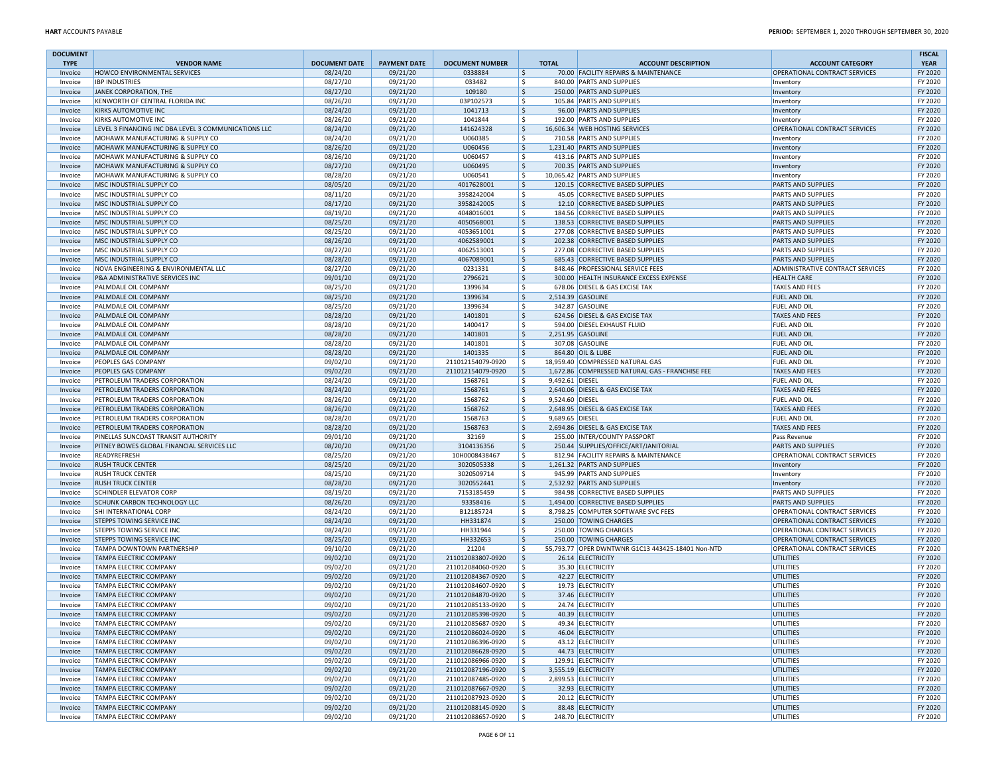| <b>DOCUMENT</b> |                                                      |                      |                     |                                        |                        |                                                   |                                  | <b>FISCAL</b>      |
|-----------------|------------------------------------------------------|----------------------|---------------------|----------------------------------------|------------------------|---------------------------------------------------|----------------------------------|--------------------|
| <b>TYPE</b>     | <b>VENDOR NAME</b>                                   | <b>DOCUMENT DATE</b> | <b>PAYMENT DATE</b> | <b>DOCUMENT NUMBER</b>                 | <b>TOTAL</b>           | <b>ACCOUNT DESCRIPTION</b>                        | <b>ACCOUNT CATEGORY</b>          | <b>YEAR</b>        |
| Invoice         | HOWCO ENVIRONMENTAL SERVICES                         | 08/24/20             | 09/21/20            | 0338884                                | \$                     | 70.00 FACILITY REPAIRS & MAINTENANCE              | OPERATIONAL CONTRACT SERVICES    | FY 2020            |
| Invoice         | <b>IBP INDUSTRIES</b>                                | 08/27/20             | 09/21/20            | 033482                                 | \$                     | 840.00 PARTS AND SUPPLIES                         | Inventory                        | FY 2020            |
| Invoice         | JANEK CORPORATION, THE                               | 08/27/20             | 09/21/20            | 109180                                 | \$                     | 250.00 PARTS AND SUPPLIES                         | Inventory                        | FY 2020            |
| Invoice         | KENWORTH OF CENTRAL FLORIDA INC                      | 08/26/20             | 09/21/20            | 03P102573                              | Ŝ.                     | 105.84 PARTS AND SUPPLIES                         | Inventory                        | FY 2020            |
| Invoice         | KIRKS AUTOMOTIVE INC                                 | 08/24/20             | 09/21/20            | 1041713                                | $\mathsf{\hat{S}}$     | 96.00 PARTS AND SUPPLIES                          | Inventory                        | FY 2020            |
| Invoice         | KIRKS AUTOMOTIVE INC                                 | 08/26/20             | 09/21/20            | 1041844                                | \$                     | 192.00 PARTS AND SUPPLIES                         | Inventory                        | FY 2020            |
| Invoice         | LEVEL 3 FINANCING INC DBA LEVEL 3 COMMUNICATIONS LLC | 08/24/20             | 09/21/20            | 141624328                              | \$                     | 16,606.34 WEB HOSTING SERVICES                    | OPERATIONAL CONTRACT SERVICES    | FY 2020            |
| Invoice         | MOHAWK MANUFACTURING & SUPPLY CO                     | 08/24/20             | 09/21/20            | U060385                                | Ŝ.                     | 710.58 PARTS AND SUPPLIES                         | Inventory                        | FY 2020            |
| Invoice         | MOHAWK MANUFACTURING & SUPPLY CO                     | 08/26/20             | 09/21/20            | U060456                                | \$                     | 1,231.40 PARTS AND SUPPLIES                       | Inventory                        | FY 2020            |
| Invoice         | MOHAWK MANUFACTURING & SUPPLY CO                     | 08/26/20             | 09/21/20            | U060457                                | \$                     | 413.16 PARTS AND SUPPLIES                         | Inventory                        | FY 2020            |
| Invoice         | MOHAWK MANUFACTURING & SUPPLY CO                     | 08/27/20             | 09/21/20            | U060495                                | \$                     | 700.35 PARTS AND SUPPLIES                         | Inventory                        | FY 2020            |
| Invoice         | MOHAWK MANUFACTURING & SUPPLY CO                     | 08/28/20             | 09/21/20            | U060541                                | \$                     | 10,065.42 PARTS AND SUPPLIES                      | Inventory                        | FY 2020            |
| Invoice         | MSC INDUSTRIAL SUPPLY CO                             | 08/05/20             | 09/21/20            | 4017628001                             | \$                     | 120.15 CORRECTIVE BASED SUPPLIES                  | PARTS AND SUPPLIES               | FY 2020            |
| Invoice         | MSC INDUSTRIAL SUPPLY CO                             | 08/11/20             | 09/21/20            | 3958242004                             | \$                     | 45.05 CORRECTIVE BASED SUPPLIES                   | PARTS AND SUPPLIES               | FY 2020            |
| Invoice         | MSC INDUSTRIAL SUPPLY CO                             | 08/17/20             | 09/21/20            | 3958242005                             | $\mathsf{\hat{S}}$     | 12.10 CORRECTIVE BASED SUPPLIES                   | PARTS AND SUPPLIES               | FY 2020            |
| Invoice         | MSC INDUSTRIAL SUPPLY CO                             | 08/19/20             | 09/21/20            | 4048016001                             | Ŝ.                     | 184.56 CORRECTIVE BASED SUPPLIES                  | PARTS AND SUPPLIES               | FY 2020            |
|                 | MSC INDUSTRIAL SUPPLY CO                             |                      |                     | 4050568001                             | \$                     | 138.53 CORRECTIVE BASED SUPPLIES                  | <b>PARTS AND SUPPLIES</b>        | FY 2020            |
| Invoice         |                                                      | 08/25/20             | 09/21/20            |                                        |                        |                                                   |                                  | FY 2020            |
| Invoice         | MSC INDUSTRIAL SUPPLY CO                             | 08/25/20             | 09/21/20            | 4053651001                             | \$                     | 277.08 CORRECTIVE BASED SUPPLIES                  | PARTS AND SUPPLIES               |                    |
| Invoice         | MSC INDUSTRIAL SUPPLY CO                             | 08/26/20             | 09/21/20            | 4062589001                             | \$                     | 202.38 CORRECTIVE BASED SUPPLIES                  | <b>PARTS AND SUPPLIES</b>        | FY 2020            |
| Invoice         | MSC INDUSTRIAL SUPPLY CO                             | 08/27/20             | 09/21/20            | 4062513001                             | \$                     | 277.08 CORRECTIVE BASED SUPPLIES                  | PARTS AND SUPPLIES               | FY 2020            |
| Invoice         | MSC INDUSTRIAL SUPPLY CO                             | 08/28/20             | 09/21/20            | 4067089001                             | \$                     | 685.43 CORRECTIVE BASED SUPPLIES                  | PARTS AND SUPPLIES               | FY 2020            |
| Invoice         | NOVA ENGINEERING & ENVIRONMENTAL LLC                 | 08/27/20             | 09/21/20            | 0231331                                | \$                     | 848.46 PROFESSIONAL SERVICE FEES                  | ADMINISTRATIVE CONTRACT SERVICES | FY 2020            |
| Invoice         | P&A ADMINISTRATIVE SERVICES INC                      | 09/01/20             | 09/21/20            | 2796621                                | $\mathsf{\hat{S}}$     | 300.00 HEALTH INSURANCE EXCESS EXPENSE            | <b>HEALTH CARE</b>               | FY 2020            |
| Invoice         | PALMDALE OIL COMPANY                                 | 08/25/20             | 09/21/20            | 1399634                                | Ŝ.                     | 678.06 DIESEL & GAS EXCISE TAX                    | TAXES AND FEES                   | FY 2020            |
| Invoice         | PALMDALE OIL COMPANY                                 | 08/25/20             | 09/21/20            | 1399634                                | \$                     | 2,514.39 GASOLINE                                 | <b>FUEL AND OIL</b>              | FY 2020            |
| Invoice         | PALMDALE OIL COMPANY                                 | 08/25/20             | 09/21/20            | 1399634                                | \$                     | 342.87 GASOLINE                                   | FUEL AND OIL                     | FY 2020            |
| Invoice         | PALMDALE OIL COMPANY                                 | 08/28/20             | 09/21/20            | 1401801                                | $\mathsf{\hat{S}}$     | 624.56 DIESEL & GAS EXCISE TAX                    | <b>TAXES AND FEES</b>            | FY 2020            |
| Invoice         | PALMDALE OIL COMPANY                                 | 08/28/20             | 09/21/20            | 1400417                                | \$                     | 594.00 DIESEL EXHAUST FLUID                       | FUEL AND OIL                     | FY 2020            |
| Invoice         | PALMDALE OIL COMPANY                                 | 08/28/20             | 09/21/20            | 1401801                                | $\mathsf{S}$           | 2,251.95 GASOLINE                                 | FUEL AND OIL                     | FY 2020            |
| Invoice         | PALMDALE OIL COMPANY                                 | 08/28/20             | 09/21/20            | 1401801                                | \$                     | 307.08 GASOLINE                                   | FUEL AND OIL                     | FY 2020            |
| Invoice         | PALMDALE OIL COMPANY                                 | 08/28/20             | 09/21/20            | 1401335                                | $\mathsf{\hat{S}}$     | 864.80 OIL & LUBE                                 | FUEL AND OIL                     | FY 2020            |
| Invoice         | PEOPLES GAS COMPANY                                  | 09/02/20             | 09/21/20            | 211012154079-0920                      | \$                     | 18,959.40 COMPRESSED NATURAL GAS                  | <b>FUEL AND OIL</b>              | FY 2020            |
| Invoice         | PEOPLES GAS COMPANY                                  | 09/02/20             | 09/21/20            | 211012154079-0920                      | \$                     | 1,672.86 COMPRESSED NATURAL GAS - FRANCHISE FEE   | <b>TAXES AND FEES</b>            | FY 2020            |
| Invoice         | PETROLEUM TRADERS CORPORATION                        | 08/24/20             | 09/21/20            | 1568761                                | \$<br>9,492.61 DIESEL  |                                                   | FUEL AND OIL                     | FY 2020            |
| Invoice         | PETROLEUM TRADERS CORPORATION                        | 08/24/20             | 09/21/20            | 1568761                                | \$                     | 2,640.06 DIESEL & GAS EXCISE TAX                  | <b>TAXES AND FEES</b>            | FY 2020            |
| Invoice         | PETROLEUM TRADERS CORPORATION                        | 08/26/20             | 09/21/20            | 1568762                                | \$<br>9,524.60 DIESEL  |                                                   | FUEL AND OIL                     | FY 2020            |
| Invoice         | PETROLEUM TRADERS CORPORATION                        | 08/26/20             | 09/21/20            | 1568762                                | \$                     | 2,648.95 DIESEL & GAS EXCISE TAX                  | <b>TAXES AND FEES</b>            | FY 2020            |
| Invoice         | PETROLEUM TRADERS CORPORATION                        | 08/28/20             | 09/21/20            | 1568763                                | 9,689.65 DIESEL<br>\$. |                                                   | FUEL AND OIL                     | FY 2020            |
| Invoice         | PETROLEUM TRADERS CORPORATION                        | 08/28/20             | 09/21/20            | 1568763                                | $\mathsf{S}$           | 2,694.86 DIESEL & GAS EXCISE TAX                  | <b>TAXES AND FEES</b>            | FY 2020            |
| Invoice         | PINELLAS SUNCOAST TRANSIT AUTHORITY                  | 09/01/20             | 09/21/20            | 32169                                  | Ŝ.                     | 255.00 INTER/COUNTY PASSPORT                      | Pass Revenue                     | FY 2020            |
|                 |                                                      |                      |                     |                                        | $\zeta$                |                                                   |                                  | FY 2020            |
| Invoice         | PITNEY BOWES GLOBAL FINANCIAL SERVICES LLC           | 08/20/20             | 09/21/20            | 3104136356                             |                        | 250.44 SUPPLIES/OFFICE/ART/JANITORIAL             | <b>PARTS AND SUPPLIES</b>        |                    |
| Invoice         | READYREFRESH                                         | 08/25/20             | 09/21/20            | 10H0008438467                          | Ŝ.                     | 812.94 FACILITY REPAIRS & MAINTENANCE             | OPERATIONAL CONTRACT SERVICES    | FY 2020            |
| Invoice         | <b>RUSH TRUCK CENTER</b>                             | 08/25/20             | 09/21/20            | 3020505338                             | \$                     | 1,261.32 PARTS AND SUPPLIES                       | Inventory                        | FY 2020            |
| Invoice         | <b>RUSH TRUCK CENTER</b>                             | 08/25/20             | 09/21/20            | 3020509714                             | \$                     | 945.99 PARTS AND SUPPLIES                         | Inventory                        | FY 2020            |
| Invoice         | <b>RUSH TRUCK CENTER</b>                             | 08/28/20             | 09/21/20            | 3020552441                             | $\mathsf{\hat{S}}$     | 2,532.92 PARTS AND SUPPLIES                       | Inventory                        | FY 2020            |
| Invoice         | <b>SCHINDLER ELEVATOR CORP</b>                       | 08/19/20             | 09/21/20            | 7153185459                             | Ŝ.                     | 984.98 CORRECTIVE BASED SUPPLIES                  | PARTS AND SUPPLIES               | FY 2020            |
| Invoice         | SCHUNK CARBON TECHNOLOGY LLC                         | 08/26/20             | 09/21/20            | 93358416                               | $\mathsf{\hat{S}}$     | 1,494.00 CORRECTIVE BASED SUPPLIES                | <b>PARTS AND SUPPLIES</b>        | FY 2020            |
| Invoice         | SHI INTERNATIONAL CORP                               | 08/24/20             | 09/21/20            | B12185724                              | \$                     | 8,798.25 COMPUTER SOFTWARE SVC FEES               | OPERATIONAL CONTRACT SERVICES    | FY 2020            |
| Invoice         | <b>STEPPS TOWING SERVICE INC</b>                     | 08/24/20             | 09/21/20            | HH331874                               | $\mathsf{\hat{S}}$     | 250.00 TOWING CHARGES                             | OPERATIONAL CONTRACT SERVICES    | FY 2020            |
| Invoice         | STEPPS TOWING SERVICE INC                            | 08/24/20             | 09/21/20            | HH331944                               | Ś.                     | 250.00 TOWING CHARGES                             | OPERATIONAL CONTRACT SERVICES    | FY 2020            |
| Invoice         | <b>STEPPS TOWING SERVICE INC</b>                     | 08/25/20             | 09/21/20            | HH332653                               | \$                     | 250.00 TOWING CHARGES                             | OPERATIONAL CONTRACT SERVICES    | FY 2020            |
| Invoice         | TAMPA DOWNTOWN PARTNERSHIP                           | 09/10/20             | 09/21/20            | 21204                                  | Ŝ.                     | 55,793.77 OPER DWNTWNR G1C13 443425-18401 Non-NTD | OPERATIONAL CONTRACT SERVICES    | FY 2020            |
| Invoice         | <b>TAMPA ELECTRIC COMPANY</b>                        | 09/02/20             | 09/21/20            | 211012083807-0920                      | $\mathsf{\hat{S}}$     | 26.14 ELECTRICITY                                 | UTILITIES                        | FY 2020            |
| Invoice         | <b>TAMPA ELECTRIC COMPANY</b>                        | 09/02/20             | 09/21/20            | 211012084060-0920                      | Ŝ.                     | 35.30 ELECTRICITY                                 | UTILITIES                        | FY 2020            |
| Invoice         | <b>TAMPA ELECTRIC COMPANY</b>                        | 09/02/20             | 09/21/20            | 211012084367-0920                      | \$                     | 42.27 ELECTRICITY                                 | UTILITIES                        | FY 2020            |
| Invoice         | <b>TAMPA ELECTRIC COMPANY</b>                        | 09/02/20             | 09/21/20            | 211012084607-0920                      | Ŝ.                     | 19.73 ELECTRICITY                                 | UTILITIES                        | FY 2020            |
| Invoice         | <b>TAMPA ELECTRIC COMPANY</b>                        | 09/02/20             | 09/21/20            | 211012084870-0920                      | \$                     | 37.46 ELECTRICITY                                 | <b>UTILITIES</b>                 | FY 2020            |
| Invoice         | <b>TAMPA ELECTRIC COMPANY</b>                        | 09/02/20             | 09/21/20            | 211012085133-0920                      | \$                     | 24.74 ELECTRICITY                                 | UTILITIES                        | FY 2020            |
| Invoice         | <b>TAMPA ELECTRIC COMPANY</b>                        | 09/02/20             | 09/21/20            | 211012085398-0920                      | I Ş                    | 40.39 ELECTRICITY                                 | UTILITIES                        | FY 2020            |
| Invoice         | <b>TAMPA ELECTRIC COMPANY</b>                        | 09/02/20             | 09/21/20            | 211012085687-0920                      | \$                     | 49.34 ELECTRICITY                                 | UTILITIES                        | FY 2020            |
| Invoice         | <b>TAMPA ELECTRIC COMPANY</b>                        | 09/02/20             | 09/21/20            | 211012086024-0920                      | \$                     | 46.04 ELECTRICITY                                 | UTILITIES                        | FY 2020            |
| Invoice         | <b>TAMPA ELECTRIC COMPANY</b>                        | 09/02/20             | 09/21/20            | 211012086396-0920                      | l\$                    | 43.12 ELECTRICITY                                 | UTILITIES                        | FY 2020            |
| Invoice         | <b>TAMPA ELECTRIC COMPANY</b>                        | 09/02/20             | 09/21/20            | 211012086628-0920                      | ۱\$                    | 44.73 ELECTRICITY                                 | UTILITIES                        | FY 2020            |
| Invoice         | TAMPA ELECTRIC COMPANY                               | 09/02/20             | 09/21/20            | 211012086966-0920                      | l\$                    | 129.91 ELECTRICITY                                | <b>UTILITIES</b>                 | FY 2020            |
| Invoice         | <b>TAMPA ELECTRIC COMPANY</b>                        | 09/02/20             | 09/21/20            | 211012087196-0920                      | \$                     | 3,555.19 ELECTRICITY                              | <b>UTILITIES</b>                 | FY 2020            |
| Invoice         | TAMPA ELECTRIC COMPANY                               | 09/02/20             | 09/21/20            | 211012087485-0920                      | l\$                    | 2,899.53 ELECTRICITY                              | UTILITIES                        | FY 2020            |
|                 | <b>TAMPA ELECTRIC COMPANY</b>                        |                      |                     |                                        |                        |                                                   | <b>UTILITIES</b>                 |                    |
| Invoice         | <b>TAMPA ELECTRIC COMPANY</b>                        | 09/02/20             | 09/21/20            | 211012087667-0920                      | l\$                    | 32.93 ELECTRICITY                                 |                                  | FY 2020            |
| Invoice         |                                                      | 09/02/20             | 09/21/20            | 211012087923-0920                      | l \$                   | 20.12 ELECTRICITY                                 | <b>UTILITIES</b>                 | FY 2020            |
| Invoice         | <b>TAMPA ELECTRIC COMPANY</b>                        | 09/02/20             | 09/21/20            | 211012088145-0920<br>211012088657-0920 | l\$                    | 88.48 ELECTRICITY                                 | <b>UTILITIES</b>                 | FY 2020<br>FY 2020 |
| Invoice         | <b>TAMPA ELECTRIC COMPANY</b>                        | 09/02/20             | 09/21/20            |                                        | $\vert$ \$             | 248.70 ELECTRICITY                                | UTILITIES                        |                    |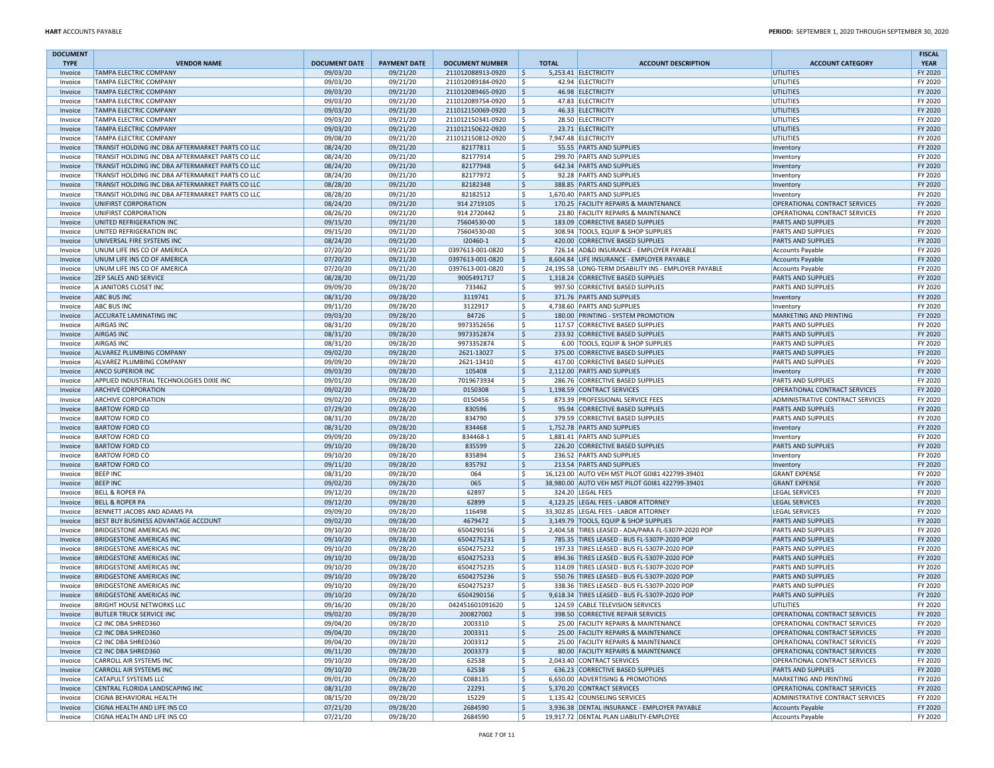| <b>DOCUMENT</b>    |                                                                |                      |                      |                                        |              |                                                                                                    |                                              | <b>FISCAL</b>      |
|--------------------|----------------------------------------------------------------|----------------------|----------------------|----------------------------------------|--------------|----------------------------------------------------------------------------------------------------|----------------------------------------------|--------------------|
| <b>TYPE</b>        | <b>VENDOR NAME</b>                                             | <b>DOCUMENT DATE</b> | <b>PAYMENT DATE</b>  | <b>DOCUMENT NUMBER</b>                 | <b>TOTAL</b> | <b>ACCOUNT DESCRIPTION</b>                                                                         | <b>ACCOUNT CATEGORY</b>                      | <b>YEAR</b>        |
| Invoice            | <b>TAMPA ELECTRIC COMPANY</b>                                  | 09/03/20             | 09/21/20             | 211012088913-0920                      | 5            | 5,253.41 ELECTRICITY                                                                               | <b>UTILITIES</b>                             | FY 2020            |
| Invoice            | <b>TAMPA ELECTRIC COMPANY</b>                                  | 09/03/20             | 09/21/20             | 211012089184-0920                      | l \$         | 42.94 ELECTRICITY                                                                                  | <b>UTILITIES</b>                             | FY 2020            |
| Invoice            | <b>TAMPA ELECTRIC COMPANY</b>                                  | 09/03/20             | 09/21/20             | 211012089465-0920                      | 5            | 46.98 ELECTRICITY                                                                                  | <b>UTILITIES</b>                             | FY 2020            |
| Invoice            | <b>TAMPA ELECTRIC COMPANY</b><br><b>TAMPA ELECTRIC COMPANY</b> | 09/03/20             | 09/21/20<br>09/21/20 | 211012089754-0920<br>211012150069-0920 | l \$<br>5    | 47.83 ELECTRICITY<br>46.33 ELECTRICITY                                                             | UTILITIES<br>UTILITIES                       | FY 2020<br>FY 2020 |
| Invoice<br>Invoice | <b>TAMPA ELECTRIC COMPANY</b>                                  | 09/03/20<br>09/03/20 | 09/21/20             | 211012150341-0920                      | l \$         | 28.50 ELECTRICITY                                                                                  | UTILITIES                                    | FY 2020            |
| Invoice            | <b>TAMPA ELECTRIC COMPANY</b>                                  | 09/03/20             | 09/21/20             | 211012150622-0920                      | l\$          | 23.71 ELECTRICITY                                                                                  | UTILITIES                                    | FY 2020            |
| Invoice            | <b>TAMPA ELECTRIC COMPANY</b>                                  | 09/08/20             | 09/21/20             | 211012150812-0920                      | ۱\$          | 7,947.48 ELECTRICITY                                                                               | UTILITIES                                    | FY 2020            |
| Invoice            | TRANSIT HOLDING INC DBA AFTERMARKET PARTS CO LLC               | 08/24/20             | 09/21/20             | 82177811                               | -Ś           | 55.55 PARTS AND SUPPLIES                                                                           | Inventory                                    | FY 2020            |
| Invoice            | TRANSIT HOLDING INC DBA AFTERMARKET PARTS CO LLC               | 08/24/20             | 09/21/20             | 82177914                               | l \$         | 299.70 PARTS AND SUPPLIES                                                                          | Inventory                                    | FY 2020            |
| Invoice            | TRANSIT HOLDING INC DBA AFTERMARKET PARTS CO LLC               | 08/24/20             | 09/21/20             | 82177948                               | Ŝ.           | 642.34 PARTS AND SUPPLIES                                                                          | Inventory                                    | FY 2020            |
| Invoice            | TRANSIT HOLDING INC DBA AFTERMARKET PARTS CO LLC               | 08/24/20             | 09/21/20             | 82177972                               | l \$         | 92.28 PARTS AND SUPPLIES                                                                           | Inventory                                    | FY 2020            |
| Invoice            | TRANSIT HOLDING INC DBA AFTERMARKET PARTS CO LLC               | 08/28/20             | 09/21/20             | 82182348                               | -Ś           | 388.85 PARTS AND SUPPLIES                                                                          | Inventory                                    | FY 2020            |
| Invoice            | TRANSIT HOLDING INC DBA AFTERMARKET PARTS CO LLC               | 08/28/20             | 09/21/20             | 82182512                               | l \$         | 1.670.40 PARTS AND SUPPLIES                                                                        | Inventory                                    | FY 2020            |
| Invoice            | UNIFIRST CORPORATION                                           | 08/24/20             | 09/21/20             | 914 2719105                            | \$           | 170.25 FACILITY REPAIRS & MAINTENANCE                                                              | OPERATIONAL CONTRACT SERVICES                | FY 2020            |
| Invoice            | UNIFIRST CORPORATION                                           | 08/26/20             | 09/21/20             | 914 2720442                            | Ŝ.           | 23.80 FACILITY REPAIRS & MAINTENANCE                                                               | OPERATIONAL CONTRACT SERVICES                | FY 2020            |
| Invoice            | UNITED REFRIGERATION INC                                       | 09/15/20             | 09/21/20             | 75604530-00                            | Ŝ.           | 183.09 CORRECTIVE BASED SUPPLIES                                                                   | <b>PARTS AND SUPPLIES</b>                    | FY 2020            |
| Invoice            | UNITED REFRIGERATION INC                                       | 09/15/20             | 09/21/20             | 75604530-00                            | l\$          | 308.94 TOOLS. EQUIP & SHOP SUPPLIES                                                                | <b>PARTS AND SUPPLIES</b>                    | FY 2020            |
| Invoice            | UNIVERSAL FIRE SYSTEMS INC                                     | 08/24/20             | 09/21/20             | 120460-1                               | 5            | 420.00 CORRECTIVE BASED SUPPLIES                                                                   | <b>PARTS AND SUPPLIES</b>                    | FY 2020            |
| Invoice            | UNUM LIFE INS CO OF AMERICA                                    | 07/20/20             | 09/21/20             | 0397613-001-0820                       | S.           | 726.14 AD&D INSURANCE - EMPLOYER PAYABLE                                                           | <b>Accounts Payable</b>                      | FY 2020            |
| Invoice            | UNUM LIFE INS CO OF AMERICA                                    | 07/20/20             | 09/21/20             | 0397613-001-0820                       | ۱ś           | 8,604.84 LIFE INSURANCE - EMPLOYER PAYABLE                                                         | <b>Accounts Payable</b>                      | FY 2020            |
| Invoice            | UNUM LIFE INS CO OF AMERICA                                    | 07/20/20             | 09/21/20             | 0397613-001-0820                       | l\$          | 24,195.58 LONG-TERM DISABILITY INS - EMPLOYER PAYABLE                                              | <b>Accounts Payable</b>                      | FY 2020            |
| Invoice            | ZEP SALES AND SERVICE                                          | 08/28/20             | 09/21/20             | 9005491717                             | \$           | 1,318.24 CORRECTIVE BASED SUPPLIES                                                                 | <b>PARTS AND SUPPLIES</b>                    | FY 2020            |
| Invoice            | A JANITORS CLOSET INC                                          | 09/09/20             | 09/28/20             | 733462                                 | \$           | 997.50 CORRECTIVE BASED SUPPLIES                                                                   | PARTS AND SUPPLIES                           | FY 2020            |
| Invoice            | <b>ABC BUS INC</b>                                             | 08/31/20             | 09/28/20             | 3119741                                | l\$          | 371.76 PARTS AND SUPPLIES                                                                          | Inventory                                    | FY 2020            |
| Invoice            | <b>ABC BUS INC</b>                                             | 09/11/20             | 09/28/20             | 3122917                                | S.           | 4,738.60 PARTS AND SUPPLIES                                                                        | Inventory                                    | FY 2020            |
| Invoice            | ACCURATE LAMINATING INC                                        | 09/03/20             | 09/28/20             | 84726                                  | 5            | 180.00 PRINTING - SYSTEM PROMOTION                                                                 | MARKETING AND PRINTING                       | FY 2020            |
| Invoice            | <b>AIRGAS INC</b>                                              | 08/31/20             | 09/28/20             | 9973352656                             | S.           | 117.57 CORRECTIVE BASED SUPPLIES                                                                   | PARTS AND SUPPLIES                           | FY 2020            |
| Invoice            | <b>AIRGAS INC</b>                                              | 08/31/20             | 09/28/20             | 9973352874                             | l\$          | 233.92 CORRECTIVE BASED SUPPLIES                                                                   | <b>PARTS AND SUPPLIES</b>                    | FY 2020            |
| Invoice            | <b>AIRGAS INC</b>                                              | 08/31/20             | 09/28/20             | 9973352874                             | S.           | 6.00 TOOLS. EQUIP & SHOP SUPPLIES                                                                  | <b>PARTS AND SUPPLIES</b>                    | FY 2020            |
| Invoice            | ALVAREZ PLUMBING COMPANY                                       | 09/02/20             | 09/28/20             | 2621-13027                             | l\$          | 375.00 CORRECTIVE BASED SUPPLIES                                                                   | <b>PARTS AND SUPPLIES</b>                    | FY 2020            |
| Invoice            | ALVAREZ PLUMBING COMPANY                                       | 09/09/20             | 09/28/20             | 2621-13410                             | Ŝ.           | 417.00 CORRECTIVE BASED SUPPLIES                                                                   | <b>PARTS AND SUPPLIES</b>                    | FY 2020            |
| Invoice            | <b>ANCO SUPERIOR INC</b>                                       | 09/03/20             | 09/28/20             | 105408                                 | l\$          | 2,112.00 PARTS AND SUPPLIES                                                                        | Inventory                                    | FY 2020            |
| Invoice            | APPLIED INDUSTRIAL TECHNOLOGIES DIXIE INC                      | 09/01/20             | 09/28/20             | 7019673934                             | Ŝ.           | 286.76 CORRECTIVE BASED SUPPLIES                                                                   | PARTS AND SUPPLIES                           | FY 2020            |
| Invoice            | <b>ARCHIVE CORPORATION</b>                                     | 09/02/20             | 09/28/20             | 0150308                                | l\$          | 1,198.59 CONTRACT SERVICES                                                                         | OPERATIONAL CONTRACT SERVICES                | FY 2020            |
| Invoice            | <b>ARCHIVE CORPORATION</b>                                     | 09/02/20             | 09/28/20             | 0150456                                | <sub>S</sub> | 873.39 PROFESSIONAL SERVICE FEES                                                                   | ADMINISTRATIVE CONTRACT SERVICES             | FY 2020            |
| Invoice            | <b>BARTOW FORD CO</b>                                          | 07/29/20             | 09/28/20             | 830596                                 | ۱\$          | 95.94 CORRECTIVE BASED SUPPLIES                                                                    | <b>PARTS AND SUPPLIES</b>                    | FY 2020            |
| Invoice            | <b>BARTOW FORD CO</b>                                          | 08/31/20             | 09/28/20             | 834790                                 | -Ś           | 379.59 CORRECTIVE BASED SUPPLIES                                                                   | PARTS AND SUPPLIES                           | FY 2020            |
| Invoice            | <b>BARTOW FORD CO</b>                                          | 08/31/20             | 09/28/20             | 834468                                 | I\$          | 1,752.78 PARTS AND SUPPLIES                                                                        | Inventory                                    | FY 2020            |
| Invoice            | <b>BARTOW FORD CO</b>                                          | 09/09/20             | 09/28/20             | 834468-1                               | <sub>S</sub> | 1,881.41 PARTS AND SUPPLIES                                                                        | Inventory                                    | FY 2020            |
| Invoice            | <b>BARTOW FORD CO</b>                                          | 09/10/20             | 09/28/20             | 835599                                 | l\$          | 226.20 CORRECTIVE BASED SUPPLIES                                                                   | <b>PARTS AND SUPPLIES</b>                    | FY 2020            |
| Invoice            | <b>BARTOW FORD CO</b>                                          | 09/10/20             | 09/28/20             | 835894                                 | Ŝ.           | 236.52 PARTS AND SUPPLIES                                                                          | Inventory                                    | FY 2020            |
| Invoice            | <b>BARTOW FORD CO</b>                                          | 09/11/20             | 09/28/20             | 835792                                 | l\$<br>S.    | 213.54 PARTS AND SUPPLIES                                                                          | Inventory                                    | FY 2020<br>FY 2020 |
| Invoice            | <b>BEEP INC</b><br><b>BEEP INC</b>                             | 08/31/20<br>09/02/20 | 09/28/20<br>09/28/20 | 064<br>065                             | 5            | 16,123.00 AUTO VEH MST PILOT G0181 422799-39401<br>38,980.00 AUTO VEH MST PILOT G0181 422799-39401 | <b>GRANT EXPENSE</b><br><b>GRANT EXPENSE</b> | FY 2020            |
| Invoice            | <b>BELL &amp; ROPER PA</b>                                     | 09/12/20             | 09/28/20             | 62897                                  | <sub>S</sub> | 324.20 LEGAL FEES                                                                                  | <b>LEGAL SERVICES</b>                        | FY 2020            |
| Invoice<br>Invoice | <b>BELL &amp; ROPER PA</b>                                     | 09/12/20             | 09/28/20             | 62899                                  | \$           | 4,123.25 LEGAL FEES - LABOR ATTORNEY                                                               | <b>LEGAL SERVICES</b>                        | FY 2020            |
| Invoice            | BENNETT JACOBS AND ADAMS PA                                    | 09/09/20             | 09/28/20             | 116498                                 | l\$          | 33,302.85 LEGAL FEES - LABOR ATTORNEY                                                              | <b>LEGAL SERVICES</b>                        | FY 2020            |
| Invoice            | BEST BUY BUSINESS ADVANTAGE ACCOUNT                            | 09/02/20             | 09/28/20             | 4679472                                | 5            | 3,149.79 TOOLS, EQUIP & SHOP SUPPLIES                                                              | <b>PARTS AND SUPPLIES</b>                    | FY 2020            |
| Invoice            | <b>BRIDGESTONE AMERICAS INC</b>                                | 09/10/20             | 09/28/20             | 6504290156                             | l \$         | 2,404.58 TIRES LEASED - ADA/PARA FL-5307P-2020 POP                                                 | PARTS AND SUPPLIES                           | FY 2020            |
| Invoice            | <b>BRIDGESTONE AMERICAS INC</b>                                | 09/10/20             | 09/28/20             | 6504275231                             | 5            | 785.35 TIRES LEASED - BUS FL-5307P-2020 POP                                                        | <b>PARTS AND SUPPLIES</b>                    | FY 2020            |
| Invoice            | <b>BRIDGESTONE AMERICAS INC</b>                                | 09/10/20             | 09/28/20             | 6504275232                             | l \$         | 197.33 TIRES LEASED - BUS FL-5307P-2020 POP                                                        | <b>PARTS AND SUPPLIES</b>                    | FY 2020            |
| Invoice            | <b>BRIDGESTONE AMERICAS INC</b>                                | 09/10/20             | 09/28/20             | 6504275233                             | 5            | 894.36 TIRES LEASED - BUS FL-5307P-2020 POP                                                        | <b>PARTS AND SUPPLIES</b>                    | FY 2020            |
| Invoice            | <b>BRIDGESTONE AMERICAS INC</b>                                | 09/10/20             | 09/28/20             | 6504275235                             | l \$         | 314.09 TIRES LEASED - BUS FL-5307P-2020 POP                                                        | <b>PARTS AND SUPPLIES</b>                    | FY 2020            |
| Invoice            | <b>BRIDGESTONE AMERICAS INC</b>                                | 09/10/20             | 09/28/20             | 6504275236                             | 5            | 550.76 TIRES LEASED - BUS FL-5307P-2020 POP                                                        | <b>PARTS AND SUPPLIES</b>                    | FY 2020            |
| Invoice            | <b>BRIDGESTONE AMERICAS INC</b>                                | 09/10/20             | 09/28/20             | 6504275237                             | l \$         | 338.36 TIRES LEASED - BUS FL-5307P-2020 POR                                                        | PARTS AND SUPPLIES                           | FY 2020            |
| Invoice            | <b>BRIDGESTONE AMERICAS INC</b>                                | 09/10/20             | 09/28/20             | 6504290156                             | I\$          | 9,618.34 TIRES LEASED - BUS FL-5307P-2020 POP                                                      | PARTS AND SUPPLIES                           | FY 2020            |
| Invoice            | <b>BRIGHT HOUSE NETWORKS LLC</b>                               | 09/16/20             | 09/28/20             | 042451601091620                        | l \$         | 124.59 CABLE TELEVISION SERVICES                                                                   | UTILITIES                                    | FY 2020            |
| invoice            | <b>BUTLER TRUCK SERVICE INC</b>                                | 09/02/20             | 09/28/20             | <b>ZUU827UUZ</b>                       |              | 398.50 CORRECTIVE REPAIR SERVICES                                                                  | OPERATIONAL CONTRACT SERVICES                | FY 2020            |
| Invoice            | C2 INC DBA SHRED360                                            | 09/04/20             | 09/28/20             | 2003310                                | l\$          | 25.00 FACILITY REPAIRS & MAINTENANCE                                                               | OPERATIONAL CONTRACT SERVICES                | FY 2020            |
| Invoice            | C2 INC DBA SHRED360                                            | 09/04/20             | 09/28/20             | 2003311                                | \$           | 25.00 FACILITY REPAIRS & MAINTENANCE                                                               | OPERATIONAL CONTRACT SERVICES                | FY 2020            |
| Invoice            | C2 INC DBA SHRED360                                            | 09/04/20             | 09/28/20             | 2003312                                | l \$         | 25.00 FACILITY REPAIRS & MAINTENANCE                                                               | OPERATIONAL CONTRACT SERVICES                | FY 2020            |
| Invoice            | C2 INC DBA SHRED360                                            | 09/11/20             | 09/28/20             | 2003373                                | 5            | 80.00 FACILITY REPAIRS & MAINTENANCE                                                               | OPERATIONAL CONTRACT SERVICES                | FY 2020            |
| Invoice            | CARROLL AIR SYSTEMS INC                                        | 09/10/20             | 09/28/20             | 62538                                  | l\$          | 2,043.40 CONTRACT SERVICES                                                                         | OPERATIONAL CONTRACT SERVICES                | FY 2020            |
| Invoice            | <b>CARROLL AIR SYSTEMS INC</b>                                 | 09/10/20             | 09/28/20             | 62538                                  | l\$          | 636.23 CORRECTIVE BASED SUPPLIES                                                                   | PARTS AND SUPPLIES                           | FY 2020            |
| Invoice            | <b>CATAPULT SYSTEMS LLC</b>                                    | 09/01/20             | 09/28/20             | C088135                                | l \$         | 6,650.00 ADVERTISING & PROMOTIONS                                                                  | MARKETING AND PRINTING                       | FY 2020            |
| Invoice            | CENTRAL FLORIDA LANDSCAPING INC                                | 08/31/20             | 09/28/20             | 22291                                  | l\$          | 5,370.20 CONTRACT SERVICES                                                                         | OPERATIONAL CONTRACT SERVICES                | FY 2020            |
| Invoice            | <b>CIGNA BEHAVIORAL HEALTH</b>                                 | 08/15/20             | 09/28/20             | 15229                                  | l\$          | 1,135.42 COUNSELING SERVICES                                                                       | ADMINISTRATIVE CONTRACT SERVICES             | FY 2020            |
| Invoice            | CIGNA HEALTH AND LIFE INS CO                                   | 07/21/20             | 09/28/20             | 2684590                                | 5            | 3,936.38 DENTAL INSURANCE - EMPLOYER PAYABLE                                                       | <b>Accounts Payable</b>                      | FY 2020            |
| Invoice            | CIGNA HEALTH AND LIFE INS CO                                   | 07/21/20             | 09/28/20             | 2684590                                | l\$          | 19,917.72 DENTAL PLAN LIABILITY-EMPLOYEE                                                           | Accounts Payable                             | FY 2020            |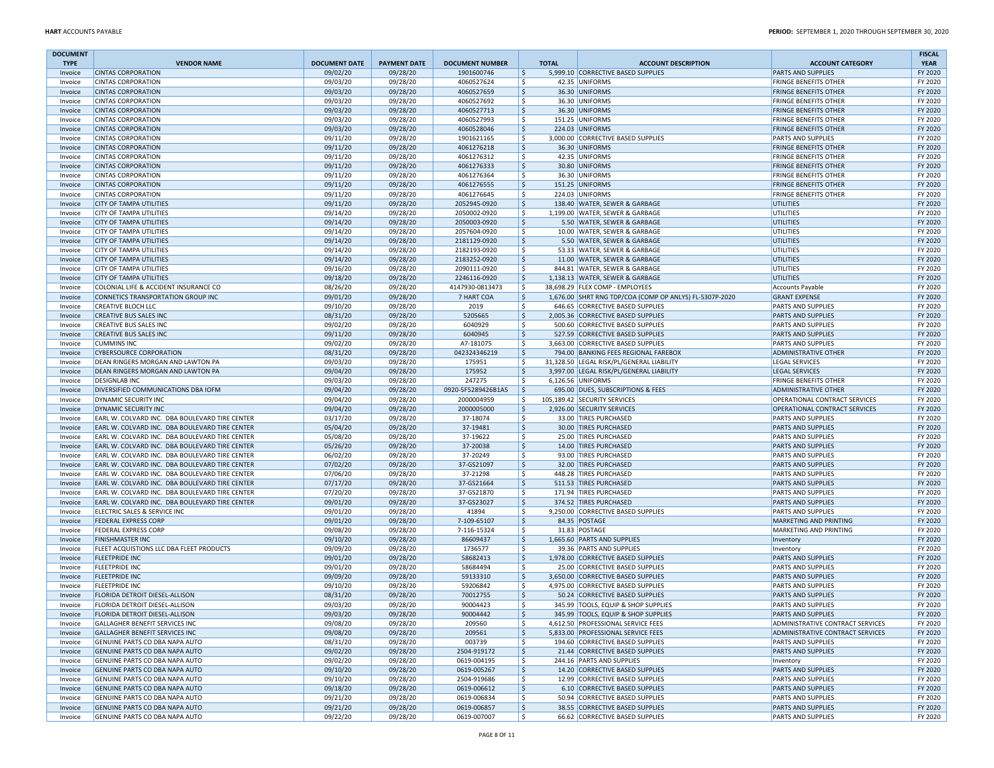| <b>DOCUMENT</b><br><b>TYPE</b> | <b>VENDOR NAME</b>                                                                               | <b>DOCUMENT DATE</b> | <b>PAYMENT DATE</b>  | <b>DOCUMENT NUMBER</b>     | <b>TOTAL</b>       | <b>ACCOUNT DESCRIPTION</b>                                         | <b>ACCOUNT CATEGORY</b>                                | <b>FISCAL</b><br><b>YEAR</b> |
|--------------------------------|--------------------------------------------------------------------------------------------------|----------------------|----------------------|----------------------------|--------------------|--------------------------------------------------------------------|--------------------------------------------------------|------------------------------|
| Invoice                        | <b>CINTAS CORPORATION</b>                                                                        | 09/02/20             | 09/28/20             | 1901600746                 | \$                 | 5,999.10 CORRECTIVE BASED SUPPLIES                                 | <b>PARTS AND SUPPLIES</b>                              | FY 2020                      |
| Invoice                        | <b>CINTAS CORPORATION</b>                                                                        | 09/03/20             | 09/28/20             | 4060527624                 | \$                 | 42.35 UNIFORMS                                                     | <b>FRINGE BENEFITS OTHER</b>                           | FY 2020                      |
| Invoice                        | <b>CINTAS CORPORATION</b>                                                                        | 09/03/20             | 09/28/20             | 4060527659                 | \$                 | 36.30 UNIFORMS                                                     | <b>FRINGE BENEFITS OTHER</b>                           | FY 2020                      |
| Invoice                        | <b>CINTAS CORPORATION</b>                                                                        | 09/03/20             | 09/28/20             | 4060527692                 | \$                 | 36.30 UNIFORMS                                                     | <b>FRINGE BENEFITS OTHER</b>                           | FY 2020                      |
| Invoice                        | <b>CINTAS CORPORATION</b>                                                                        | 09/03/20             | 09/28/20             | 4060527713                 | \$                 | 36.30 UNIFORMS                                                     | <b>FRINGE BENEFITS OTHER</b>                           | FY 2020                      |
| Invoice                        | <b>CINTAS CORPORATION</b>                                                                        | 09/03/20             | 09/28/20             | 4060527993                 | \$                 | 151.25 UNIFORMS                                                    | <b>FRINGE BENEFITS OTHER</b>                           | FY 2020                      |
| Invoice                        | <b>CINTAS CORPORATION</b>                                                                        | 09/03/20             | 09/28/20             | 4060528046                 | \$                 | 224.03 UNIFORMS                                                    | <b>FRINGE BENEFITS OTHER</b>                           | FY 2020                      |
| Invoice                        | <b>CINTAS CORPORATION</b>                                                                        | 09/11/20             | 09/28/20             | 1901621165                 | \$                 | 3,000.00 CORRECTIVE BASED SUPPLIES                                 | <b>PARTS AND SUPPLIES</b>                              | FY 2020                      |
| Invoice                        | <b>CINTAS CORPORATION</b>                                                                        | 09/11/20             | 09/28/20             | 4061276218                 | \$                 | 36.30 UNIFORMS                                                     | <b>FRINGE BENEFITS OTHER</b>                           | FY 2020                      |
| Invoice                        | <b>CINTAS CORPORATION</b>                                                                        | 09/11/20             | 09/28/20             | 4061276312                 | \$                 | 42.35 UNIFORMS                                                     | <b>FRINGE BENEFITS OTHER</b>                           | FY 2020                      |
| Invoice                        | <b>CINTAS CORPORATION</b>                                                                        | 09/11/20             | 09/28/20             | 4061276333                 | \$                 | 30.80 UNIFORMS                                                     | <b>FRINGE BENEFITS OTHER</b>                           | FY 2020                      |
| Invoice                        | <b>CINTAS CORPORATION</b>                                                                        | 09/11/20             | 09/28/20             | 4061276364                 | \$                 | 36.30 UNIFORMS                                                     | <b>FRINGE BENEFITS OTHER</b>                           | FY 2020                      |
| Invoice                        | <b>CINTAS CORPORATION</b>                                                                        | 09/11/20             | 09/28/20             | 4061276555                 | \$                 | 151.25 UNIFORMS                                                    | <b>FRINGE BENEFITS OTHER</b>                           | FY 2020                      |
| Invoice                        | <b>CINTAS CORPORATION</b>                                                                        | 09/11/20             | 09/28/20             | 4061276645                 | \$                 | 224.03 UNIFORMS                                                    | <b>FRINGE BENEFITS OTHER</b>                           | FY 2020                      |
| Invoice                        | <b>CITY OF TAMPA UTILITIES</b>                                                                   | 09/11/20             | 09/28/20             | 2052945-0920               | \$                 | 138.40 WATER, SEWER & GARBAGE                                      | UTILITIES                                              | FY 2020                      |
| Invoice                        | <b>CITY OF TAMPA UTILITIES</b>                                                                   | 09/14/20             | 09/28/20             | 2050002-0920               | \$                 | 1,199.00 WATER, SEWER & GARBAGE                                    | UTILITIES                                              | FY 2020                      |
| Invoice                        | <b>CITY OF TAMPA UTILITIES</b>                                                                   | 09/14/20             | 09/28/20             | 2050003-0920               | \$                 | 5.50 WATER, SEWER & GARBAGE                                        | UTILITIES                                              | FY 2020                      |
| Invoice                        | <b>CITY OF TAMPA UTILITIES</b>                                                                   | 09/14/20             | 09/28/20             | 2057604-0920               | \$                 | 10.00 WATER, SEWER & GARBAGE                                       | UTILITIES                                              | FY 2020                      |
| Invoice                        | <b>CITY OF TAMPA UTILITIES</b>                                                                   | 09/14/20             | 09/28/20             | 2181129-0920               | \$                 | 5.50 WATER, SEWER & GARBAGE                                        | UTILITIES                                              | FY 2020                      |
| Invoice                        | <b>CITY OF TAMPA UTILITIES</b>                                                                   | 09/14/20             | 09/28/20             | 2182193-0920               | S.                 | 53.33 WATER, SEWER & GARBAGE                                       | UTILITIES                                              | FY 2020                      |
| Invoice                        | <b>CITY OF TAMPA UTILITIES</b>                                                                   | 09/14/20             | 09/28/20             | 2183252-0920               | \$                 | 11.00 WATER, SEWER & GARBAGE                                       | UTILITIES                                              | FY 2020                      |
| Invoice                        | <b>CITY OF TAMPA UTILITIES</b>                                                                   | 09/16/20             | 09/28/20             | 2090111-0920               | \$                 | 844.81 WATER, SEWER & GARBAGE                                      | UTILITIES                                              | FY 2020                      |
| Invoice                        | <b>CITY OF TAMPA UTILITIES</b>                                                                   | 09/18/20             | 09/28/20             | 2246116-0920               | \$                 | 1,138.13 WATER, SEWER & GARBAGE                                    | UTILITIES                                              | FY 2020                      |
| Invoice                        | COLONIAL LIFE & ACCIDENT INSURANCE CO                                                            | 08/26/20             | 09/28/20             | 4147930-0813473            | ۱\$                | 38,698.29 FLEX COMP - EMPLOYEES                                    | Accounts Payable                                       | FY 2020                      |
| Invoice                        | CONNETICS TRANSPORTATION GROUP INC                                                               | 09/01/20             | 09/28/20             | 7 HART COA                 | \$                 | 1,676.00 SHRT RNG TDP/COA (COMP OP ANLYS) FL-5307P-2020            | <b>GRANT EXPENSE</b>                                   | FY 2020                      |
| Invoice                        | <b>CREATIVE BLOCH LLC</b>                                                                        | 09/10/20             | 09/28/20             | 2019                       | \$.                | 646.65 CORRECTIVE BASED SUPPLIES                                   | <b>PARTS AND SUPPLIES</b>                              | FY 2020                      |
| Invoice                        | <b>CREATIVE BUS SALES INC</b>                                                                    | 08/31/20             | 09/28/20             | 5205665                    | $\mathsf{\hat{S}}$ | 2,005.36 CORRECTIVE BASED SUPPLIES                                 | PARTS AND SUPPLIES                                     | FY 2020                      |
| Invoice                        | <b>CREATIVE BUS SALES INC</b>                                                                    | 09/02/20             | 09/28/20             | 6040929                    | \$                 | 500.60 CORRECTIVE BASED SUPPLIES                                   | <b>PARTS AND SUPPLIES</b>                              | FY 2020                      |
| Invoice                        | <b>CREATIVE BUS SALES INC</b>                                                                    | 09/11/20             | 09/28/20             | 6040945                    | \$                 | 527.59 CORRECTIVE BASED SUPPLIES                                   | <b>PARTS AND SUPPLIES</b>                              | FY 2020                      |
| Invoice                        | <b>CUMMINS INC</b>                                                                               | 09/02/20             | 09/28/20             | A7-181075                  | \$                 | 3,663.00 CORRECTIVE BASED SUPPLIES                                 | PARTS AND SUPPLIES                                     | FY 2020                      |
| Invoice                        | <b>CYBERSOURCE CORPORATION</b>                                                                   | 08/31/20             | 09/28/20             | 042324346219               | $\mathsf{\hat{S}}$ | 794.00 BANKING FEES REGIONAL FAREBOX                               | <b>ADMINISTRATIVE OTHER</b>                            | FY 2020                      |
| Invoice                        | DEAN RINGERS MORGAN AND LAWTON PA                                                                | 09/03/20             | 09/28/20             | 175951                     | \$                 | 31,328.50 LEGAL RISK/PL/GENERAL LIABILITY                          | LEGAL SERVICES                                         | FY 2020                      |
| Invoice                        | DEAN RINGERS MORGAN AND LAWTON PA                                                                | 09/04/20             | 09/28/20             | 175952                     | $\mathsf{S}$       | 3,997.00 LEGAL RISK/PL/GENERAL LIABILITY                           | <b>LEGAL SERVICES</b>                                  | FY 2020                      |
| Invoice                        | <b>DESIGNLAB INC</b>                                                                             | 09/03/20             | 09/28/20             | 247275                     | \$                 | 6,126.56 UNIFORMS                                                  | <b>FRINGE BENEFITS OTHER</b>                           | FY 2020                      |
| Invoice                        | DIVERSIFIED COMMUNICATIONS DBA IOFM                                                              | 09/04/20             | 09/28/20             | 0920-5F5289426B1A5         | $\ddot{\varsigma}$ | 695.00 DUES, SUBSCRIPTIONS & FEES                                  | <b>ADMINISTRATIVE OTHER</b>                            | FY 2020                      |
| Invoice                        | DYNAMIC SECURITY INC                                                                             | 09/04/20             | 09/28/20             | 2000004959                 | \$                 | 105,189.42 SECURITY SERVICES                                       | OPERATIONAL CONTRACT SERVICES                          | FY 2020                      |
| Invoice                        | DYNAMIC SECURITY INC                                                                             | 09/04/20             | 09/28/20             | 2000005000                 | $\mathsf{S}$       | 2,926.00 SECURITY SERVICES                                         | OPERATIONAL CONTRACT SERVICES                          | FY 2020                      |
| Invoice                        | EARL W. COLVARD INC. DBA BOULEVARD TIRE CENTER                                                   | 03/17/20             | 09/28/20             | 37-18074                   | \$                 | 33.00 TIRES PURCHASED                                              | <b>PARTS AND SUPPLIES</b>                              | FY 2020<br>FY 2020           |
| Invoice<br>Invoice             | EARL W. COLVARD INC. DBA BOULEVARD TIRE CENTER<br>EARL W. COLVARD INC. DBA BOULEVARD TIRE CENTER | 05/04/20<br>05/08/20 | 09/28/20<br>09/28/20 | 37-19481<br>37-19622       | \$<br>\$           | 30.00 TIRES PURCHASED<br>25.00 TIRES PURCHASED                     | <b>PARTS AND SUPPLIES</b><br><b>PARTS AND SUPPLIES</b> | FY 2020                      |
| Invoice                        | EARL W. COLVARD INC. DBA BOULEVARD TIRE CENTER                                                   | 05/26/20             | 09/28/20             | 37-20038                   | \$                 | 14.00 TIRES PURCHASED                                              | <b>PARTS AND SUPPLIES</b>                              | FY 2020                      |
| Invoice                        | EARL W. COLVARD INC. DBA BOULEVARD TIRE CENTER                                                   | 06/02/20             | 09/28/20             | 37-20249                   | \$                 | 93.00 TIRES PURCHASED                                              | <b>PARTS AND SUPPLIES</b>                              | FY 2020                      |
| Invoice                        | EARL W. COLVARD INC. DBA BOULEVARD TIRE CENTER                                                   | 07/02/20             | 09/28/20             | 37-GS21097                 | \$                 | 32.00 TIRES PURCHASED                                              | <b>PARTS AND SUPPLIES</b>                              | FY 2020                      |
| Invoice                        | EARL W. COLVARD INC. DBA BOULEVARD TIRE CENTER                                                   | 07/06/20             | 09/28/20             | 37-21298                   | \$                 | 448.28 TIRES PURCHASED                                             | <b>PARTS AND SUPPLIES</b>                              | FY 2020                      |
| Invoice                        | EARL W. COLVARD INC. DBA BOULEVARD TIRE CENTER                                                   | 07/17/20             | 09/28/20             | 37-GS21664                 | $\mathsf{S}$       | 511.53 TIRES PURCHASED                                             | <b>PARTS AND SUPPLIES</b>                              | FY 2020                      |
| Invoice                        | EARL W. COLVARD INC. DBA BOULEVARD TIRE CENTER                                                   | 07/20/20             | 09/28/20             | 37-GS21870                 | \$                 | 171.94 TIRES PURCHASED                                             | <b>PARTS AND SUPPLIES</b>                              | FY 2020                      |
| Invoice                        | EARL W. COLVARD INC. DBA BOULEVARD TIRE CENTER                                                   | 09/01/20             | 09/28/20             | 37-GS23027                 | l\$                | 374.52 TIRES PURCHASED                                             | <b>PARTS AND SUPPLIES</b>                              | FY 2020                      |
| Invoice                        | ELECTRIC SALES & SERVICE INC                                                                     | 09/01/20             | 09/28/20             | 41894                      | \$                 | 9,250.00 CORRECTIVE BASED SUPPLIES                                 | <b>PARTS AND SUPPLIES</b>                              | FY 2020                      |
| Invoice                        | <b>FEDERAL EXPRESS CORP</b>                                                                      | 09/01/20             | 09/28/20             | 7-109-65107                | l \$               | 84.35 POSTAGE                                                      | MARKETING AND PRINTING                                 | FY 2020                      |
| Invoice                        | <b>FEDERAL EXPRESS CORP</b>                                                                      | 09/08/20             | 09/28/20             | 7-116-15324                | \$                 | 31.83 POSTAGE                                                      | MARKETING AND PRINTING                                 | FY 2020                      |
| Invoice                        | <b>FINISHMASTER INC</b>                                                                          | 09/10/20             | 09/28/20             | 86609437                   | \$                 | 1,665.60 PARTS AND SUPPLIES                                        | Inventory                                              | FY 2020                      |
| Invoice                        | FLEET ACQUISTIONS LLC DBA FLEET PRODUCTS                                                         | 09/09/20             | 09/28/20             | 1736577                    | \$                 | 39.36 PARTS AND SUPPLIES                                           | Inventory                                              | FY 2020                      |
| Invoice                        | <b>FLEETPRIDE INC</b>                                                                            | 09/01/20             | 09/28/20             | 58682413                   | $\mathsf{\hat{S}}$ | 1,978.00 CORRECTIVE BASED SUPPLIES                                 | <b>PARTS AND SUPPLIES</b>                              | FY 2020                      |
| Invoice                        | <b>FLEETPRIDE INC</b>                                                                            | 09/01/20             | 09/28/20             | 58684494                   | Ŝ.                 | 25.00 CORRECTIVE BASED SUPPLIES                                    | <b>PARTS AND SUPPLIES</b>                              | FY 2020                      |
| Invoice                        | <b>FLEETPRIDE INC</b>                                                                            | 09/09/20             | 09/28/20             | 59133310                   | \$                 | 3,650.00 CORRECTIVE BASED SUPPLIES                                 | <b>PARTS AND SUPPLIES</b>                              | FY 2020                      |
| Invoice                        | <b>FLEETPRIDE INC</b>                                                                            | 09/10/20             | 09/28/20             | 59206842                   | \$                 | 4,975.00 CORRECTIVE BASED SUPPLIES                                 | <b>PARTS AND SUPPLIES</b>                              | FY 2020                      |
| Invoice                        | FLORIDA DETROIT DIESEL-ALLISON                                                                   | 08/31/20             | 09/28/20             | 70012755                   | \$                 | 50.24 CORRECTIVE BASED SUPPLIES                                    | <b>PARTS AND SUPPLIES</b>                              | FY 2020                      |
| Invoice                        | FLORIDA DETROIT DIESEL-ALLISON                                                                   | 09/03/20             | 09/28/20             | 90004423                   | \$                 | 345.99 TOOLS, EQUIP & SHOP SUPPLIES                                | <b>PARTS AND SUPPLIES</b>                              | FY 2020                      |
| Invoice                        | <b>FLORIDA DETROIT DIESEL-ALLISON</b>                                                            | 09/03/20             | 09/28/20             | 90004442                   | -S                 | 345.99 TOOLS, EQUIP & SHOP SUPPLIES                                | <b>PARTS AND SUPPLIES</b>                              | FY 2020                      |
| Invoice                        | GALLAGHER BENEFIT SERVICES INC                                                                   | 09/08/20             | 09/28/20             | 209560                     | \$                 | 4,612.50 PROFESSIONAL SERVICE FEES                                 | ADMINISTRATIVE CONTRACT SERVICES                       | FY 2020                      |
| Invoice                        | GALLAGHER BENEFIT SERVICES INC                                                                   | 09/08/20             | 09/28/20             | 209561                     | \$                 | 5,833.00 PROFESSIONAL SERVICE FEES                                 | ADMINISTRATIVE CONTRACT SERVICES                       | FY 2020                      |
| Invoice                        | GENUINE PARTS CO DBA NAPA AUTO                                                                   | 08/31/20             | 09/28/20             | 003739                     | \$                 | 194.60 CORRECTIVE BASED SUPPLIES                                   | PARTS AND SUPPLIES                                     | FY 2020                      |
| Invoice                        | GENUINE PARTS CO DBA NAPA AUTO                                                                   | 09/02/20             | 09/28/20             | 2504-919172                | \$                 | 21.44 CORRECTIVE BASED SUPPLIES                                    | <b>PARTS AND SUPPLIES</b>                              | FY 2020                      |
| Invoice                        | GENUINE PARTS CO DBA NAPA AUTO                                                                   | 09/02/20             | 09/28/20             | 0619-004195                | \$                 | 244.16 PARTS AND SUPPLIES                                          | Inventory                                              | FY 2020                      |
| Invoice                        | GENUINE PARTS CO DBA NAPA AUTO                                                                   | 09/10/20             | 09/28/20             | 0619-005267                | \$                 | 14.20 CORRECTIVE BASED SUPPLIES                                    | PARTS AND SUPPLIES                                     | FY 2020                      |
| Invoice                        | GENUINE PARTS CO DBA NAPA AUTO                                                                   | 09/10/20             | 09/28/20             | 2504-919686                | \$                 | 12.99 CORRECTIVE BASED SUPPLIES                                    | PARTS AND SUPPLIES                                     | FY 2020                      |
| Invoice                        | GENUINE PARTS CO DBA NAPA AUTO                                                                   | 09/18/20             | 09/28/20             | 0619-006612                | \$                 | 6.10 CORRECTIVE BASED SUPPLIES                                     | <b>PARTS AND SUPPLIES</b>                              | FY 2020                      |
| Invoice                        | GENUINE PARTS CO DBA NAPA AUTO<br>GENUINE PARTS CO DBA NAPA AUTO                                 | 09/21/20             | 09/28/20             | 0619-006834                | \$                 | 50.94 CORRECTIVE BASED SUPPLIES<br>38.55 CORRECTIVE BASED SUPPLIES | <b>PARTS AND SUPPLIES</b>                              | FY 2020                      |
| Invoice                        | GENUINE PARTS CO DBA NAPA AUTO                                                                   | 09/21/20             | 09/28/20<br>09/28/20 | 0619-006857<br>0619-007007 | \$<br>S.           | 66.62 CORRECTIVE BASED SUPPLIES                                    | PARTS AND SUPPLIES<br><b>PARTS AND SUPPLIES</b>        | FY 2020<br>FY 2020           |
| Invoice                        |                                                                                                  | 09/22/20             |                      |                            |                    |                                                                    |                                                        |                              |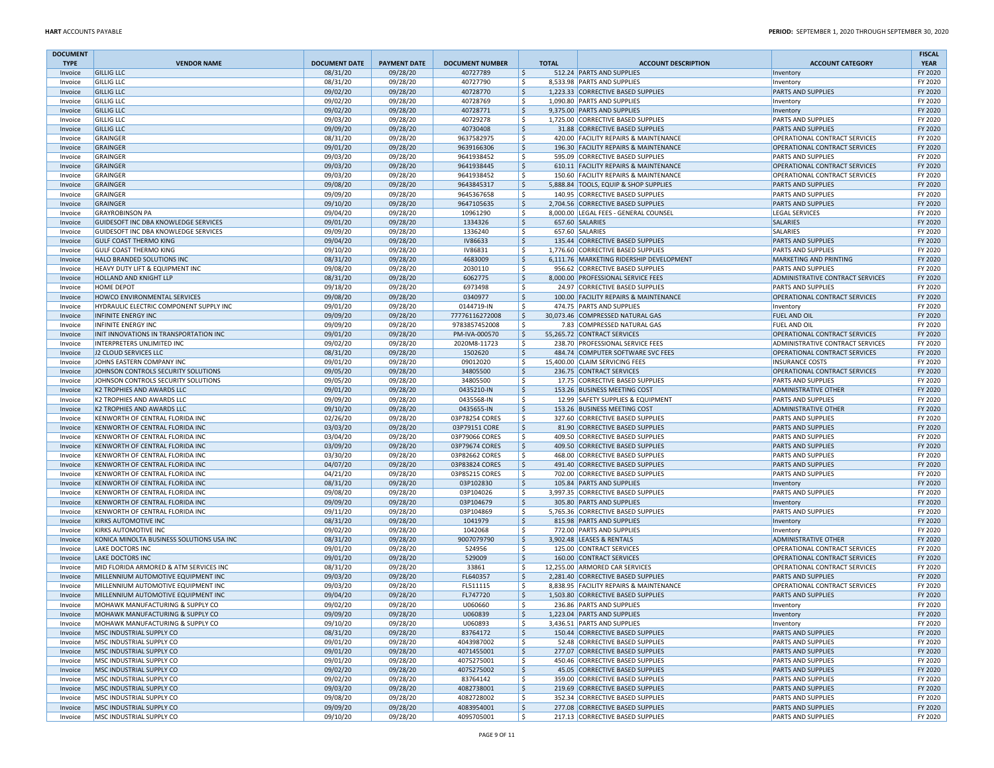| <b>DOCUMENT</b><br><b>TYPE</b> | <b>VENDOR NAME</b>                                   | <b>DOCUMENT DATE</b> | <b>PAYMENT DATE</b>  | <b>DOCUMENT NUMBER</b>  |             | <b>TOTAL</b> | <b>ACCOUNT DESCRIPTION</b>                                            | <b>ACCOUNT CATEGORY</b>                                           | <b>FISCAL</b><br><b>YEAR</b> |
|--------------------------------|------------------------------------------------------|----------------------|----------------------|-------------------------|-------------|--------------|-----------------------------------------------------------------------|-------------------------------------------------------------------|------------------------------|
| Invoice                        | <b>GILLIG LLC</b>                                    | 08/31/20             | 09/28/20             | 40727789                | ۱\$         |              | 512.24 PARTS AND SUPPLIES                                             | Inventory                                                         | FY 2020                      |
| Invoice                        | <b>GILLIG LLC</b>                                    | 08/31/20             | 09/28/20             | 40727790                | ۱\$         |              | 8,533.98 PARTS AND SUPPLIES                                           | Inventory                                                         | FY 2020                      |
| Invoice                        | <b>GILLIG LLC</b>                                    | 09/02/20             | 09/28/20             | 40728770                | ۱\$         |              | 1,223.33 CORRECTIVE BASED SUPPLIES                                    | <b>PARTS AND SUPPLIES</b>                                         | FY 2020                      |
| Invoice                        | <b>GILLIG LLC</b>                                    | 09/02/20             | 09/28/20             | 40728769                | l \$        |              | 1,090.80 PARTS AND SUPPLIES                                           | Inventory                                                         | FY 2020                      |
| Invoice                        | <b>GILLIG LLC</b>                                    | 09/02/20             | 09/28/20             | 40728771                | ۱\$         |              | 9,375.00 PARTS AND SUPPLIES                                           | Inventory                                                         | FY 2020                      |
| Invoice                        | <b>GILLIG LLC</b>                                    | 09/03/20             | 09/28/20             | 40729278                | ۱\$         |              | 1.725.00 CORRECTIVE BASED SUPPLIES<br>31.88 CORRECTIVE BASED SUPPLIES | <b>PARTS AND SUPPLIES</b>                                         | FY 2020                      |
| Invoice                        | <b>GILLIG LLC</b><br><b>GRAINGER</b>                 | 09/09/20             | 09/28/20<br>09/28/20 | 40730408<br>9637582975  | ۱\$<br>۱\$  |              | 420.00 FACILITY REPAIRS & MAINTENANCE                                 | <b>PARTS AND SUPPLIES</b><br>OPERATIONAL CONTRACT SERVICES        | FY 2020<br>FY 2020           |
| Invoice<br>Invoice             | <b>GRAINGER</b>                                      | 08/31/20<br>09/01/20 | 09/28/20             | 9639166306              | ۱\$         |              | 196.30 FACILITY REPAIRS & MAINTENANCE                                 | OPERATIONAL CONTRACT SERVICES                                     | FY 2020                      |
| Invoice                        | GRAINGER                                             | 09/03/20             | 09/28/20             | 9641938452              | ۱\$         |              | 595.09 CORRECTIVE BASED SUPPLIES                                      | <b>PARTS AND SUPPLIES</b>                                         | FY 2020                      |
| Invoice                        | <b>GRAINGER</b>                                      | 09/03/20             | 09/28/20             | 9641938445              | ۱\$         |              | 610.11 FACILITY REPAIRS & MAINTENANCE                                 | OPERATIONAL CONTRACT SERVICES                                     | FY 2020                      |
| Invoice                        | <b>GRAINGER</b>                                      | 09/03/20             | 09/28/20             | 9641938452              | ۱\$         |              | 150.60 FACILITY REPAIRS & MAINTENANCE                                 | OPERATIONAL CONTRACT SERVICES                                     | FY 2020                      |
| Invoice                        | <b>GRAINGER</b>                                      | 09/08/20             | 09/28/20             | 9643845317              | \$          |              | 5,888.84 TOOLS, EQUIP & SHOP SUPPLIES                                 | <b>PARTS AND SUPPLIES</b>                                         | FY 2020                      |
| Invoice                        | GRAINGER                                             | 09/09/20             | 09/28/20             | 9645367658              | ۱\$         |              | 140.95 CORRECTIVE BASED SUPPLIES                                      | <b>PARTS AND SUPPLIES</b>                                         | FY 2020                      |
| Invoice                        | <b>GRAINGER</b>                                      | 09/10/20             | 09/28/20             | 9647105635              | \$          |              | 2,704.56 CORRECTIVE BASED SUPPLIES                                    | <b>PARTS AND SUPPLIES</b>                                         | FY 2020                      |
| Invoice                        | <b>GRAYROBINSON PA</b>                               | 09/04/20             | 09/28/20             | 10961290                | ۱\$         |              | 8,000.00 LEGAL FEES - GENERAL COUNSEL                                 | LEGAL SERVICES                                                    | FY 2020                      |
| Invoice                        | GUIDESOFT INC DBA KNOWLEDGE SERVICES                 | 09/01/20             | 09/28/20             | 1334326                 | \$          |              | 657.60 SALARIES                                                       | SALARIES                                                          | FY 2020                      |
| Invoice                        | GUIDESOFT INC DBA KNOWLEDGE SERVICES                 | 09/09/20             | 09/28/20             | 1336240                 | ۱\$         |              | 657.60 SALARIES                                                       | SALARIES                                                          | FY 2020                      |
| Invoice                        | <b>GULF COAST THERMO KING</b>                        | 09/04/20             | 09/28/20             | <b>IV86633</b>          | \$          |              | 135.44 CORRECTIVE BASED SUPPLIES                                      | PARTS AND SUPPLIES                                                | FY 2020                      |
| Invoice                        | <b>GULF COAST THERMO KING</b>                        | 09/10/20             | 09/28/20             | IV86831                 | ۱\$         |              | 1,776.60 CORRECTIVE BASED SUPPLIES                                    | <b>PARTS AND SUPPLIES</b>                                         | FY 2020                      |
| Invoice                        | HALO BRANDED SOLUTIONS INC                           | 08/31/20             | 09/28/20             | 4683009                 | ۱\$         |              | 6,111.76 MARKETING RIDERSHIP DEVELOPMENT                              | MARKETING AND PRINTING                                            | FY 2020                      |
| Invoice                        | HEAVY DUTY LIFT & EQUIPMENT INC                      | 09/08/20             | 09/28/20             | 2030110                 | ۱\$         |              | 956.62 CORRECTIVE BASED SUPPLIES                                      | <b>PARTS AND SUPPLIES</b>                                         | FY 2020                      |
| Invoice                        | HOLLAND AND KNIGHT LLP                               | 08/31/20             | 09/28/20             | 6062775                 | ۱\$         |              | 8,000.00 PROFESSIONAL SERVICE FEES                                    | ADMINISTRATIVE CONTRACT SERVICES                                  | FY 2020                      |
| Invoice                        | HOME DEPOT                                           | 09/18/20             | 09/28/20             | 6973498                 | ۱\$         |              | 24.97 CORRECTIVE BASED SUPPLIES                                       | <b>PARTS AND SUPPLIES</b>                                         | FY 2020                      |
| Invoice                        | HOWCO ENVIRONMENTAL SERVICES                         | 09/08/20             | 09/28/20             | 0340977                 | ۱\$         |              | 100.00 FACILITY REPAIRS & MAINTENANCE                                 | OPERATIONAL CONTRACT SERVICES                                     | FY 2020                      |
| Invoice                        | HYDRAULIC ELECTRIC COMPONENT SUPPLY INC              | 09/01/20             | 09/28/20             | 0144719-IN              | ۱\$         |              | 474.75 PARTS AND SUPPLIES                                             | Inventory                                                         | FY 2020                      |
| Invoice                        | <b>INFINITE ENERGY INC</b>                           | 09/09/20             | 09/28/20             | 77776116272008          | ۱\$         |              | 30,073.46 COMPRESSED NATURAL GAS                                      | <b>FUEL AND OIL</b>                                               | FY 2020                      |
| Invoice                        | INFINITE ENERGY INC                                  | 09/09/20             | 09/28/20             | 9783857452008           | ۱\$         |              | 7.83 COMPRESSED NATURAL GAS                                           | <b>FUEL AND OIL</b><br><b>OPERATIONAL CONTRACT SERVICES</b>       | FY 2020                      |
| Invoice                        | INIT INNOVATIONS IN TRANSPORTATION INC               | 09/01/20             | 09/28/20             | PM-IVA-000570           | ۱\$         |              | 55,265.72 CONTRACT SERVICES                                           |                                                                   | FY 2020<br>FY 2020           |
| Invoice<br>Invoice             | INTERPRETERS UNLIMITED INC<br>J2 CLOUD SERVICES LLC  | 09/02/20<br>08/31/20 | 09/28/20<br>09/28/20 | 2020M8-11723<br>1502620 | ۱\$<br>۱\$  |              | 238.70 PROFESSIONAL SERVICE FEES<br>484.74 COMPUTER SOFTWARE SVC FEES | ADMINISTRATIVE CONTRACT SERVICES<br>OPERATIONAL CONTRACT SERVICES | FY 2020                      |
| Invoice                        | JOHNS EASTERN COMPANY INC                            | 09/01/20             | 09/28/20             | 09012020                | ۱\$         |              | 15,400.00 CLAIM SERVICING FEES                                        | <b>INSURANCE COSTS</b>                                            | FY 2020                      |
| Invoice                        | JOHNSON CONTROLS SECURITY SOLUTIONS                  | 09/05/20             | 09/28/20             | 34805500                | ۱\$         |              | 236.75 CONTRACT SERVICES                                              | <b>OPERATIONAL CONTRACT SERVICES</b>                              | FY 2020                      |
| Invoice                        | JOHNSON CONTROLS SECURITY SOLUTIONS                  | 09/05/20             | 09/28/20             | 34805500                | ۱\$         |              | 17.75 CORRECTIVE BASED SUPPLIES                                       | <b>PARTS AND SUPPLIES</b>                                         | FY 2020                      |
| Invoice                        | K2 TROPHIES AND AWARDS LLC                           | 09/01/20             | 09/28/20             | 0435210-IN              | ۱\$         |              | 153.26 BUSINESS MEETING COST                                          | <b>ADMINISTRATIVE OTHER</b>                                       | FY 2020                      |
| Invoice                        | K2 TROPHIES AND AWARDS LLC                           | 09/09/20             | 09/28/20             | 0435568-IN              | ۱\$         |              | 12.99 SAFETY SUPPLIES & EQUIPMENT                                     | <b>PARTS AND SUPPLIES</b>                                         | FY 2020                      |
| Invoice                        | K2 TROPHIES AND AWARDS LLC                           | 09/10/20             | 09/28/20             | 0435655-IN              | ۱\$         |              | 153.26 BUSINESS MEETING COST                                          | <b>ADMINISTRATIVE OTHER</b>                                       | FY 2020                      |
| Invoice                        | KENWORTH OF CENTRAL FLORIDA INC                      | 02/26/20             | 09/28/20             | 03P78254 CORES          | ۱\$         |              | 327.60 CORRECTIVE BASED SUPPLIES                                      | <b>PARTS AND SUPPLIES</b>                                         | FY 2020                      |
| Invoice                        | KENWORTH OF CENTRAL FLORIDA INC                      | 03/03/20             | 09/28/20             | 03P79151 CORE           | \$          |              | 81.90 CORRECTIVE BASED SUPPLIES                                       | <b>PARTS AND SUPPLIES</b>                                         | FY 2020                      |
| Invoice                        | KENWORTH OF CENTRAL FLORIDA INC                      | 03/04/20             | 09/28/20             | 03P79066 CORES          | ۱\$         |              | 409.50 CORRECTIVE BASED SUPPLIES                                      | <b>PARTS AND SUPPLIES</b>                                         | FY 2020                      |
| Invoice                        | KENWORTH OF CENTRAL FLORIDA INC                      | 03/09/20             | 09/28/20             | 03P79674 CORES          | S,          |              | 409.50 CORRECTIVE BASED SUPPLIES                                      | <b>PARTS AND SUPPLIES</b>                                         | FY 2020                      |
| Invoice                        | KENWORTH OF CENTRAL FLORIDA INC                      | 03/30/20             | 09/28/20             | 03P82662 CORES          | ۱\$         |              | 468.00 CORRECTIVE BASED SUPPLIES                                      | <b>PARTS AND SUPPLIES</b>                                         | FY 2020                      |
| Invoice                        | KENWORTH OF CENTRAL FLORIDA INC                      | 04/07/20             | 09/28/20             | 03P83824 CORES          | \$          |              | 491.40 CORRECTIVE BASED SUPPLIES                                      | <b>PARTS AND SUPPLIES</b>                                         | FY 2020                      |
| Invoice                        | KENWORTH OF CENTRAL FLORIDA INC                      | 04/21/20             | 09/28/20             | 03P85215 CORES          | ۱\$         |              | 702.00 CORRECTIVE BASED SUPPLIES                                      | <b>PARTS AND SUPPLIES</b>                                         | FY 2020                      |
| Invoice                        | KENWORTH OF CENTRAL FLORIDA INC                      | 08/31/20             | 09/28/20             | 03P102830               | I\$         |              | 105.84 PARTS AND SUPPLIES                                             | Inventory                                                         | FY 2020                      |
| Invoice                        | KENWORTH OF CENTRAL FLORIDA INC                      | 09/08/20             | 09/28/20             | 03P104026               | ۱\$         |              | 3,997.35 CORRECTIVE BASED SUPPLIES                                    | PARTS AND SUPPLIES                                                | FY 2020                      |
| Invoice                        | KENWORTH OF CENTRAL FLORIDA INC                      | 09/09/20             | 09/28/20             | 03P104679               | ۱\$         |              | 305.80 PARTS AND SUPPLIES                                             | Inventory                                                         | FY 2020                      |
| Invoice                        | KENWORTH OF CENTRAL FLORIDA INC                      | 09/11/20             | 09/28/20             | 03P104869               | ۱\$         |              | 5,765.36 CORRECTIVE BASED SUPPLIES                                    | PARTS AND SUPPLIES                                                | FY 2020                      |
| Invoice<br>Invoice             | KIRKS AUTOMOTIVE INC<br>KIRKS AUTOMOTIVE INC         | 08/31/20<br>09/02/20 | 09/28/20<br>09/28/20 | 1041979<br>1042068      | ۱\$<br>l \$ |              | 815.98 PARTS AND SUPPLIES<br>772.00 PARTS AND SUPPLIES                | Inventory<br>Inventory                                            | FY 2020<br>FY 2020           |
| Invoice                        | KONICA MINOLTA BUSINESS SOLUTIONS USA INC            | 08/31/20             | 09/28/20             | 9007079790              | ۱\$         |              | 3,902.48 LEASES & RENTALS                                             | <b>ADMINISTRATIVE OTHER</b>                                       | FY 2020                      |
| Invoice                        | LAKE DOCTORS INC                                     | 09/01/20             | 09/28/20             | 524956                  | ۱\$         |              | 125.00 CONTRACT SERVICES                                              | OPERATIONAL CONTRACT SERVICES                                     | FY 2020                      |
| Invoice                        | LAKE DOCTORS INC                                     | 09/01/20             | 09/28/20             | 529009                  | ۱\$         |              | 160.00 CONTRACT SERVICES                                              | OPERATIONAL CONTRACT SERVICES                                     | FY 2020                      |
| Invoice                        | MID FLORIDA ARMORED & ATM SERVICES INC               | 08/31/20             | 09/28/20             | 33861                   | l s         |              | 12,255.00 ARMORED CAR SERVICES                                        | OPERATIONAL CONTRACT SERVICES                                     | FY 2020                      |
| Invoice                        | MILLENNIUM AUTOMOTIVE EQUIPMENT INC                  | 09/03/20             | 09/28/20             | FL640357                | ۱\$         |              | 2,281.40 CORRECTIVE BASED SUPPLIES                                    | <b>PARTS AND SUPPLIES</b>                                         | FY 2020                      |
| Invoice                        | MILLENNIUM AUTOMOTIVE EQUIPMENT INC                  | 09/03/20             | 09/28/20             | FL511115                | ۱s          |              | 8,838.95 FACILITY REPAIRS & MAINTENANCE                               | OPERATIONAL CONTRACT SERVICES                                     | FY 2020                      |
| Invoice                        | MILLENNIUM AUTOMOTIVE EQUIPMENT INC                  | 09/04/20             | 09/28/20             | FL747720                | ۱\$         |              | 1,503.80 CORRECTIVE BASED SUPPLIES                                    | <b>PARTS AND SUPPLIES</b>                                         | FY 2020                      |
| Invoice                        | MOHAWK MANUFACTURING & SUPPLY CO                     | 09/02/20             | 09/28/20             | U060660                 | ۱\$         |              | 236.86 PARTS AND SUPPLIES                                             | Inventory                                                         | FY 2020                      |
| Invoice                        | MOHAWK MANUFACTURING & SUPPLY CO                     | 09/09/20             | 09/28/20             | U060839                 | l Ş         |              | 1,223.04 PARTS AND SUPPLIES                                           | Inventory                                                         | FY 2020                      |
| Invoice                        | MOHAWK MANUFACTURING & SUPPLY CO                     | 09/10/20             | 09/28/20             | U060893                 | ۱\$         |              | 3,436.51 PARTS AND SUPPLIES                                           | Inventory                                                         | FY 2020                      |
| Invoice                        | MSC INDUSTRIAL SUPPLY CO                             | 08/31/20             | 09/28/20             | 83764172                | ۱\$         |              | 150.44 CORRECTIVE BASED SUPPLIES                                      | <b>PARTS AND SUPPLIES</b>                                         | FY 2020                      |
| Invoice                        | MSC INDUSTRIAL SUPPLY CO                             | 09/01/20             | 09/28/20             | 4043987002              | ۱\$         |              | 52.48 CORRECTIVE BASED SUPPLIES                                       | <b>PARTS AND SUPPLIES</b>                                         | FY 2020                      |
| Invoice                        | MSC INDUSTRIAL SUPPLY CO                             | 09/01/20             | 09/28/20             | 4071455001              | \$          |              | 277.07 CORRECTIVE BASED SUPPLIES                                      | <b>PARTS AND SUPPLIES</b>                                         | FY 2020                      |
| Invoice                        | MSC INDUSTRIAL SUPPLY CO                             | 09/01/20             | 09/28/20             | 4075275001              | S,          |              | 450.46 CORRECTIVE BASED SUPPLIES                                      | <b>PARTS AND SUPPLIES</b>                                         | FY 2020                      |
| Invoice                        | MSC INDUSTRIAL SUPPLY CO                             | 09/02/20             | 09/28/20             | 4075275002              | \$          |              | 45.05 CORRECTIVE BASED SUPPLIES                                       | <b>PARTS AND SUPPLIES</b>                                         | FY 2020                      |
| Invoice                        | MSC INDUSTRIAL SUPPLY CO                             | 09/02/20             | 09/28/20             | 83764142                | ۱\$         |              | 359.00 CORRECTIVE BASED SUPPLIES                                      | <b>PARTS AND SUPPLIES</b>                                         | FY 2020                      |
| Invoice                        | MSC INDUSTRIAL SUPPLY CO                             | 09/03/20             | 09/28/20             | 4082738001              | \$          |              | 219.69 CORRECTIVE BASED SUPPLIES                                      | <b>PARTS AND SUPPLIES</b>                                         | FY 2020                      |
| Invoice                        | MSC INDUSTRIAL SUPPLY CO                             | 09/08/20             | 09/28/20             | 4082728002              | S,          |              | 352.34 CORRECTIVE BASED SUPPLIES                                      | PARTS AND SUPPLIES                                                | FY 2020                      |
| Invoice                        | MSC INDUSTRIAL SUPPLY CO<br>MSC INDUSTRIAL SUPPLY CO | 09/09/20             | 09/28/20             | 4083954001              | \$          |              | 277.08 CORRECTIVE BASED SUPPLIES<br>217.13 CORRECTIVE BASED SUPPLIES  | <b>PARTS AND SUPPLIES</b>                                         | FY 2020                      |
| Invoice                        |                                                      | 09/10/20             | 09/28/20             | 4095705001              | ا \$        |              |                                                                       | <b>PARTS AND SUPPLIES</b>                                         | FY 2020                      |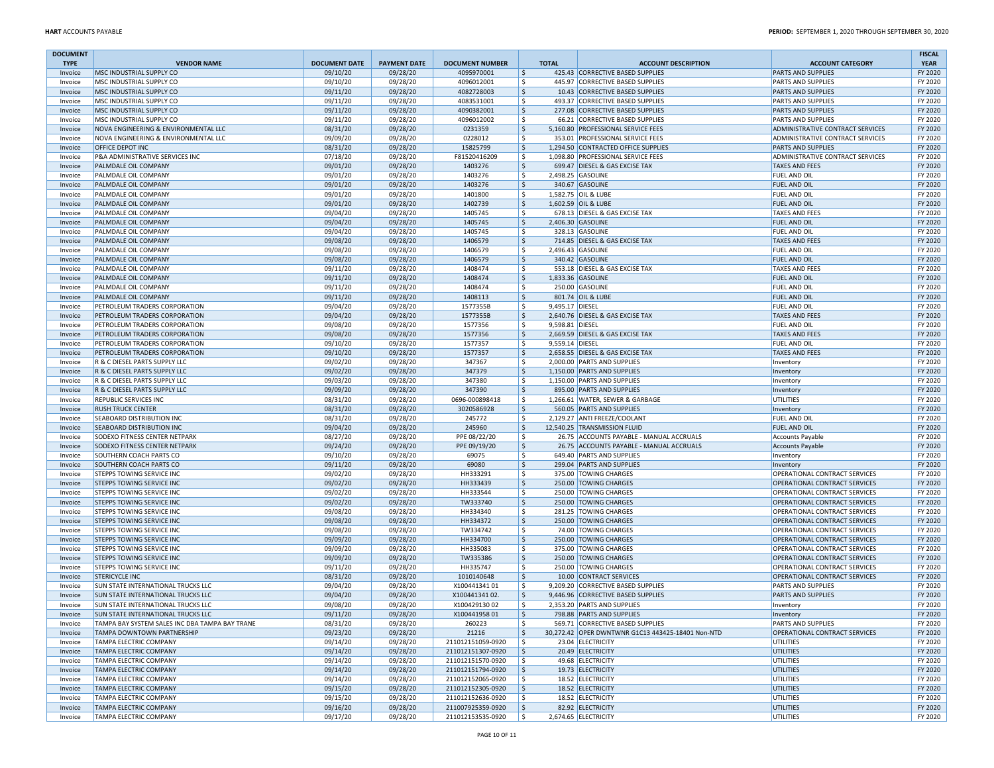| <b>DOCUMENT</b><br><b>TYPE</b> | <b>VENDOR NAME</b>                                             | <b>DOCUMENT DATE</b> | <b>PAYMENT DATE</b>  | <b>DOCUMENT NUMBER</b>                 |            | <b>TOTAL</b>    | <b>ACCOUNT DESCRIPTION</b>                                           | <b>ACCOUNT CATEGORY</b>                                        | <b>FISCAL</b><br><b>YEAR</b> |
|--------------------------------|----------------------------------------------------------------|----------------------|----------------------|----------------------------------------|------------|-----------------|----------------------------------------------------------------------|----------------------------------------------------------------|------------------------------|
| Invoice                        | MSC INDUSTRIAL SUPPLY CO                                       | 09/10/20             | 09/28/20             | 4095970001                             | l\$        |                 | 425.43 CORRECTIVE BASED SUPPLIES                                     | <b>PARTS AND SUPPLIES</b>                                      | FY 2020                      |
| Invoice                        | MSC INDUSTRIAL SUPPLY CO                                       | 09/10/20             | 09/28/20             | 4096012001                             | ۱\$        |                 | 445.97 CORRECTIVE BASED SUPPLIES                                     | <b>PARTS AND SUPPLIES</b>                                      | FY 2020                      |
| Invoice                        | MSC INDUSTRIAL SUPPLY CO                                       | 09/11/20             | 09/28/20             | 4082728003                             | ۱\$        |                 | 10.43 CORRECTIVE BASED SUPPLIES                                      | <b>PARTS AND SUPPLIES</b>                                      | FY 2020                      |
| Invoice                        | MSC INDUSTRIAL SUPPLY CO                                       | 09/11/20             | 09/28/20             | 4083531001                             | ۱\$        |                 | 493.37 CORRECTIVE BASED SUPPLIES                                     | <b>PARTS AND SUPPLIES</b>                                      | FY 2020                      |
| Invoice                        | MSC INDUSTRIAL SUPPLY CO                                       | 09/11/20             | 09/28/20             | 4090382001                             | ۱\$        |                 | 277.08 CORRECTIVE BASED SUPPLIES                                     | <b>PARTS AND SUPPLIES</b>                                      | FY 2020                      |
| Invoice                        | MSC INDUSTRIAL SUPPLY CO                                       | 09/11/20             | 09/28/20             | 4096012002                             | ۱\$        |                 | 66.21 CORRECTIVE BASED SUPPLIES                                      | <b>PARTS AND SUPPLIES</b>                                      | FY 2020                      |
| Invoice                        | NOVA ENGINEERING & ENVIRONMENTAL LLC                           | 08/31/20             | 09/28/20             | 0231359                                | \$         |                 | 5,160.80 PROFESSIONAL SERVICE FEES                                   | ADMINISTRATIVE CONTRACT SERVICES                               | FY 2020                      |
| Invoice                        | NOVA ENGINEERING & ENVIRONMENTAL LLC                           | 09/09/20             | 09/28/20             | 0228012                                | ۱\$        |                 | 353.01 PROFESSIONAL SERVICE FEES                                     | ADMINISTRATIVE CONTRACT SERVICES                               | FY 2020                      |
| Invoice                        | OFFICE DEPOT INC                                               | 08/31/20             | 09/28/20             | 15825799                               | \$         |                 | 1,294.50 CONTRACTED OFFICE SUPPLIES                                  | <b>PARTS AND SUPPLIES</b>                                      | FY 2020                      |
| Invoice<br>Invoice             | P&A ADMINISTRATIVE SERVICES INC<br>PALMDALE OIL COMPANY        | 07/18/20<br>09/01/20 | 09/28/20<br>09/28/20 | F81520416209<br>1403276                | ۱\$<br>۱\$ |                 | 1,098.80 PROFESSIONAL SERVICE FEES<br>699.47 DIESEL & GAS EXCISE TAX | ADMINISTRATIVE CONTRACT SERVICES<br><b>TAXES AND FEES</b>      | FY 2020<br>FY 2020           |
| Invoice                        | PALMDALE OIL COMPANY                                           | 09/01/20             | 09/28/20             | 1403276                                | ۱\$        |                 | 2,498.25 GASOLINE                                                    | <b>FUEL AND OIL</b>                                            | FY 2020                      |
| Invoice                        | PALMDALE OIL COMPANY                                           | 09/01/20             | 09/28/20             | 1403276                                | ۱\$        |                 | 340.67 GASOLINE                                                      | <b>FUEL AND OIL</b>                                            | FY 2020                      |
| Invoice                        | PALMDALE OIL COMPANY                                           | 09/01/20             | 09/28/20             | 1401800                                | ۱\$        |                 | 1,582.75 OIL & LUBE                                                  | <b>FUEL AND OIL</b>                                            | FY 2020                      |
| Invoice                        | PALMDALE OIL COMPANY                                           | 09/01/20             | 09/28/20             | 1402739                                | ۱\$        |                 | 1,602.59 OIL & LUBE                                                  | <b>FUEL AND OIL</b>                                            | FY 2020                      |
| Invoice                        | PALMDALE OIL COMPANY                                           | 09/04/20             | 09/28/20             | 1405745                                | l \$       |                 | 678.13 DIESEL & GAS EXCISE TAX                                       | <b>TAXES AND FEES</b>                                          | FY 2020                      |
| Invoice                        | PALMDALE OIL COMPANY                                           | 09/04/20             | 09/28/20             | 1405745                                | ۱\$        |                 | 2,406.30 GASOLINE                                                    | <b>FUEL AND OIL</b>                                            | FY 2020                      |
| Invoice                        | PALMDALE OIL COMPANY                                           | 09/04/20             | 09/28/20             | 1405745                                | ۱\$        |                 | 328.13 GASOLINE                                                      | <b>FUEL AND OIL</b>                                            | FY 2020                      |
| Invoice                        | PALMDALE OIL COMPANY                                           | 09/08/20             | 09/28/20             | 1406579                                | ۱\$        |                 | 714.85 DIESEL & GAS EXCISE TAX                                       | <b>TAXES AND FEES</b>                                          | FY 2020                      |
| Invoice                        | PALMDALE OIL COMPANY                                           | 09/08/20             | 09/28/20             | 1406579                                | ۱\$        |                 | 2,496.43 GASOLINE                                                    | FUEL AND OIL                                                   | FY 2020                      |
| Invoice                        | PALMDALE OIL COMPANY<br>PALMDALE OIL COMPANY                   | 09/08/20<br>09/11/20 | 09/28/20<br>09/28/20 | 1406579<br>1408474                     | ۱\$<br>۱\$ |                 | 340.42 GASOLINE<br>553.18 DIESEL & GAS EXCISE TAX                    | <b>FUEL AND OIL</b><br><b>TAXES AND FEES</b>                   | FY 2020<br>FY 2020           |
| Invoice<br>Invoice             | PALMDALE OIL COMPANY                                           | 09/11/20             | 09/28/20             | 1408474                                | ۱\$        |                 | 1,833.36 GASOLINE                                                    | <b>FUEL AND OIL</b>                                            | FY 2020                      |
| Invoice                        | PALMDALE OIL COMPANY                                           | 09/11/20             | 09/28/20             | 1408474                                | ۱\$        |                 | 250.00 GASOLINE                                                      | FUEL AND OIL                                                   | FY 2020                      |
| Invoice                        | PALMDALE OIL COMPANY                                           | 09/11/20             | 09/28/20             | 1408113                                | ۱\$        |                 | 801.74 OIL & LUBE                                                    | <b>FUEL AND OIL</b>                                            | FY 2020                      |
| Invoice                        | PETROLEUM TRADERS CORPORATION                                  | 09/04/20             | 09/28/20             | 1577355B                               | ۱\$        | 9.495.17 DIESEL |                                                                      | <b>FUEL AND OIL</b>                                            | FY 2020                      |
| Invoice                        | PETROLEUM TRADERS CORPORATION                                  | 09/04/20             | 09/28/20             | 1577355B                               | ۱\$        |                 | 2,640.76 DIESEL & GAS EXCISE TAX                                     | <b>TAXES AND FEES</b>                                          | FY 2020                      |
| Invoice                        | PETROLEUM TRADERS CORPORATION                                  | 09/08/20             | 09/28/20             | 1577356                                | ۱\$        | 9,598.81 DIESEL |                                                                      | <b>FUEL AND OIL</b>                                            | FY 2020                      |
| Invoice                        | PETROLEUM TRADERS CORPORATION                                  | 09/08/20             | 09/28/20             | 1577356                                | ۱\$        |                 | 2,669.59 DIESEL & GAS EXCISE TAX                                     | <b>TAXES AND FEES</b>                                          | FY 2020                      |
| Invoice                        | PETROLEUM TRADERS CORPORATION                                  | 09/10/20             | 09/28/20             | 1577357                                | ۱s         | 9,559.14 DIESEL |                                                                      | <b>FUEL AND OIL</b>                                            | FY 2020                      |
| Invoice                        | PETROLEUM TRADERS CORPORATION                                  | 09/10/20             | 09/28/20             | 1577357                                | ۱\$        |                 | 2,658.55 DIESEL & GAS EXCISE TAX                                     | <b>TAXES AND FEES</b>                                          | FY 2020                      |
| Invoice                        | R & C DIESEL PARTS SUPPLY LLC                                  | 09/02/20             | 09/28/20             | 347367                                 | ۱\$        |                 | 2,000.00 PARTS AND SUPPLIES                                          | Inventory                                                      | FY 2020                      |
| Invoice<br>Invoice             | R & C DIESEL PARTS SUPPLY LLC<br>R & C DIESEL PARTS SUPPLY LLC | 09/02/20<br>09/03/20 | 09/28/20<br>09/28/20 | 347379<br>347380                       | ۱\$<br>۱\$ |                 | 1,150.00 PARTS AND SUPPLIES<br>1.150.00 PARTS AND SUPPLIES           | Inventory                                                      | FY 2020<br>FY 2020           |
| Invoice                        | R & C DIESEL PARTS SUPPLY LLC                                  | 09/09/20             | 09/28/20             | 347390                                 | \$ ا       |                 | 895.00 PARTS AND SUPPLIES                                            | Inventory<br>Inventory                                         | FY 2020                      |
| Invoice                        | REPUBLIC SERVICES INC                                          | 08/31/20             | 09/28/20             | 0696-000898418                         | ۱\$        |                 | 1,266.61 WATER, SEWER & GARBAGE                                      | <b>UTILITIES</b>                                               | FY 2020                      |
| Invoice                        | <b>RUSH TRUCK CENTER</b>                                       | 08/31/20             | 09/28/20             | 3020586928                             | ۱\$        |                 | 560.05 PARTS AND SUPPLIES                                            | Inventory                                                      | FY 2020                      |
| Invoice                        | SEABOARD DISTRIBUTION INC                                      | 08/31/20             | 09/28/20             | 245772                                 | ۱\$        |                 | 2,129.27 ANTI FREEZE/COOLANT                                         | FUEL AND OIL                                                   | FY 2020                      |
| Invoice                        | <b>SEABOARD DISTRIBUTION INC</b>                               | 09/04/20             | 09/28/20             | 245960                                 | ۱\$        |                 | 12,540.25 TRANSMISSION FLUID                                         | <b>FUEL AND OIL</b>                                            | FY 2020                      |
| Invoice                        | SODEXO FITNESS CENTER NETPARK                                  | 08/27/20             | 09/28/20             | PPE 08/22/20                           | ١\$        |                 | 26.75 ACCOUNTS PAYABLE - MANUAL ACCRUALS                             | <b>Accounts Payable</b>                                        | FY 2020                      |
| Invoice                        | <b>SODEXO FITNESS CENTER NETPARK</b>                           | 09/24/20             | 09/28/20             | PPE 09/19/20                           | ۱\$        |                 | 26.75 ACCOUNTS PAYABLE - MANUAL ACCRUALS                             | Accounts Payable                                               | FY 2020                      |
| Invoice                        | SOUTHERN COACH PARTS CO                                        | 09/10/20             | 09/28/20             | 69075                                  | ۱\$        |                 | 649.40 PARTS AND SUPPLIES                                            | Inventory                                                      | FY 2020                      |
| Invoice                        | SOUTHERN COACH PARTS CO                                        | 09/11/20             | 09/28/20             | 69080                                  | ۱\$        |                 | 299.04 PARTS AND SUPPLIES                                            | Inventory                                                      | FY 2020                      |
| Invoice<br>Invoice             | STEPPS TOWING SERVICE INC<br><b>STEPPS TOWING SERVICE INC</b>  | 09/02/20<br>09/02/20 | 09/28/20<br>09/28/20 | HH333291<br>HH333439                   | ۱\$<br>۱\$ |                 | 375.00 TOWING CHARGES<br>250.00 TOWING CHARGES                       | OPERATIONAL CONTRACT SERVICES<br>OPERATIONAL CONTRACT SERVICES | FY 2020<br>FY 2020           |
| Invoice                        | STEPPS TOWING SERVICE INC                                      | 09/02/20             | 09/28/20             | HH333544                               | ۱\$        |                 | 250.00 TOWING CHARGES                                                | OPERATIONAL CONTRACT SERVICES                                  | FY 2020                      |
| Invoice                        | <b>STEPPS TOWING SERVICE INC</b>                               | 09/02/20             | 09/28/20             | TW333740                               | ۱\$        |                 | 250.00 TOWING CHARGES                                                | OPERATIONAL CONTRACT SERVICES                                  | FY 2020                      |
| Invoice                        | STEPPS TOWING SERVICE INC                                      | 09/08/20             | 09/28/20             | HH334340                               | ۱\$        |                 | 281.25 TOWING CHARGES                                                | OPERATIONAL CONTRACT SERVICES                                  | FY 2020                      |
| Invoice                        | <b>STEPPS TOWING SERVICE INC</b>                               | 09/08/20             | 09/28/20             | HH334372                               | ۱\$        |                 | 250.00 TOWING CHARGES                                                | OPERATIONAL CONTRACT SERVICES                                  | FY 2020                      |
| Invoice                        | STEPPS TOWING SERVICE INC                                      | 09/08/20             | 09/28/20             | TW334742                               | ۱\$        |                 | 74.00 TOWING CHARGES                                                 | OPERATIONAL CONTRACT SERVICES                                  | FY 2020                      |
| Invoice                        | <b>STEPPS TOWING SERVICE INC</b>                               | 09/09/20             | 09/28/20             | HH334700                               | ۱\$        |                 | 250.00 TOWING CHARGES                                                | OPERATIONAL CONTRACT SERVICES                                  | FY 2020                      |
| Invoice                        | STEPPS TOWING SERVICE INC                                      | 09/09/20             | 09/28/20             | HH335083                               | ۱\$        |                 | 375.00 TOWING CHARGES                                                | OPERATIONAL CONTRACT SERVICES                                  | FY 2020                      |
| Invoice                        | <b>STEPPS TOWING SERVICE INC</b>                               | 09/09/20             | 09/28/20             | TW335386                               | ۱\$        |                 | 250.00 TOWING CHARGES                                                | OPERATIONAL CONTRACT SERVICES                                  | FY 2020                      |
| Invoice                        | STEPPS TOWING SERVICE INC                                      | 09/11/20             | 09/28/20             | HH335747                               | ۱\$        |                 | 250.00 TOWING CHARGES                                                | OPERATIONAL CONTRACT SERVICES                                  | FY 2020                      |
| Invoice                        | <b>STERICYCLE INC</b><br>SUN STATE INTERNATIONAL TRUCKS LLC    | 08/31/20<br>09/04/20 | 09/28/20<br>09/28/20 | 1010140648<br>X10044134101             | ۱\$<br>۱\$ |                 | 10.00 CONTRACT SERVICES<br>9,209.20 CORRECTIVE BASED SUPPLIES        | OPERATIONAL CONTRACT SERVICES<br><b>PARTS AND SUPPLIES</b>     | FY 2020<br>FY 2020           |
| Invoice<br>Invoice             | <b>SUN STATE INTERNATIONAL TRUCKS LLC</b>                      | 09/04/20             | 09/28/20             | X10044134102.                          | ۱\$        |                 | 9,446.96 CORRECTIVE BASED SUPPLIES                                   | PARTS AND SUPPLIES                                             | FY 2020                      |
| Invoice                        | <b>SUN STATE INTERNATIONAL TRUCKS LLC</b>                      | 09/08/20             | 09/28/20             | X100429130 02                          | ۱\$        |                 | 2,353.20 PARTS AND SUPPLIES                                          | Inventory                                                      | FY 2020                      |
| Invoice                        | SUN STATE INTERNATIONAL TRUCKS LLC                             | 09/11/20             | 09/28/20             | X10044195801                           | \$         |                 | 798.88 PARTS AND SUPPLIES                                            | Inventory                                                      | FY 2020                      |
| Invoice                        | TAMPA BAY SYSTEM SALES INC DBA TAMPA BAY TRANE                 | 08/31/20             | 09/28/20             | 260223                                 | S,         |                 | 569.71 CORRECTIVE BASED SUPPLIES                                     | <b>PARTS AND SUPPLIES</b>                                      | FY 2020                      |
| Invoice                        | TAMPA DOWNTOWN PARTNERSHIP                                     | 09/23/20             | 09/28/20             | 21216                                  | S,         |                 | 30,272.42 OPER DWNTWNR G1C13 443425-18401 Non-NTD                    | OPERATIONAL CONTRACT SERVICES                                  | FY 2020                      |
| Invoice                        | TAMPA ELECTRIC COMPANY                                         | 09/14/20             | 09/28/20             | 211012151059-0920                      | ۱\$        |                 | 23.04 ELECTRICITY                                                    | UTILITIES                                                      | FY 2020                      |
| Invoice                        | <b>TAMPA ELECTRIC COMPANY</b>                                  | 09/14/20             | 09/28/20             | 211012151307-0920                      | \$         |                 | 20.49 ELECTRICITY                                                    | UTILITIES                                                      | FY 2020                      |
| Invoice                        | TAMPA ELECTRIC COMPANY                                         | 09/14/20             | 09/28/20             | 211012151570-0920                      | ا \$       |                 | 49.68 ELECTRICITY                                                    | UTILITIES                                                      | FY 2020                      |
| Invoice                        | <b>TAMPA ELECTRIC COMPANY</b>                                  | 09/14/20             | 09/28/20             | 211012151794-0920                      | ۱\$        |                 | 19.73 ELECTRICITY                                                    | <b>UTILITIES</b>                                               | FY 2020                      |
| Invoice                        | TAMPA ELECTRIC COMPANY<br><b>TAMPA ELECTRIC COMPANY</b>        | 09/14/20             | 09/28/20             | 211012152065-0920                      | ۱\$        |                 | 18.52 ELECTRICITY                                                    | UTILITIES<br>UTILITIES                                         | FY 2020<br>FY 2020           |
| Invoice<br>Invoice             | TAMPA ELECTRIC COMPANY                                         | 09/15/20<br>09/15/20 | 09/28/20<br>09/28/20 | 211012152305-0920<br>211012152636-0920 | \$<br>l\$  |                 | 18.52 ELECTRICITY<br>18.52 ELECTRICITY                               | <b>UTILITIES</b>                                               | FY 2020                      |
| Invoice                        | <b>TAMPA ELECTRIC COMPANY</b>                                  | 09/16/20             | 09/28/20             | 211007925359-0920                      | ۱\$        |                 | 82.92 ELECTRICITY                                                    | UTILITIES                                                      | FY 2020                      |
| Invoice                        | <b>TAMPA ELECTRIC COMPANY</b>                                  | 09/17/20             | 09/28/20             | 211012153535-0920                      | ا \$       |                 | 2,674.65 ELECTRICITY                                                 | UTILITIES                                                      | FY 2020                      |
|                                |                                                                |                      |                      |                                        |            |                 |                                                                      |                                                                |                              |